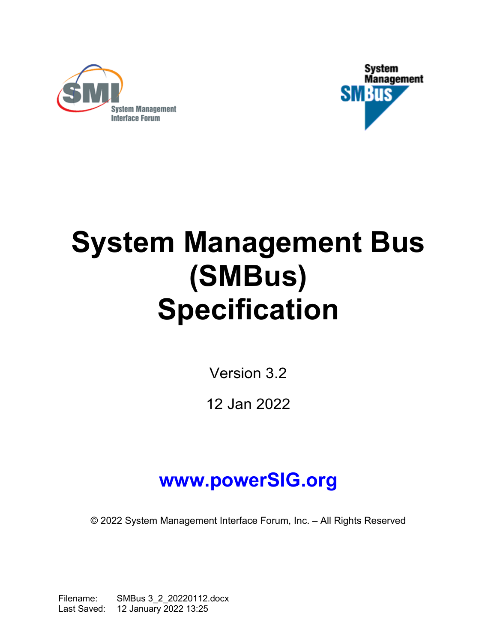



# **System Management Bus (SMBus) Specification**

Version [3.2](#page-1-0)

12 Jan [2022](#page-1-1)

## **www.powerSIG.org**

© 2022 System Management Interface Forum, Inc. – All Rights Reserved

Filename: SMBus 3\_2\_20220112.docx Last Saved: 12 January 2022 13:25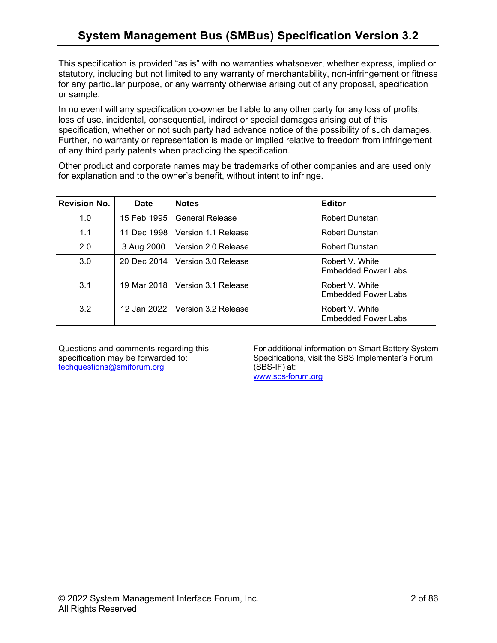This specification is provided "as is" with no warranties whatsoever, whether express, implied or statutory, including but not limited to any warranty of merchantability, non-infringement or fitness for any particular purpose, or any warranty otherwise arising out of any proposal, specification or sample.

In no event will any specification co-owner be liable to any other party for any loss of profits, loss of use, incidental, consequential, indirect or special damages arising out of this specification, whether or not such party had advance notice of the possibility of such damages. Further, no warranty or representation is made or implied relative to freedom from infringement of any third party patents when practicing the specification.

<span id="page-1-2"></span>Other product and corporate names may be trademarks of other companies and are used only for explanation and to the owner's benefit, without intent to infringe.

| <b>Revision No.</b> | <b>Date</b> | <b>Notes</b>                      | <b>Editor</b>                                 |
|---------------------|-------------|-----------------------------------|-----------------------------------------------|
| 1.0                 | 15 Feb 1995 | <b>General Release</b>            | Robert Dunstan                                |
| 1.1                 | 11 Dec 1998 | Version 1.1 Release               | Robert Dunstan                                |
| 2.0                 | 3 Aug 2000  | Version 2.0 Release               | Robert Dunstan                                |
| 3.0                 | 20 Dec 2014 | Version 3.0 Release               | Robert V. White<br><b>Embedded Power Labs</b> |
| 3.1                 |             | 19 Mar 2018   Version 3.1 Release | Robert V. White<br><b>Embedded Power Labs</b> |
| 3.2                 |             | 12 Jan 2022 Version 3.2 Release   | Robert V. White<br><b>Embedded Power Labs</b> |

<span id="page-1-1"></span><span id="page-1-0"></span>

| Questions and comments regarding this<br>specification may be forwarded to:<br>$\pm$ techquestions@smiforum.org | For additional information on Smart Battery System<br>Specifications, visit the SBS Implementer's Forum<br> (SBS-IF) at:<br>www.sbs-forum.org |
|-----------------------------------------------------------------------------------------------------------------|-----------------------------------------------------------------------------------------------------------------------------------------------|
|                                                                                                                 |                                                                                                                                               |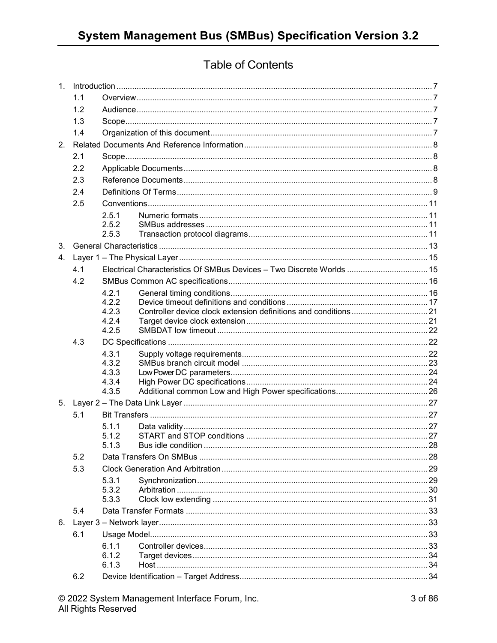## **Table of Contents**

|                | 1.1 |                |                                                                       |  |
|----------------|-----|----------------|-----------------------------------------------------------------------|--|
|                | 1.2 |                |                                                                       |  |
|                | 1.3 |                |                                                                       |  |
|                | 1.4 |                |                                                                       |  |
| 2.             |     |                |                                                                       |  |
|                | 2.1 |                |                                                                       |  |
|                | 2.2 |                |                                                                       |  |
|                | 2.3 |                |                                                                       |  |
|                | 2.4 |                |                                                                       |  |
|                | 2.5 |                |                                                                       |  |
|                |     | 2.5.1          |                                                                       |  |
|                |     | 2.5.2          |                                                                       |  |
|                |     | 2.5.3          |                                                                       |  |
| 3 <sub>1</sub> |     |                |                                                                       |  |
|                |     |                |                                                                       |  |
|                | 4.1 |                | Electrical Characteristics Of SMBus Devices - Two Discrete Worlds  15 |  |
|                | 4.2 |                |                                                                       |  |
|                |     | 4.2.1          |                                                                       |  |
|                |     | 4.2.2<br>4.2.3 |                                                                       |  |
|                |     | 4.2.4          |                                                                       |  |
|                |     | 4.2.5          |                                                                       |  |
|                |     |                |                                                                       |  |
|                | 4.3 |                |                                                                       |  |
|                |     | 4.3.1          |                                                                       |  |
|                |     | 4.3.2          |                                                                       |  |
|                |     | 4.3.3          |                                                                       |  |
|                |     | 4.3.4<br>4.3.5 |                                                                       |  |
|                |     |                |                                                                       |  |
|                | 5.1 |                |                                                                       |  |
|                |     | 5.1.1          |                                                                       |  |
|                |     | 5.1.2          |                                                                       |  |
|                |     | 513            | Bus idle condition                                                    |  |
|                | 5.2 |                |                                                                       |  |
|                | 5.3 |                |                                                                       |  |
|                |     | 5.3.1          |                                                                       |  |
|                |     | 5.3.2          |                                                                       |  |
|                |     | 5.3.3          |                                                                       |  |
|                | 5.4 |                |                                                                       |  |
| 6.             |     |                |                                                                       |  |
|                | 6.1 |                |                                                                       |  |
|                |     | 6.1.1<br>6.1.2 |                                                                       |  |
|                |     | 6.1.3          |                                                                       |  |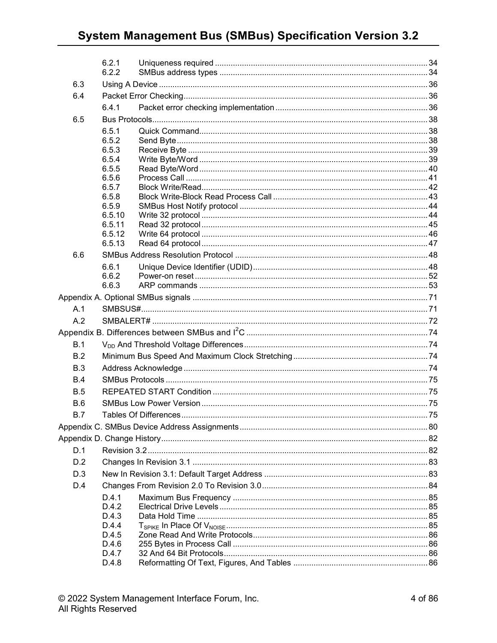## **System Management Bus (SMBus) Specification Version 3.2**

|            | 6.2.1<br>6.2.2   |  |
|------------|------------------|--|
| 6.3        |                  |  |
| 6.4        |                  |  |
|            | 6.4.1            |  |
| 6.5        |                  |  |
|            | 6.5.1            |  |
|            | 6.5.2            |  |
|            | 6.5.3            |  |
|            | 6.5.4            |  |
|            | 6.5.5<br>6.5.6   |  |
|            | 6.5.7            |  |
|            | 6.5.8            |  |
|            | 6.5.9            |  |
|            | 6.5.10           |  |
|            | 6.5.11<br>6.5.12 |  |
|            | 6.5.13           |  |
| 6.6        |                  |  |
|            | 6.6.1            |  |
|            | 6.6.2            |  |
|            | 6.6.3            |  |
|            |                  |  |
| A.1        |                  |  |
| A.2        |                  |  |
|            |                  |  |
| B.1        |                  |  |
| B.2        |                  |  |
| B.3        |                  |  |
| B.4        |                  |  |
| <b>B.5</b> |                  |  |
| <b>B.6</b> |                  |  |
| B.7        |                  |  |
|            |                  |  |
|            |                  |  |
| D.1        |                  |  |
| D.2        |                  |  |
| D.3        |                  |  |
| D.4        |                  |  |
|            | D.4.1            |  |
|            | D.4.2            |  |
|            | D.4.3<br>D.4.4   |  |
|            | D.4.5            |  |
|            |                  |  |
|            | D.4.6            |  |
|            | D.4.7            |  |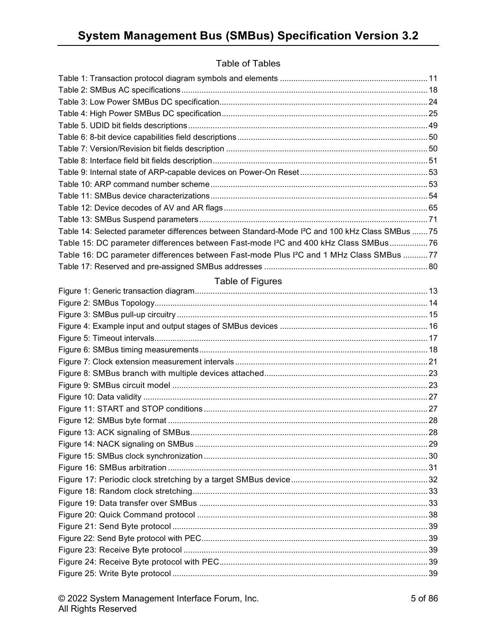#### Table of Tables

| Table 14: Selected parameter differences between Standard-Mode I <sup>2</sup> C and 100 kHz Class SMBus  75 |  |
|-------------------------------------------------------------------------------------------------------------|--|
| Table 15: DC parameter differences between Fast-mode I <sup>2</sup> C and 400 kHz Class SMBus 76            |  |
| Table 16: DC parameter differences between Fast-mode Plus I <sup>2</sup> C and 1 MHz Class SMBus 77         |  |
|                                                                                                             |  |
| Table of Figures                                                                                            |  |
|                                                                                                             |  |
|                                                                                                             |  |
|                                                                                                             |  |
|                                                                                                             |  |
|                                                                                                             |  |
|                                                                                                             |  |
|                                                                                                             |  |
|                                                                                                             |  |
|                                                                                                             |  |
|                                                                                                             |  |
|                                                                                                             |  |
|                                                                                                             |  |
|                                                                                                             |  |
|                                                                                                             |  |
|                                                                                                             |  |
|                                                                                                             |  |
|                                                                                                             |  |
|                                                                                                             |  |
|                                                                                                             |  |
|                                                                                                             |  |
|                                                                                                             |  |
|                                                                                                             |  |
|                                                                                                             |  |
|                                                                                                             |  |
|                                                                                                             |  |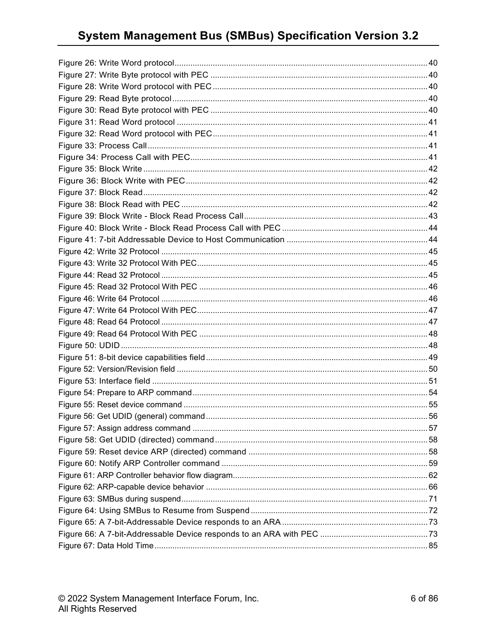## **System Management Bus (SMBus) Specification Version 3.2**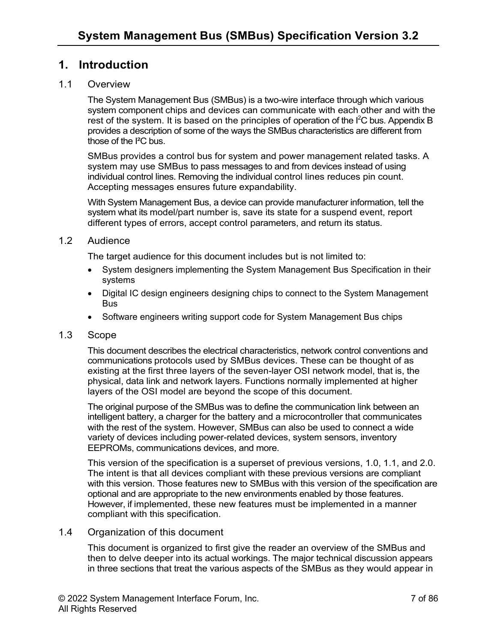## <span id="page-6-0"></span>**1. Introduction**

#### <span id="page-6-1"></span>1.1 Overview

The System Management Bus (SMBus) is a two-wire interface through which various system component chips and devices can communicate with each other and with the rest of the system. It is based on the principles of operation of the  $I^2C$  bus. Appendix B provides a description of some of the ways the SMBus characteristics are different from those of the I²C bus.

SMBus provides a control bus for system and power management related tasks. A system may use SMBus to pass messages to and from devices instead of using individual control lines. Removing the individual control lines reduces pin count. Accepting messages ensures future expandability.

With System Management Bus, a device can provide manufacturer information, tell the system what its model/part number is, save its state for a suspend event, report different types of errors, accept control parameters, and return its status.

#### <span id="page-6-2"></span>1.2 Audience

The target audience for this document includes but is not limited to:

- System designers implementing the System Management Bus Specification in their systems
- Digital IC design engineers designing chips to connect to the System Management Bus
- Software engineers writing support code for System Management Bus chips

#### <span id="page-6-3"></span>1.3 Scope

This document describes the electrical characteristics, network control conventions and communications protocols used by SMBus devices. These can be thought of as existing at the first three layers of the seven-layer OSI network model, that is, the physical, data link and network layers. Functions normally implemented at higher layers of the OSI model are beyond the scope of this document.

The original purpose of the SMBus was to define the communication link between an intelligent battery, a charger for the battery and a microcontroller that communicates with the rest of the system. However, SMBus can also be used to connect a wide variety of devices including power-related devices, system sensors, inventory EEPROMs, communications devices, and more.

This version of the specification is a superset of previous versions, 1.0, 1.1, and 2.0. The intent is that all devices compliant with these previous versions are compliant with this version. Those features new to SMBus with this version of the specification are optional and are appropriate to the new environments enabled by those features. However, if implemented, these new features must be implemented in a manner compliant with this specification.

#### <span id="page-6-4"></span>1.4 Organization of this document

This document is organized to first give the reader an overview of the SMBus and then to delve deeper into its actual workings. The major technical discussion appears in three sections that treat the various aspects of the SMBus as they would appear in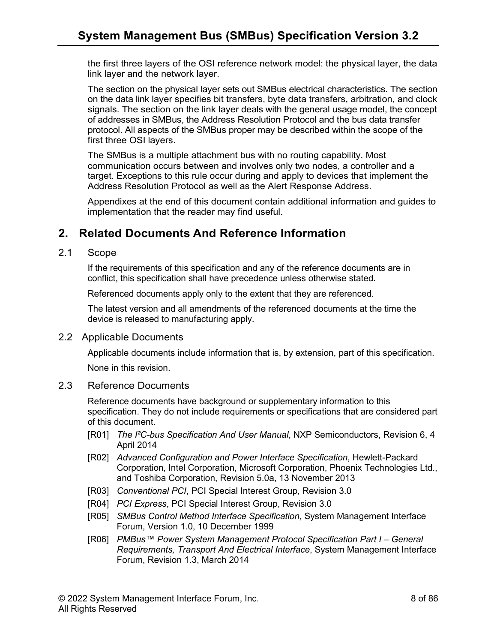the first three layers of the OSI reference network model: the physical layer, the data link layer and the network layer.

The section on the physical layer sets out SMBus electrical characteristics. The section on the data link layer specifies bit transfers, byte data transfers, arbitration, and clock signals. The section on the link layer deals with the general usage model, the concept of addresses in SMBus, the Address Resolution Protocol and the bus data transfer protocol. All aspects of the SMBus proper may be described within the scope of the first three OSI layers.

The SMBus is a multiple attachment bus with no routing capability. Most communication occurs between and involves only two nodes, a controller and a target. Exceptions to this rule occur during and apply to devices that implement the Address Resolution Protocol as well as the Alert Response Address.

Appendixes at the end of this document contain additional information and guides to implementation that the reader may find useful.

## <span id="page-7-0"></span>**2. Related Documents And Reference Information**

#### <span id="page-7-1"></span>2.1 Scope

If the requirements of this specification and any of the reference documents are in conflict, this specification shall have precedence unless otherwise stated.

Referenced documents apply only to the extent that they are referenced.

The latest version and all amendments of the referenced documents at the time the device is released to manufacturing apply.

#### <span id="page-7-2"></span>2.2 Applicable Documents

Applicable documents include information that is, by extension, part of this specification.

None in this revision.

#### <span id="page-7-3"></span>2.3 Reference Documents

Reference documents have background or supplementary information to this specification. They do not include requirements or specifications that are considered part of this document.

- [R01] *The I²C-bus Specification And User Manual*, NXP Semiconductors, Revision 6, 4 April 2014
- [R02] *Advanced Configuration and Power Interface Specification*, Hewlett-Packard Corporation, Intel Corporation, Microsoft Corporation, Phoenix Technologies Ltd., and Toshiba Corporation, Revision 5.0a, 13 November 2013
- [R03] *Conventional PCI*, PCI Special Interest Group, Revision 3.0
- [R04] *PCI Express*, PCI Special Interest Group, Revision 3.0
- [R05] *SMBus Control Method Interface Specification*, System Management Interface Forum, Version 1.0, 10 December 1999
- [R06] *PMBus™ Power System Management Protocol Specification Part I – General Requirements, Transport And Electrical Interface*, System Management Interface Forum, Revision 1.3, March 2014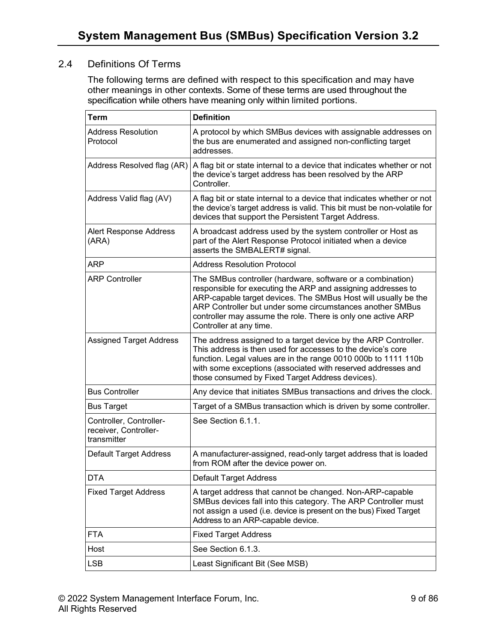#### <span id="page-8-0"></span>2.4 Definitions Of Terms

The following terms are defined with respect to this specification and may have other meanings in other contexts. Some of these terms are used throughout the specification while others have meaning only within limited portions.

| <b>Term</b>                                                     | <b>Definition</b>                                                                                                                                                                                                                                                                                                                                    |
|-----------------------------------------------------------------|------------------------------------------------------------------------------------------------------------------------------------------------------------------------------------------------------------------------------------------------------------------------------------------------------------------------------------------------------|
| <b>Address Resolution</b><br>Protocol                           | A protocol by which SMBus devices with assignable addresses on<br>the bus are enumerated and assigned non-conflicting target<br>addresses.                                                                                                                                                                                                           |
| Address Resolved flag (AR)                                      | A flag bit or state internal to a device that indicates whether or not<br>the device's target address has been resolved by the ARP<br>Controller.                                                                                                                                                                                                    |
| Address Valid flag (AV)                                         | A flag bit or state internal to a device that indicates whether or not<br>the device's target address is valid. This bit must be non-volatile for<br>devices that support the Persistent Target Address.                                                                                                                                             |
| Alert Response Address<br>(ARA)                                 | A broadcast address used by the system controller or Host as<br>part of the Alert Response Protocol initiated when a device<br>asserts the SMBALERT# signal.                                                                                                                                                                                         |
| <b>ARP</b>                                                      | <b>Address Resolution Protocol</b>                                                                                                                                                                                                                                                                                                                   |
| <b>ARP Controller</b>                                           | The SMBus controller (hardware, software or a combination)<br>responsible for executing the ARP and assigning addresses to<br>ARP-capable target devices. The SMBus Host will usually be the<br>ARP Controller but under some circumstances another SMBus<br>controller may assume the role. There is only one active ARP<br>Controller at any time. |
| <b>Assigned Target Address</b>                                  | The address assigned to a target device by the ARP Controller.<br>This address is then used for accesses to the device's core<br>function. Legal values are in the range 0010 000b to 1111 110b<br>with some exceptions (associated with reserved addresses and<br>those consumed by Fixed Target Address devices).                                  |
| <b>Bus Controller</b>                                           | Any device that initiates SMBus transactions and drives the clock.                                                                                                                                                                                                                                                                                   |
| <b>Bus Target</b>                                               | Target of a SMBus transaction which is driven by some controller.                                                                                                                                                                                                                                                                                    |
| Controller, Controller-<br>receiver, Controller-<br>transmitter | See Section 6.1.1.                                                                                                                                                                                                                                                                                                                                   |
| Default Target Address                                          | A manufacturer-assigned, read-only target address that is loaded<br>from ROM after the device power on.                                                                                                                                                                                                                                              |
| <b>DTA</b>                                                      | <b>Default Target Address</b>                                                                                                                                                                                                                                                                                                                        |
| <b>Fixed Target Address</b>                                     | A target address that cannot be changed. Non-ARP-capable<br>SMBus devices fall into this category. The ARP Controller must<br>not assign a used (i.e. device is present on the bus) Fixed Target<br>Address to an ARP-capable device.                                                                                                                |
| <b>FTA</b>                                                      | <b>Fixed Target Address</b>                                                                                                                                                                                                                                                                                                                          |
| Host                                                            | See Section 6.1.3.                                                                                                                                                                                                                                                                                                                                   |
| <b>LSB</b>                                                      | Least Significant Bit (See MSB)                                                                                                                                                                                                                                                                                                                      |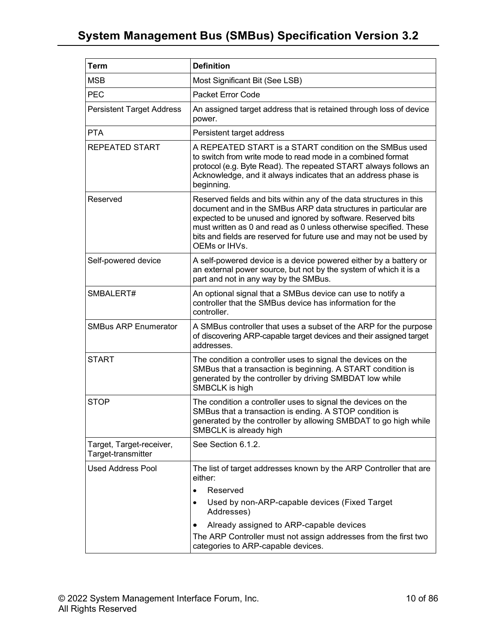## **System Management Bus (SMBus) Specification Version [3.2](#page-1-0)**

| <b>Term</b>                                    | <b>Definition</b>                                                                                                                                                                                                                                                                                                                                                 |  |  |  |
|------------------------------------------------|-------------------------------------------------------------------------------------------------------------------------------------------------------------------------------------------------------------------------------------------------------------------------------------------------------------------------------------------------------------------|--|--|--|
| <b>MSB</b>                                     | Most Significant Bit (See LSB)                                                                                                                                                                                                                                                                                                                                    |  |  |  |
| <b>PEC</b>                                     | Packet Error Code                                                                                                                                                                                                                                                                                                                                                 |  |  |  |
| <b>Persistent Target Address</b>               | An assigned target address that is retained through loss of device<br>power.                                                                                                                                                                                                                                                                                      |  |  |  |
| <b>PTA</b>                                     | Persistent target address                                                                                                                                                                                                                                                                                                                                         |  |  |  |
| <b>REPEATED START</b>                          | A REPEATED START is a START condition on the SMBus used<br>to switch from write mode to read mode in a combined format<br>protocol (e.g. Byte Read). The repeated START always follows an<br>Acknowledge, and it always indicates that an address phase is<br>beginning.                                                                                          |  |  |  |
| Reserved                                       | Reserved fields and bits within any of the data structures in this<br>document and in the SMBus ARP data structures in particular are<br>expected to be unused and ignored by software. Reserved bits<br>must written as 0 and read as 0 unless otherwise specified. These<br>bits and fields are reserved for future use and may not be used by<br>OEMs or IHVs. |  |  |  |
| Self-powered device                            | A self-powered device is a device powered either by a battery or<br>an external power source, but not by the system of which it is a<br>part and not in any way by the SMBus.                                                                                                                                                                                     |  |  |  |
| SMBALERT#                                      | An optional signal that a SMBus device can use to notify a<br>controller that the SMBus device has information for the<br>controller.                                                                                                                                                                                                                             |  |  |  |
| <b>SMBus ARP Enumerator</b>                    | A SMBus controller that uses a subset of the ARP for the purpose<br>of discovering ARP-capable target devices and their assigned target<br>addresses.                                                                                                                                                                                                             |  |  |  |
| <b>START</b>                                   | The condition a controller uses to signal the devices on the<br>SMBus that a transaction is beginning. A START condition is<br>generated by the controller by driving SMBDAT low while<br>SMBCLK is high                                                                                                                                                          |  |  |  |
| <b>STOP</b>                                    | The condition a controller uses to signal the devices on the<br>SMBus that a transaction is ending. A STOP condition is<br>generated by the controller by allowing SMBDAT to go high while<br>SMBCLK is already high                                                                                                                                              |  |  |  |
| Target, Target-receiver,<br>Target-transmitter | See Section 6.1.2.                                                                                                                                                                                                                                                                                                                                                |  |  |  |
| <b>Used Address Pool</b>                       | The list of target addresses known by the ARP Controller that are<br>either:                                                                                                                                                                                                                                                                                      |  |  |  |
|                                                | Reserved<br>$\bullet$                                                                                                                                                                                                                                                                                                                                             |  |  |  |
|                                                | Used by non-ARP-capable devices (Fixed Target<br>$\bullet$<br>Addresses)                                                                                                                                                                                                                                                                                          |  |  |  |
|                                                | Already assigned to ARP-capable devices                                                                                                                                                                                                                                                                                                                           |  |  |  |
|                                                | The ARP Controller must not assign addresses from the first two<br>categories to ARP-capable devices.                                                                                                                                                                                                                                                             |  |  |  |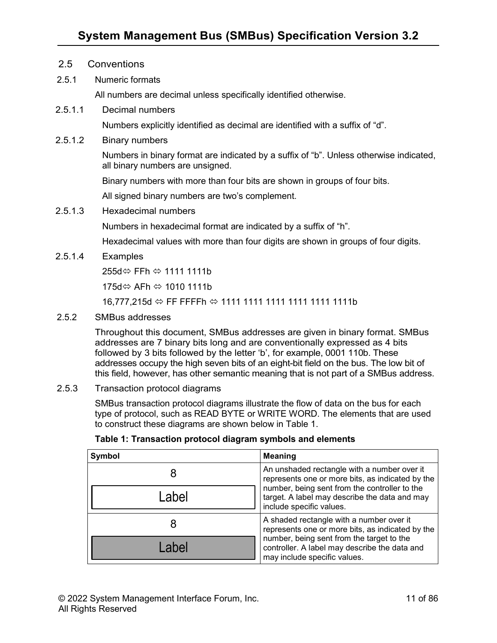- <span id="page-10-0"></span>2.5 Conventions
- <span id="page-10-1"></span>2.5.1 Numeric formats

All numbers are decimal unless specifically identified otherwise.

2.5.1.1 Decimal numbers

Numbers explicitly identified as decimal are identified with a suffix of "d".

2.5.1.2 Binary numbers

Numbers in binary format are indicated by a suffix of "b". Unless otherwise indicated, all binary numbers are unsigned.

Binary numbers with more than four bits are shown in groups of four bits.

All signed binary numbers are two's complement.

2.5.1.3 Hexadecimal numbers

Numbers in hexadecimal format are indicated by a suffix of "h".

Hexadecimal values with more than four digits are shown in groups of four digits.

2.5.1.4 Examples

255d⇔ FFh ⇔ 1111 1111b

175d⇔ AFh ⇔ 1010 1111b

16,777,215d FF FFFFh 1111 1111 1111 1111 1111 1111b

<span id="page-10-2"></span>2.5.2 SMBus addresses

Throughout this document, SMBus addresses are given in binary format. SMBus addresses are 7 binary bits long and are conventionally expressed as 4 bits followed by 3 bits followed by the letter 'b', for example, 0001 110b. These addresses occupy the high seven bits of an eight-bit field on the bus. The low bit of this field, however, has other semantic meaning that is not part of a SMBus address.

<span id="page-10-3"></span>2.5.3 Transaction protocol diagrams

SMBus transaction protocol diagrams illustrate the flow of data on the bus for each type of protocol, such as READ BYTE or WRITE WORD. The elements that are used to construct these diagrams are shown below in Table 1.

| Symbol | <b>Meaning</b>                                                                                                             |
|--------|----------------------------------------------------------------------------------------------------------------------------|
|        | An unshaded rectangle with a number over it<br>represents one or more bits, as indicated by the                            |
| abel   | number, being sent from the controller to the<br>target. A label may describe the data and may<br>include specific values. |
|        | A shaded rectangle with a number over it<br>represents one or more bits, as indicated by the                               |
| ahel   | number, being sent from the target to the<br>controller. A label may describe the data and<br>may include specific values. |

<span id="page-10-4"></span>**Table 1: Transaction protocol diagram symbols and elements**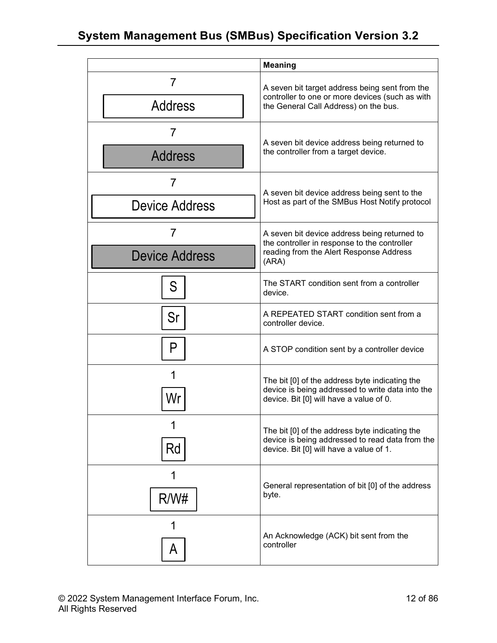|                            | <b>Meaning</b>                                                                                                                                |  |  |
|----------------------------|-----------------------------------------------------------------------------------------------------------------------------------------------|--|--|
| $\prime$<br><b>Address</b> | A seven bit target address being sent from the<br>controller to one or more devices (such as with<br>the General Call Address) on the bus.    |  |  |
| 7                          |                                                                                                                                               |  |  |
| <b>Address</b>             | A seven bit device address being returned to<br>the controller from a target device.                                                          |  |  |
| 7                          |                                                                                                                                               |  |  |
| <b>Device Address</b>      | A seven bit device address being sent to the<br>Host as part of the SMBus Host Notify protocol                                                |  |  |
| 7                          | A seven bit device address being returned to                                                                                                  |  |  |
| <b>Device Address</b>      | the controller in response to the controller<br>reading from the Alert Response Address<br>(ARA)                                              |  |  |
| S                          | The START condition sent from a controller<br>device.                                                                                         |  |  |
| Sr                         | A REPEATED START condition sent from a<br>controller device.                                                                                  |  |  |
| P                          | A STOP condition sent by a controller device                                                                                                  |  |  |
| 1<br>Wr                    | The bit [0] of the address byte indicating the<br>device is being addressed to write data into the<br>device. Bit [0] will have a value of 0. |  |  |
| Rd                         | The bit [0] of the address byte indicating the<br>device is being addressed to read data from the<br>device. Bit [0] will have a value of 1.  |  |  |
| R/W#                       | General representation of bit [0] of the address<br>byte.                                                                                     |  |  |
| A                          | An Acknowledge (ACK) bit sent from the<br>controller                                                                                          |  |  |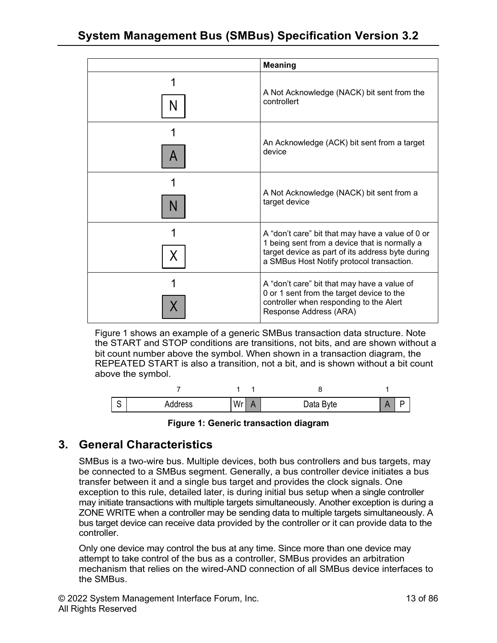|   | <b>Meaning</b>                                                                                                                                                                                     |
|---|----------------------------------------------------------------------------------------------------------------------------------------------------------------------------------------------------|
|   | A Not Acknowledge (NACK) bit sent from the<br>controllert                                                                                                                                          |
| A | An Acknowledge (ACK) bit sent from a target<br>device                                                                                                                                              |
| N | A Not Acknowledge (NACK) bit sent from a<br>target device                                                                                                                                          |
| χ | A "don't care" bit that may have a value of 0 or<br>1 being sent from a device that is normally a<br>target device as part of its address byte during<br>a SMBus Host Notify protocol transaction. |
|   | A "don't care" bit that may have a value of<br>0 or 1 sent from the target device to the<br>controller when responding to the Alert<br>Response Address (ARA)                                      |

Figure 1 shows an example of a generic SMBus transaction data structure. Note the START and STOP conditions are transitions, not bits, and are shown without a bit count number above the symbol. When shown in a transaction diagram, the REPEATED START is also a transition, not a bit, and is shown without a bit count above the symbol.

| $\sim$<br>U | Address | Wr<br>. | Data Byte | - |
|-------------|---------|---------|-----------|---|



## <span id="page-12-1"></span><span id="page-12-0"></span>**3. General Characteristics**

SMBus is a two-wire bus. Multiple devices, both bus controllers and bus targets, may be connected to a SMBus segment. Generally, a bus controller device initiates a bus transfer between it and a single bus target and provides the clock signals. One exception to this rule, detailed later, is during initial bus setup when a single controller may initiate transactions with multiple targets simultaneously. Another exception is during a ZONE WRITE when a controller may be sending data to multiple targets simultaneously. A bus target device can receive data provided by the controller or it can provide data to the controller.

Only one device may control the bus at any time. Since more than one device may attempt to take control of the bus as a controller, SMBus provides an arbitration mechanism that relies on the wired-AND connection of all SMBus device interfaces to the SMBus.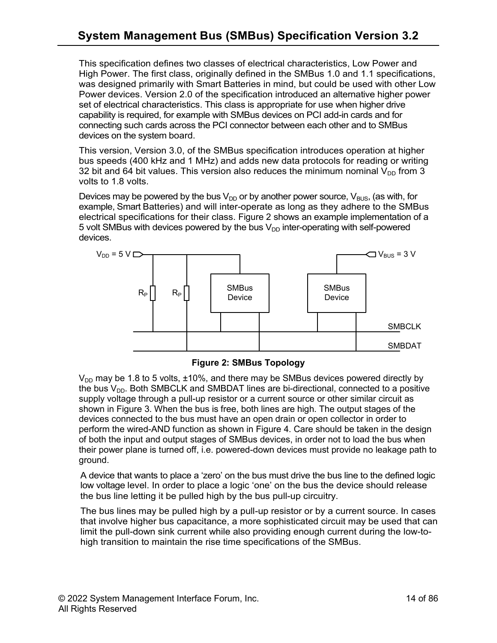This specification defines two classes of electrical characteristics, Low Power and High Power. The first class, originally defined in the SMBus 1.0 and 1.1 specifications, was designed primarily with Smart Batteries in mind, but could be used with other Low Power devices. Version 2.0 of the specification introduced an alternative higher power set of electrical characteristics. This class is appropriate for use when higher drive capability is required, for example with SMBus devices on PCI add-in cards and for connecting such cards across the PCI connector between each other and to SMBus devices on the system board.

This version, Version 3.0, of the SMBus specification introduces operation at higher bus speeds (400 kHz and 1 MHz) and adds new data protocols for reading or writing 32 bit and 64 bit values. This version also reduces the minimum nominal  $V_{DD}$  from 3 volts to 1.8 volts.

Devices may be powered by the bus  $V_{DD}$  or by another power source,  $V_{BUS}$ , (as with, for example, Smart Batteries) and will inter-operate as long as they adhere to the SMBus electrical specifications for their class. Figure 2 shows an example implementation of a 5 volt SMBus with devices powered by the bus  $V_{DD}$  inter-operating with self-powered devices.



**Figure 2: SMBus Topology**

<span id="page-13-0"></span> $V_{DD}$  may be 1.8 to 5 volts,  $\pm 10\%$ , and there may be SMBus devices powered directly by the bus  $V_{DD}$ . Both SMBCLK and SMBDAT lines are bi-directional, connected to a positive supply voltage through a pull-up resistor or a current source or other similar circuit as shown in Figure 3. When the bus is free, both lines are high. The output stages of the devices connected to the bus must have an open drain or open collector in order to perform the wired-AND function as shown in Figure 4. Care should be taken in the design of both the input and output stages of SMBus devices, in order not to load the bus when their power plane is turned off, i.e. powered-down devices must provide no leakage path to ground.

A device that wants to place a 'zero' on the bus must drive the bus line to the defined logic low voltage level. In order to place a logic 'one' on the bus the device should release the bus line letting it be pulled high by the bus pull-up circuitry.

The bus lines may be pulled high by a pull-up resistor or by a current source. In cases that involve higher bus capacitance, a more sophisticated circuit may be used that can limit the pull-down sink current while also providing enough current during the low-tohigh transition to maintain the rise time specifications of the SMBus.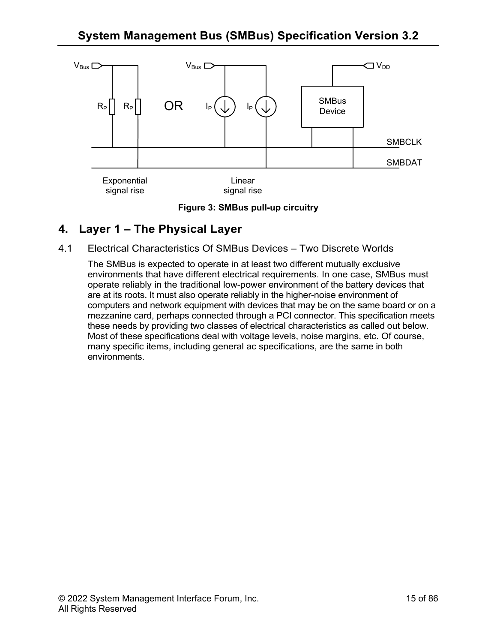

**Figure 3: SMBus pull-up circuitry**

## <span id="page-14-2"></span><span id="page-14-0"></span>**4. Layer 1 – The Physical Layer**

<span id="page-14-1"></span>4.1 Electrical Characteristics Of SMBus Devices – Two Discrete Worlds

The SMBus is expected to operate in at least two different mutually exclusive environments that have different electrical requirements. In one case, SMBus must operate reliably in the traditional low-power environment of the battery devices that are at its roots. It must also operate reliably in the higher-noise environment of computers and network equipment with devices that may be on the same board or on a mezzanine card, perhaps connected through a PCI connector. This specification meets these needs by providing two classes of electrical characteristics as called out below. Most of these specifications deal with voltage levels, noise margins, etc. Of course, many specific items, including general ac specifications, are the same in both environments.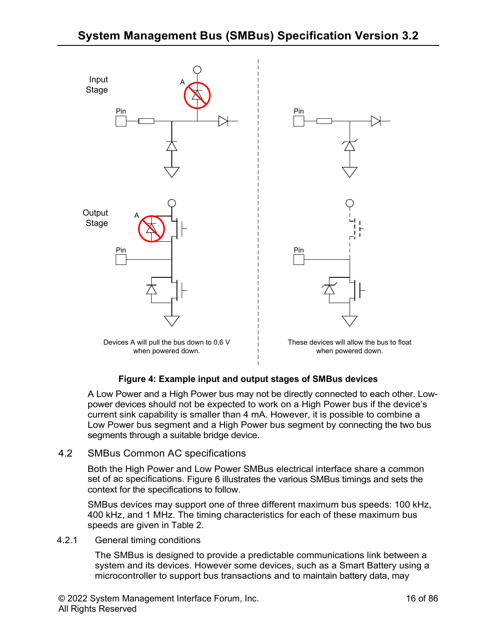

#### **Figure 4: Example input and output stages of SMBus devices**

<span id="page-15-2"></span>A Low Power and a High Power bus may not be directly connected to each other. Lowpower devices should not be expected to work on a High Power bus if the device's current sink capability is smaller than 4 mA. However, it is possible to combine a Low Power bus segment and a High Power bus segment by connecting the two bus segments through a suitable bridge device.

#### <span id="page-15-0"></span>4.2 SMBus Common AC specifications

Both the High Power and Low Power SMBus electrical interface share a common set of ac specifications. Figure 6 illustrates the various SMBus timings and sets the context for the specifications to follow.

SMBus devices may support one of three different maximum bus speeds: 100 kHz, 400 kHz, and 1 MHz. The timing characteristics for each of these maximum bus speeds are given in [Table 2.](#page-17-0)

#### <span id="page-15-1"></span>4.2.1 General timing conditions

The SMBus is designed to provide a predictable communications link between a system and its devices. However some devices, such as a Smart Battery using a microcontroller to support bus transactions and to maintain battery data, may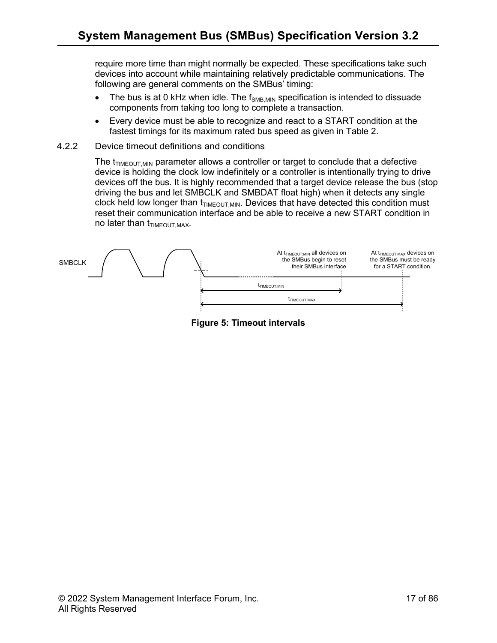require more time than might normally be expected. These specifications take such devices into account while maintaining relatively predictable communications. The following are general comments on the SMBus' timing:

- The bus is at 0 kHz when idle. The  $f_{SMB,MIN}$  specification is intended to dissuade components from taking too long to complete a transaction.
- Every device must be able to recognize and react to a START condition at the fastest timings for its maximum rated bus speed as given in Table 2.
- <span id="page-16-0"></span>4.2.2 Device timeout definitions and conditions

The  $t_{TIMEOUT,MIN}$  parameter allows a controller or target to conclude that a defective device is holding the clock low indefinitely or a controller is intentionally trying to drive devices off the bus. It is highly recommended that a target device release the bus (stop driving the bus and let SMBCLK and SMBDAT float high) when it detects any single clock held low longer than  $t_{TIMEOUT,MIN}$ . Devices that have detected this condition must reset their communication interface and be able to receive a new START condition in no later than  $t_{TIMEOUT, MAX}$ .

<span id="page-16-1"></span>

**Figure 5: Timeout intervals**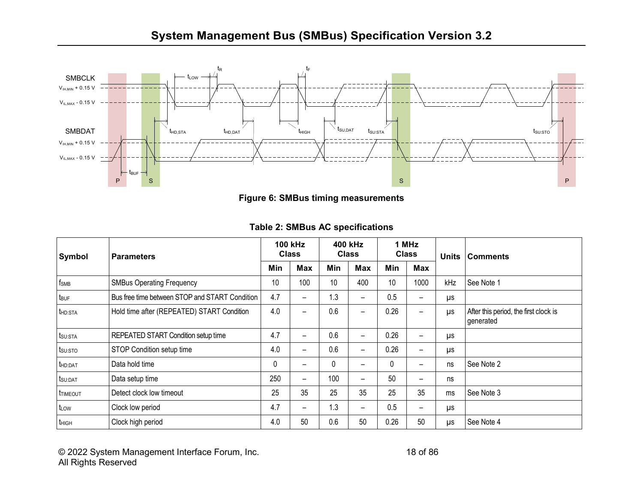

**Figure 6: SMBus timing measurements**

<span id="page-17-1"></span>

| <b>Symbol</b>       | <b>Parameters</b>                              | <b>100 kHz</b><br><b>Class</b> |                              | 400 kHz<br><b>Class</b> |                              | 1 MHz<br><b>Class</b> |                          | <b>Units</b> | <b>Comments</b>                                    |
|---------------------|------------------------------------------------|--------------------------------|------------------------------|-------------------------|------------------------------|-----------------------|--------------------------|--------------|----------------------------------------------------|
|                     |                                                | Min                            | Max                          | Min                     | Max                          | Min                   | <b>Max</b>               |              |                                                    |
| $f_{SMB}$           | <b>SMBus Operating Frequency</b>               | 10                             | 100                          | 10                      | 400                          | 10                    | 1000                     | kHz          | See Note 1                                         |
| tbuf                | Bus free time between STOP and START Condition | 4.7                            | -                            | 1.3                     | $\qquad \qquad$              | 0.5                   | $\overline{\phantom{0}}$ | $\mu s$      |                                                    |
| t <sub>HD:STA</sub> | Hold time after (REPEATED) START Condition     | 4.0                            | -                            | 0.6                     | $\qquad \qquad$              | 0.26                  | $\overline{\phantom{0}}$ | μs           | After this period, the first clock is<br>generated |
| tsu:sta             | <b>REPEATED START Condition setup time</b>     | 4.7                            | -                            | 0.6                     | $\overline{\phantom{0}}$     | 0.26                  | -                        | μs           |                                                    |
| tsu:sto             | STOP Condition setup time                      | 4.0                            | $\qquad \qquad \blacksquare$ | 0.6                     | $\qquad \qquad \blacksquare$ | 0.26                  | -                        | μs           |                                                    |
| thd:DAT             | Data hold time                                 | 0                              | -                            | 0                       | $\qquad \qquad \blacksquare$ | 0                     |                          | ns           | See Note 2                                         |
| t <sub>su:DAT</sub> | Data setup time                                | 250                            | -                            | 100                     | $\qquad \qquad$              | 50                    | $\overline{\phantom{0}}$ | ns           |                                                    |
| ttimeout            | Detect clock low timeout                       | 25                             | 35                           | 25                      | 35                           | 25                    | 35                       | ms           | See Note 3                                         |
| t <sub>LOW</sub>    | Clock low period                               | 4.7                            | -                            | 1.3                     | $\qquad \qquad \blacksquare$ | 0.5                   | -                        | μs           |                                                    |
| thigh               | Clock high period                              | 4.0                            | 50                           | 0.6                     | 50                           | 0.26                  | 50                       | μs           | See Note 4                                         |

#### **Table 2: SMBus AC specifications**

<span id="page-17-0"></span>© 2022 System Management Interface Forum, Inc. 18 of 86 All Rights Reserved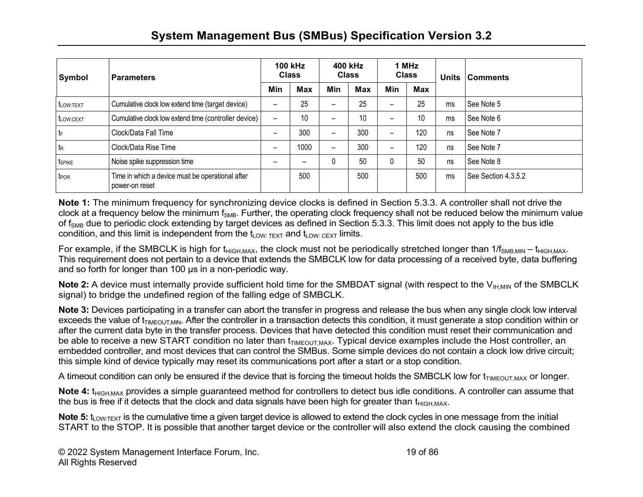| Symbol             | <b>Parameters</b>                                                  | <b>100 kHz</b><br><b>Class</b> |            | 400 kHz<br><b>Class</b>  |            | 1 MHz<br><b>Class</b> |            | <b>Units</b> | <b>Comments</b>     |
|--------------------|--------------------------------------------------------------------|--------------------------------|------------|--------------------------|------------|-----------------------|------------|--------------|---------------------|
|                    |                                                                    | Min                            | <b>Max</b> | Min                      | <b>Max</b> | Min                   | <b>Max</b> |              |                     |
| tLOW:TEXT          | Cumulative clock low extend time (target device)                   | -                              | 25         | $\qquad \qquad$          | 25         | —                     | 25         | ms           | See Note 5          |
| tLOW:CEXT          | Cumulative clock low extend time (controller device)               | $\overline{\phantom{0}}$       | 10         | $\overline{\phantom{0}}$ | 10         |                       | 10         | ms           | See Note 6          |
| $t_F$              | Clock/Data Fall Time                                               |                                | 300        | $\qquad \qquad$          | 300        | —                     | 120        | ns           | See Note 7          |
| $t_{R}$            | Clock/Data Rise Time                                               |                                | 1000       | $\qquad \qquad$          | 300        |                       | 120        | ns           | See Note 7          |
| t <sub>SPIKE</sub> | Noise spike suppression time                                       |                                |            | 0                        | 50         | 0                     | 50         | ns           | See Note 8          |
| t <sub>POR</sub>   | Time in which a device must be operational after<br>power-on reset |                                | 500        |                          | 500        |                       | 500        | ms           | See Section 4.3.5.2 |

**Note 1:** The minimum frequency for synchronizing device clocks is defined in Section 5.3.3. A controller shall not drive the clock at a frequency below the minimum  $f_{SMB}$ . Further, the operating clock frequency shall not be reduced below the minimum value of f<sub>SMB</sub> due to periodic clock extending by target devices as defined in Section 5.3.3. This limit does not apply to the bus idle condition, and this limit is independent from the  $t_{LOW: TEXT}$  and  $t_{LOW: CEXT}$  limits.

For example, if the SMBCLK is high for t<sub>HIGH,MAX</sub>, the clock must not be periodically stretched longer than 1/f<sub>SMB,MIN</sub> – t<sub>HIGH,MAX</sub>. This requirement does not pertain to a device that extends the SMBCLK low for data processing of a received byte, data buffering and so forth for longer than 100 µs in a non-periodic way.

**Note 2:** A device must internally provide sufficient hold time for the SMBDAT signal (with respect to the V<sub>IH,MIN</sub> of the SMBCLK signal) to bridge the undefined region of the falling edge of SMBCLK.

**Note 3:** Devices participating in a transfer can abort the transfer in progress and release the bus when any single clock low interval exceeds the value of  $t_{TIMPOUTMIN}$ . After the controller in a transaction detects this condition, it must generate a stop condition within or after the current data byte in the transfer process. Devices that have detected this condition must reset their communication and be able to receive a new START condition no later than  $t_{\text{IMEOUT,MAX}}$ . Typical device examples include the Host controller, an embedded controller, and most devices that can control the SMBus. Some simple devices do not contain a clock low drive circuit; this simple kind of device typically may reset its communications port after a start or a stop condition.

A timeout condition can only be ensured if the device that is forcing the timeout holds the SMBCLK low for  $t_{\text{IMEOUTMAX}}$  or longer.

Note 4: t<sub>HIGH MAX</sub> provides a simple quaranteed method for controllers to detect bus idle conditions. A controller can assume that the bus is free if it detects that the clock and data signals have been high for greater than  $t_{\text{HIGH MAX}}$ .

**Note 5:** t<sub>LOW:TEXT</sub> is the cumulative time a given target device is allowed to extend the clock cycles in one message from the initial START to the STOP. It is possible that another target device or the controller will also extend the clock causing the combined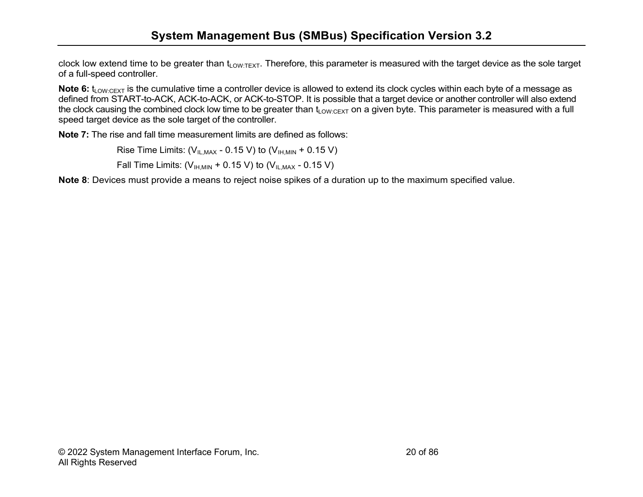clock low extend time to be greater than  $t_{Low:TEXT}$ . Therefore, this parameter is measured with the target device as the sole target of a full-speed controller.

**Note 6:** t<sub>LOW:CEXT</sub> is the cumulative time a controller device is allowed to extend its clock cycles within each byte of a message as defined from START-to-ACK, ACK-to-ACK, or ACK-to-STOP. It is possible that a target device or another controller will also extend the clock causing the combined clock low time to be greater than  $t_{\text{LOW:CEXT}}$  on a given byte. This parameter is measured with a full speed target device as the sole target of the controller.

**Note 7:** The rise and fall time measurement limits are defined as follows:

Rise Time Limits:  $(V_{ILMAX} - 0.15 V)$  to  $(V_{IHMIN} + 0.15 V)$ Fall Time Limits:  $(V<sub>IIMMN</sub> + 0.15 V)$  to  $(V<sub>II-MAX</sub> - 0.15 V)$ 

**Note 8**: Devices must provide a means to reject noise spikes of a duration up to the maximum specified value.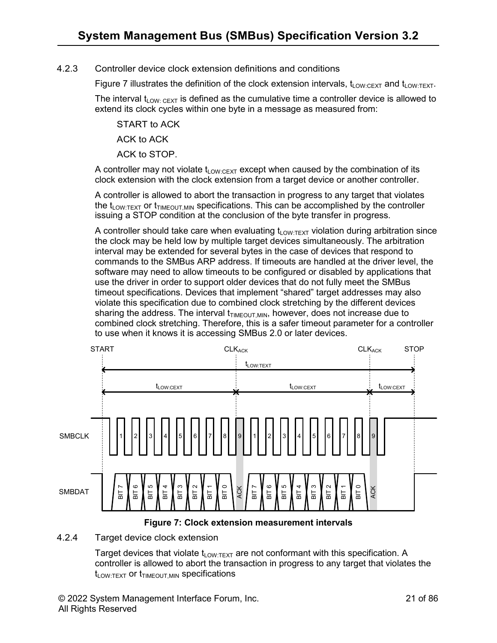#### <span id="page-20-0"></span>4.2.3 Controller device clock extension definitions and conditions

Figure 7 illustrates the definition of the clock extension intervals,  $t_{\text{low-DEF}}$  and  $t_{\text{low-DEF}}$ .

The interval  $t_{LOW: CEXT}$  is defined as the cumulative time a controller device is allowed to extend its clock cycles within one byte in a message as measured from:

START to ACK

ACK to ACK

ACK to STOP.

A controller may not violate  $t_{Low:CEXT}$  except when caused by the combination of its clock extension with the clock extension from a target device or another controller.

A controller is allowed to abort the transaction in progress to any target that violates the t<sub>LOW:TEXT</sub> or t<sub>TIMEOUT</sub> MIN specifications. This can be accomplished by the controller issuing a STOP condition at the conclusion of the byte transfer in progress.

A controller should take care when evaluating  $t_{\text{low-Text}}$  violation during arbitration since the clock may be held low by multiple target devices simultaneously. The arbitration interval may be extended for several bytes in the case of devices that respond to commands to the SMBus ARP address. If timeouts are handled at the driver level, the software may need to allow timeouts to be configured or disabled by applications that use the driver in order to support older devices that do not fully meet the SMBus timeout specifications. Devices that implement "shared" target addresses may also violate this specification due to combined clock stretching by the different devices sharing the address. The interval  $t_{\text{TMFOLIT MIN}}$ , however, does not increase due to combined clock stretching. Therefore, this is a safer timeout parameter for a controller to use when it knows it is accessing SMBus 2.0 or later devices.



**Figure 7: Clock extension measurement intervals**

#### <span id="page-20-2"></span><span id="page-20-1"></span>4.2.4 Target device clock extension

Target devices that violate  $t_{LOW:TEXT}$  are not conformant with this specification. A controller is allowed to abort the transaction in progress to any target that violates the  $t_{LOW:TEXT}$  or  $t_{TIMEOUT,MIN}$  specifications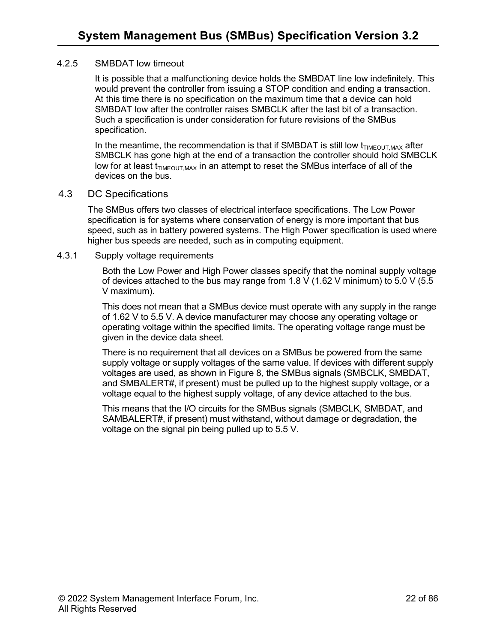#### <span id="page-21-0"></span>4.2.5 SMBDAT low timeout

It is possible that a malfunctioning device holds the SMBDAT line low indefinitely. This would prevent the controller from issuing a STOP condition and ending a transaction. At this time there is no specification on the maximum time that a device can hold SMBDAT low after the controller raises SMBCLK after the last bit of a transaction. Such a specification is under consideration for future revisions of the SMBus specification.

In the meantime, the recommendation is that if SMBDAT is still low  $t_{\text{TMEOUT MAX}}$  after SMBCLK has gone high at the end of a transaction the controller should hold SMBCLK low for at least  $t_{\text{TIMEOUT, MAX}}$  in an attempt to reset the SMBus interface of all of the devices on the bus.

#### <span id="page-21-1"></span>4.3 DC Specifications

The SMBus offers two classes of electrical interface specifications. The Low Power specification is for systems where conservation of energy is more important that bus speed, such as in battery powered systems. The High Power specification is used where higher bus speeds are needed, such as in computing equipment.

#### <span id="page-21-2"></span>4.3.1 Supply voltage requirements

Both the Low Power and High Power classes specify that the nominal supply voltage of devices attached to the bus may range from 1.8 V (1.62 V minimum) to 5.0 V (5.5 V maximum).

This does not mean that a SMBus device must operate with any supply in the range of 1.62 V to 5.5 V. A device manufacturer may choose any operating voltage or operating voltage within the specified limits. The operating voltage range must be given in the device data sheet.

There is no requirement that all devices on a SMBus be powered from the same supply voltage or supply voltages of the same value. If devices with different supply voltages are used, as shown in Figure 8, the SMBus signals (SMBCLK, SMBDAT, and SMBALERT#, if present) must be pulled up to the highest supply voltage, or a voltage equal to the highest supply voltage, of any device attached to the bus.

This means that the I/O circuits for the SMBus signals (SMBCLK, SMBDAT, and SAMBALERT#, if present) must withstand, without damage or degradation, the voltage on the signal pin being pulled up to 5.5 V.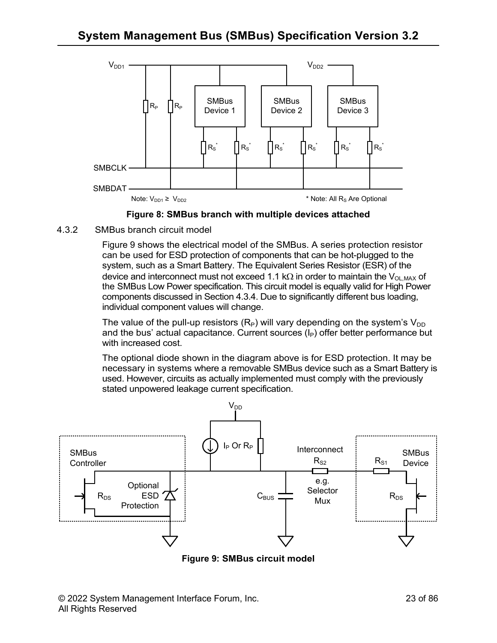



<span id="page-22-1"></span><span id="page-22-0"></span>4.3.2 SMBus branch circuit model

Figure 9 shows the electrical model of the SMBus. A series protection resistor can be used for ESD protection of components that can be hot-plugged to the system, such as a Smart Battery. The Equivalent Series Resistor (ESR) of the device and interconnect must not exceed 1.1 kΩ in order to maintain the V<sub>OL,MAX</sub> of the SMBus Low Power specification. This circuit model is equally valid for High Power components discussed in Section 4.3.4. Due to significantly different bus loading, individual component values will change.

The value of the pull-up resistors  $(R_P)$  will vary depending on the system's  $V_{DD}$ and the bus' actual capacitance. Current sources  $(I_P)$  offer better performance but with increased cost.

The optional diode shown in the diagram above is for ESD protection. It may be necessary in systems where a removable SMBus device such as a Smart Battery is used. However, circuits as actually implemented must comply with the previously stated unpowered leakage current specification.



<span id="page-22-2"></span>**Figure 9: SMBus circuit model**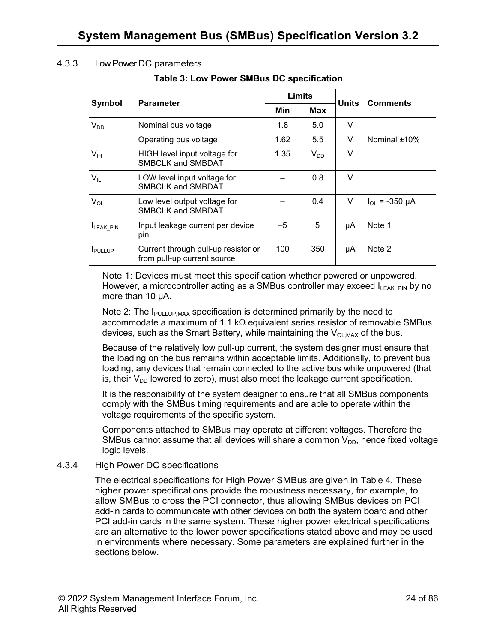#### <span id="page-23-2"></span><span id="page-23-0"></span>4.3.3 Low Power DC parameters

#### **Table 3: Low Power SMBus DC specification**

|                            | <b>Parameter</b>                                                   | Limits     |          | <b>Units</b> | Comments           |
|----------------------------|--------------------------------------------------------------------|------------|----------|--------------|--------------------|
| Symbol                     |                                                                    | Min<br>Max |          |              |                    |
| $V_{DD}$                   | Nominal bus voltage                                                | 1.8        | 5.0      | V            |                    |
|                            | Operating bus voltage                                              | 1.62       | 5.5      | V            | Nominal ±10%       |
| V <sub>IH</sub>            | HIGH level input voltage for<br><b>SMBCLK and SMBDAT</b>           | 1.35       | $V_{DD}$ | V            |                    |
| $\mathsf{V}_{\mathsf{IL}}$ | LOW level input voltage for<br><b>SMBCLK and SMBDAT</b>            |            | 0.8      | V            |                    |
| $V_{OL}$                   | Low level output voltage for<br><b>SMBCLK and SMBDAT</b>           |            | 0.4      | V            | $I_{OL}$ = -350 µA |
| <b>ILEAK PIN</b>           | Input leakage current per device<br>pin                            | $-5$       | 5        | μA           | Note 1             |
| <b>I</b> PULLUP            | Current through pull-up resistor or<br>from pull-up current source | 100        | 350      | μA           | Note 2             |

Note 1: Devices must meet this specification whether powered or unpowered. However, a microcontroller acting as a SMBus controller may exceed  $I_{\text{IFAK-PIN}}$  by no more than 10 µA.

Note 2: The  $I_{\text{PULLUP,MAX}}$  specification is determined primarily by the need to accommodate a maximum of 1.1 kΩ equivalent series resistor of removable SMBus devices, such as the Smart Battery, while maintaining the  $V_{\text{OL MAX}}$  of the bus.

Because of the relatively low pull-up current, the system designer must ensure that the loading on the bus remains within acceptable limits. Additionally, to prevent bus loading, any devices that remain connected to the active bus while unpowered (that is, their  $V_{\text{DD}}$  lowered to zero), must also meet the leakage current specification.

It is the responsibility of the system designer to ensure that all SMBus components comply with the SMBus timing requirements and are able to operate within the voltage requirements of the specific system.

Components attached to SMBus may operate at different voltages. Therefore the SMBus cannot assume that all devices will share a common  $V_{DD}$ , hence fixed voltage logic levels.

#### <span id="page-23-1"></span>4.3.4 High Power DC specifications

The electrical specifications for High Power SMBus are given in Table 4. These higher power specifications provide the robustness necessary, for example, to allow SMBus to cross the PCI connector, thus allowing SMBus devices on PCI add-in cards to communicate with other devices on both the system board and other PCI add-in cards in the same system. These higher power electrical specifications are an alternative to the lower power specifications stated above and may be used in environments where necessary. Some parameters are explained further in the sections below.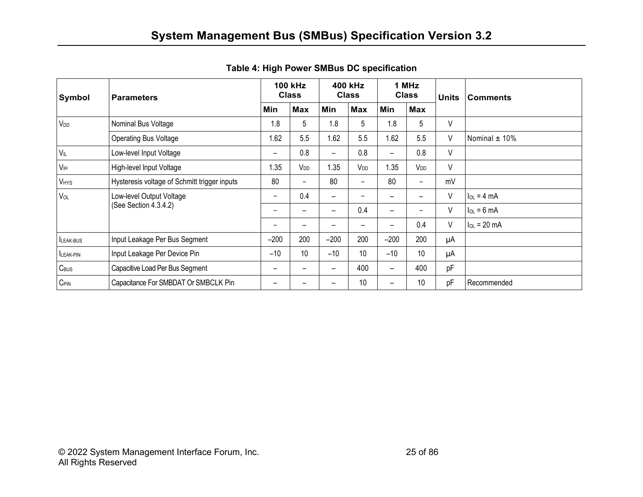<span id="page-24-0"></span>

| Symbol           | <b>Parameters</b>                                 | <b>100 kHz</b><br><b>Class</b> |                          | 400 kHz<br><b>Class</b>  |                              | 1 MHz<br><b>Class</b>    |                 | <b>Units</b> | <b>Comments</b>         |
|------------------|---------------------------------------------------|--------------------------------|--------------------------|--------------------------|------------------------------|--------------------------|-----------------|--------------|-------------------------|
|                  |                                                   | Min                            | <b>Max</b>               | Min                      | <b>Max</b>                   | Min                      | <b>Max</b>      |              |                         |
| V <sub>DD</sub>  | Nominal Bus Voltage                               | 1.8                            | 5                        | 1.8                      | 5                            | 1.8                      | 5               | V            |                         |
|                  | <b>Operating Bus Voltage</b>                      | 1.62                           | 5.5                      | 1.62                     | 5.5                          | 1.62                     | 5.5             | V            | Nominal $\pm$ 10%       |
| $V_{IL}$         | Low-level Input Voltage                           | $\overline{\phantom{m}}$       | 0.8                      | $\overline{\phantom{m}}$ | 0.8                          | $\overline{\phantom{0}}$ | 0.8             | V            |                         |
| V <sub>H</sub>   | High-level Input Voltage                          | 1.35                           | V <sub>DD</sub>          | 1.35                     | V <sub>DD</sub>              | 1.35                     | V <sub>DD</sub> | V            |                         |
| VHYS             | Hysteresis voltage of Schmitt trigger inputs      | 80                             | $\overline{\phantom{0}}$ | 80                       | $\qquad \qquad -$            | 80                       | -               | mV           |                         |
| VOL              | Low-level Output Voltage<br>(See Section 4.3.4.2) | -                              | 0.4                      | $\overline{\phantom{m}}$ |                              | $\overline{\phantom{0}}$ | —               | V            | $I_{OL} = 4 mA$         |
|                  |                                                   | -                              | -                        | $\overline{\phantom{0}}$ | 0.4                          | $\overline{\phantom{0}}$ | -               | V            | $I_{OL} = 6 \text{ mA}$ |
|                  |                                                   | -                              | -                        | -                        | $\qquad \qquad \blacksquare$ | $\overline{\phantom{0}}$ | 0.4             | V            | $I_{OL}$ = 20 mA        |
| LEAK-BUS         | Input Leakage Per Bus Segment                     | $-200$                         | 200                      | $-200$                   | 200                          | $-200$                   | 200             | μA           |                         |
| LEAK-PIN         | Input Leakage Per Device Pin                      | $-10$                          | 10                       | $-10$                    | 10                           | $-10$                    | 10              | μA           |                         |
| $C_{\text{BUS}}$ | Capacitive Load Per Bus Segment                   | -                              |                          | $\overline{\phantom{0}}$ | 400                          | $\overline{\phantom{0}}$ | 400             | pF           |                         |
| $C_{\text{PIN}}$ | Capacitance For SMBDAT Or SMBCLK Pin              |                                |                          |                          | 10                           | —                        | 10              | pF           | Recommended             |

**Table 4: High Power SMBus DC specification**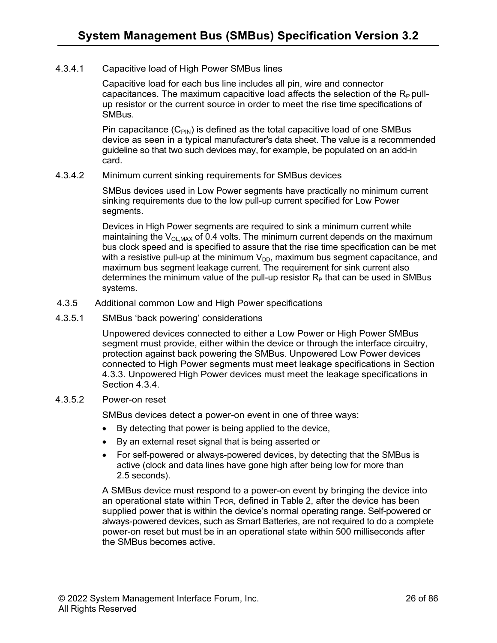#### 4.3.4.1 Capacitive load of High Power SMBus lines

Capacitive load for each bus line includes all pin, wire and connector capacitances. The maximum capacitive load affects the selection of the  $R_P$  pullup resistor or the current source in order to meet the rise time specifications of SMBus.

Pin capacitance  $(C_{PIN})$  is defined as the total capacitive load of one SMBus device as seen in a typical manufacturer's data sheet. The value is a recommended guideline so that two such devices may, for example, be populated on an add-in card.

#### 4.3.4.2 Minimum current sinking requirements for SMBus devices

SMBus devices used in Low Power segments have practically no minimum current sinking requirements due to the low pull-up current specified for Low Power segments.

Devices in High Power segments are required to sink a minimum current while maintaining the  $V_{OL,MAX}$  of 0.4 volts. The minimum current depends on the maximum bus clock speed and is specified to assure that the rise time specification can be met with a resistive pull-up at the minimum  $V_{DD}$ , maximum bus segment capacitance, and maximum bus segment leakage current. The requirement for sink current also determines the minimum value of the pull-up resistor  $R_P$  that can be used in SMBus systems.

- <span id="page-25-0"></span>4.3.5 Additional common Low and High Power specifications
- 4.3.5.1 SMBus 'back powering' considerations

Unpowered devices connected to either a Low Power or High Power SMBus segment must provide, either within the device or through the interface circuitry, protection against back powering the SMBus. Unpowered Low Power devices connected to High Power segments must meet leakage specifications in Section 4.3.3. Unpowered High Power devices must meet the leakage specifications in Section 4.3.4.

#### 4.3.5.2 Power-on reset

SMBus devices detect a power-on event in one of three ways:

- By detecting that power is being applied to the device,
- By an external reset signal that is being asserted or
- For self-powered or always-powered devices, by detecting that the SMBus is active (clock and data lines have gone high after being low for more than 2.5 seconds).

A SMBus device must respond to a power-on event by bringing the device into an operational state within T<sub>POR</sub>, defined in Table 2, after the device has been supplied power that is within the device's normal operating range. Self-powered or always-powered devices, such as Smart Batteries, are not required to do a complete power-on reset but must be in an operational state within 500 milliseconds after the SMBus becomes active.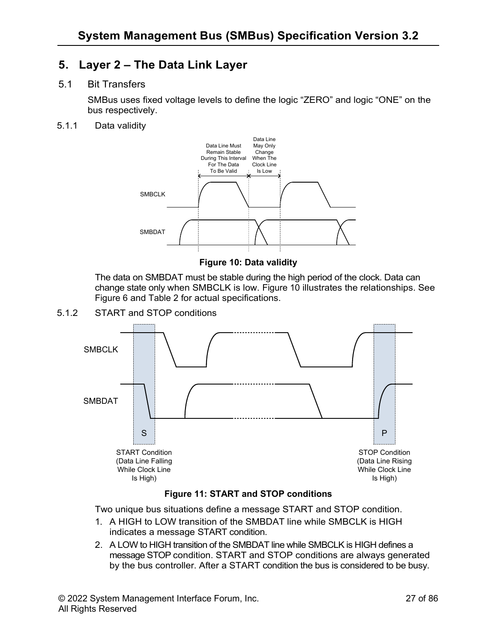## <span id="page-26-0"></span>**5. Layer 2 – The Data Link Layer**

#### <span id="page-26-1"></span>5.1 Bit Transfers

SMBus uses fixed voltage levels to define the logic "ZERO" and logic "ONE" on the bus respectively.

<span id="page-26-2"></span>5.1.1 Data validity



**Figure 10: Data validity**

<span id="page-26-4"></span>The data on SMBDAT must be stable during the high period of the clock. Data can change state only when SMBCLK is low. Figure 10 illustrates the relationships. See Figure 6 and Table 2 for actual specifications.

<span id="page-26-3"></span>5.1.2 START and STOP conditions



#### **Figure 11: START and STOP conditions**

<span id="page-26-5"></span>Two unique bus situations define a message START and STOP condition.

- 1. A HIGH to LOW transition of the SMBDAT line while SMBCLK is HIGH indicates a message START condition.
- 2. A LOW to HIGH transition of the SMBDAT line while SMBCLK is HIGH defines a message STOP condition. START and STOP conditions are always generated by the bus controller. After a START condition the bus is considered to be busy.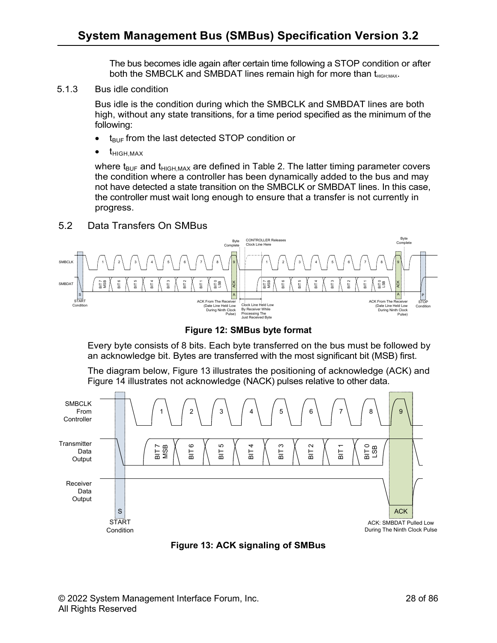The bus becomes idle again after certain time following a STOP condition or after both the SMBCLK and SMBDAT lines remain high for more than t<sub>HIGH:MAX</sub>.

<span id="page-27-0"></span>5.1.3 Bus idle condition

Bus idle is the condition during which the SMBCLK and SMBDAT lines are both high, without any state transitions, for a time period specified as the minimum of the following:

- $\bullet$  t<sub>BUF</sub> from the last detected STOP condition or
- $\bullet$   $t_{\text{HIGH,MAX}}$

where  $t_{\text{BUF}}$  and  $t_{\text{HIGH,MAX}}$  are defined in Table 2. The latter timing parameter covers the condition where a controller has been dynamically added to the bus and may not have detected a state transition on the SMBCLK or SMBDAT lines. In this case, the controller must wait long enough to ensure that a transfer is not currently in progress.

#### <span id="page-27-1"></span>5.2 Data Transfers On SMBus



**Figure 12: SMBus byte format**

<span id="page-27-2"></span>Every byte consists of 8 bits. Each byte transferred on the bus must be followed by an acknowledge bit. Bytes are transferred with the most significant bit (MSB) first.

The diagram below, Figure 13 illustrates the positioning of acknowledge (ACK) and Figure 14 illustrates not acknowledge (NACK) pulses relative to other data.



<span id="page-27-3"></span>**Figure 13: ACK signaling of SMBus**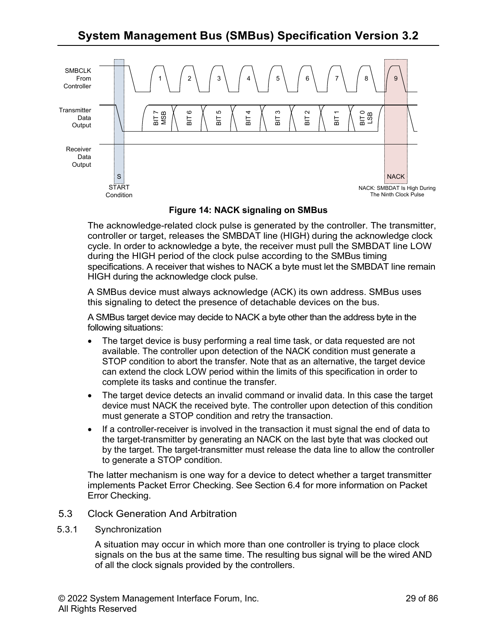## **System Management Bus (SMBus) Specification Version [3.2](#page-1-0)**



**Figure 14: NACK signaling on SMBus**

<span id="page-28-2"></span>The acknowledge-related clock pulse is generated by the controller. The transmitter, controller or target, releases the SMBDAT line (HIGH) during the acknowledge clock cycle. In order to acknowledge a byte, the receiver must pull the SMBDAT line LOW during the HIGH period of the clock pulse according to the SMBus timing specifications. A receiver that wishes to NACK a byte must let the SMBDAT line remain HIGH during the acknowledge clock pulse.

A SMBus device must always acknowledge (ACK) its own address. SMBus uses this signaling to detect the presence of detachable devices on the bus.

A SMBus target device may decide to NACK a byte other than the address byte in the following situations:

- The target device is busy performing a real time task, or data requested are not available. The controller upon detection of the NACK condition must generate a STOP condition to abort the transfer. Note that as an alternative, the target device can extend the clock LOW period within the limits of this specification in order to complete its tasks and continue the transfer.
- The target device detects an invalid command or invalid data. In this case the target device must NACK the received byte. The controller upon detection of this condition must generate a STOP condition and retry the transaction.
- If a controller-receiver is involved in the transaction it must signal the end of data to the target-transmitter by generating an NACK on the last byte that was clocked out by the target. The target-transmitter must release the data line to allow the controller to generate a STOP condition.

The latter mechanism is one way for a device to detect whether a target transmitter implements Packet Error Checking. See Section 6.4 for more information on Packet Error Checking.

#### <span id="page-28-0"></span>5.3 Clock Generation And Arbitration

<span id="page-28-1"></span>5.3.1 Synchronization

A situation may occur in which more than one controller is trying to place clock signals on the bus at the same time. The resulting bus signal will be the wired AND of all the clock signals provided by the controllers.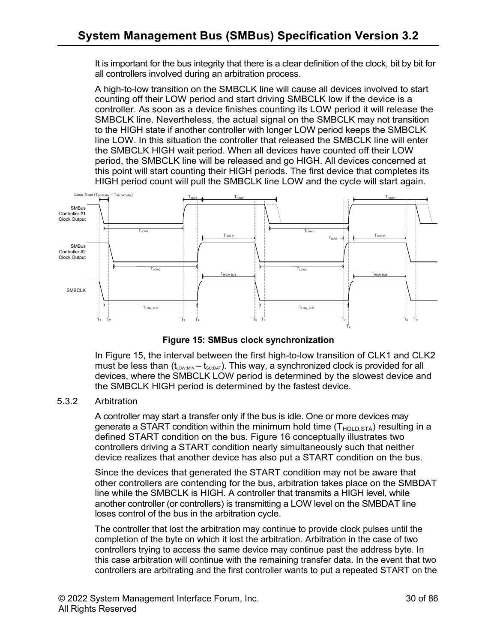It is important for the bus integrity that there is a clear definition of the clock, bit by bit for all controllers involved during an arbitration process.

A high-to-low transition on the SMBCLK line will cause all devices involved to start counting off their LOW period and start driving SMBCLK low if the device is a controller. As soon as a device finishes counting its LOW period it will release the SMBCLK line. Nevertheless, the actual signal on the SMBCLK may not transition to the HIGH state if another controller with longer LOW period keeps the SMBCLK line LOW. In this situation the controller that released the SMBCLK line will enter the SMBCLK HIGH wait period. When all devices have counted off their LOW period, the SMBCLK line will be released and go HIGH. All devices concerned at this point will start counting their HIGH periods. The first device that completes its HIGH period count will pull the SMBCLK line LOW and the cycle will start again.



**Figure 15: SMBus clock synchronization**

<span id="page-29-1"></span>In Figure 15, the interval between the first high-to-low transition of CLK1 and CLK2 must be less than  $(t_{Low;MM} - t_{SU;DAT})$ . This way, a synchronized clock is provided for all devices, where the SMBCLK LOW period is determined by the slowest device and the SMBCLK HIGH period is determined by the fastest device.

#### <span id="page-29-0"></span>5.3.2 Arbitration

A controller may start a transfer only if the bus is idle. One or more devices may generate a START condition within the minimum hold time  $(T_{HOLD,STA})$  resulting in a defined START condition on the bus. Figure 16 conceptually illustrates two controllers driving a START condition nearly simultaneously such that neither device realizes that another device has also put a START condition on the bus.

Since the devices that generated the START condition may not be aware that other controllers are contending for the bus, arbitration takes place on the SMBDAT line while the SMBCLK is HIGH. A controller that transmits a HIGH level, while another controller (or controllers) is transmitting a LOW level on the SMBDAT line loses control of the bus in the arbitration cycle.

The controller that lost the arbitration may continue to provide clock pulses until the completion of the byte on which it lost the arbitration. Arbitration in the case of two controllers trying to access the same device may continue past the address byte. In this case arbitration will continue with the remaining transfer data. In the event that two controllers are arbitrating and the first controller wants to put a repeated START on the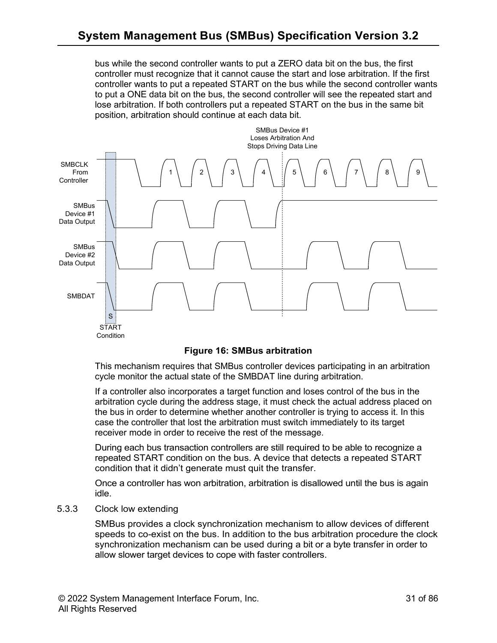bus while the second controller wants to put a ZERO data bit on the bus, the first controller must recognize that it cannot cause the start and lose arbitration. If the first controller wants to put a repeated START on the bus while the second controller wants to put a ONE data bit on the bus, the second controller will see the repeated start and lose arbitration. If both controllers put a repeated START on the bus in the same bit position, arbitration should continue at each data bit.



#### **Figure 16: SMBus arbitration**

<span id="page-30-1"></span>This mechanism requires that SMBus controller devices participating in an arbitration cycle monitor the actual state of the SMBDAT line during arbitration.

If a controller also incorporates a target function and loses control of the bus in the arbitration cycle during the address stage, it must check the actual address placed on the bus in order to determine whether another controller is trying to access it. In this case the controller that lost the arbitration must switch immediately to its target receiver mode in order to receive the rest of the message.

During each bus transaction controllers are still required to be able to recognize a repeated START condition on the bus. A device that detects a repeated START condition that it didn't generate must quit the transfer.

Once a controller has won arbitration, arbitration is disallowed until the bus is again idle.

#### <span id="page-30-0"></span>5.3.3 Clock low extending

SMBus provides a clock synchronization mechanism to allow devices of different speeds to co-exist on the bus. In addition to the bus arbitration procedure the clock synchronization mechanism can be used during a bit or a byte transfer in order to allow slower target devices to cope with faster controllers.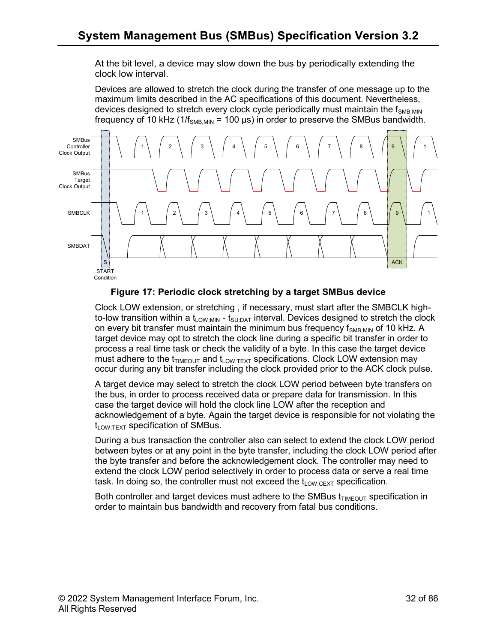At the bit level, a device may slow down the bus by periodically extending the clock low interval.

Devices are allowed to stretch the clock during the transfer of one message up to the maximum limits described in the AC specifications of this document. Nevertheless, devices designed to stretch every clock cycle periodically must maintain the  $f_{SMBMIN}$ frequency of 10 kHz (1/ $f<sub>SNB MIN</sub> = 100 \,\mu s$ ) in order to preserve the SMBus bandwidth.



**Figure 17: Periodic clock stretching by a target SMBus device**

<span id="page-31-0"></span>Clock LOW extension, or stretching , if necessary, must start after the SMBCLK highto-low transition within a  $t_{LOW:MIN}$  -  $t_{SU:DAT}$  interval. Devices designed to stretch the clock on every bit transfer must maintain the minimum bus frequency  $f_{\text{SMR MIN}}$  of 10 kHz. A target device may opt to stretch the clock line during a specific bit transfer in order to process a real time task or check the validity of a byte. In this case the target device must adhere to the  $t_{TIMEOUT}$  and  $t_{LOW:TEXT}$  specifications. Clock LOW extension may occur during any bit transfer including the clock provided prior to the ACK clock pulse.

A target device may select to stretch the clock LOW period between byte transfers on the bus, in order to process received data or prepare data for transmission. In this case the target device will hold the clock line LOW after the reception and acknowledgement of a byte. Again the target device is responsible for not violating the  $t_{LOW:TEXT}$  specification of SMBus.

During a bus transaction the controller also can select to extend the clock LOW period between bytes or at any point in the byte transfer, including the clock LOW period after the byte transfer and before the acknowledgement clock. The controller may need to extend the clock LOW period selectively in order to process data or serve a real time task. In doing so, the controller must not exceed the  $t_{\text{low-CFXT}}$  specification.

Both controller and target devices must adhere to the SMBus  $t_{TIMEOUT}$  specification in order to maintain bus bandwidth and recovery from fatal bus conditions.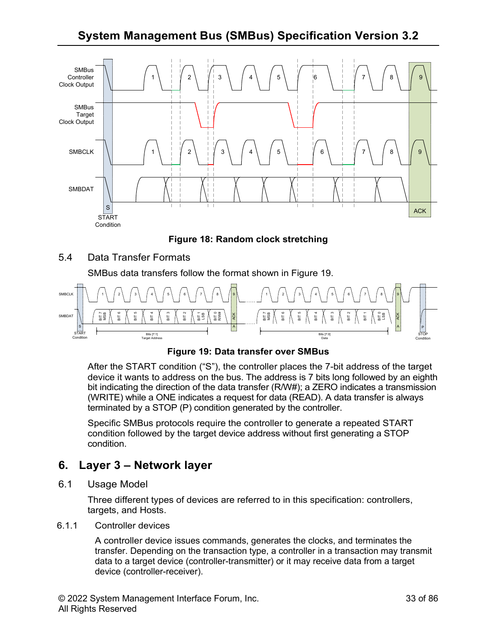**System Management Bus (SMBus) Specification Version [3.2](#page-1-0)**



**Figure 18: Random clock stretching**

<span id="page-32-4"></span><span id="page-32-0"></span>5.4 Data Transfer Formats

SMBus data transfers follow the format shown in Figure 19.



**Figure 19: Data transfer over SMBus**

<span id="page-32-5"></span>After the START condition ("S"), the controller places the 7-bit address of the target device it wants to address on the bus. The address is 7 bits long followed by an eighth bit indicating the direction of the data transfer (R/W#); a ZERO indicates a transmission (WRITE) while a ONE indicates a request for data (READ). A data transfer is always terminated by a STOP (P) condition generated by the controller.

Specific SMBus protocols require the controller to generate a repeated START condition followed by the target device address without first generating a STOP condition.

## <span id="page-32-1"></span>**6. Layer 3 – Network layer**

<span id="page-32-2"></span>6.1 Usage Model

Three different types of devices are referred to in this specification: controllers, targets, and Hosts.

<span id="page-32-3"></span>6.1.1 Controller devices

A controller device issues commands, generates the clocks, and terminates the transfer. Depending on the transaction type, a controller in a transaction may transmit data to a target device (controller-transmitter) or it may receive data from a target device (controller-receiver).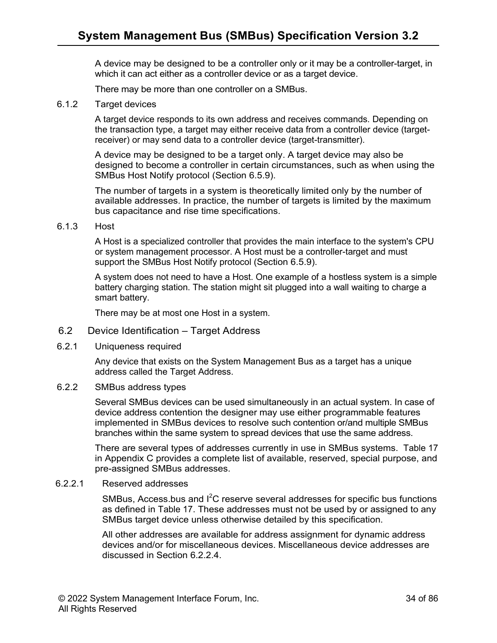A device may be designed to be a controller only or it may be a controller-target, in which it can act either as a controller device or as a target device.

There may be more than one controller on a SMBus.

#### <span id="page-33-0"></span>6.1.2 Target devices

A target device responds to its own address and receives commands. Depending on the transaction type, a target may either receive data from a controller device (targetreceiver) or may send data to a controller device (target-transmitter).

A device may be designed to be a target only. A target device may also be designed to become a controller in certain circumstances, such as when using the SMBus Host Notify protocol (Section 6.5.9).

The number of targets in a system is theoretically limited only by the number of available addresses. In practice, the number of targets is limited by the maximum bus capacitance and rise time specifications.

<span id="page-33-1"></span>6.1.3 Host

A Host is a specialized controller that provides the main interface to the system's CPU or system management processor. A Host must be a controller-target and must support the SMBus Host Notify protocol (Section 6.5.9).

A system does not need to have a Host. One example of a hostless system is a simple battery charging station. The station might sit plugged into a wall waiting to charge a smart battery.

There may be at most one Host in a system.

- <span id="page-33-2"></span>6.2 Device Identification – Target Address
- <span id="page-33-3"></span>6.2.1 Uniqueness required

Any device that exists on the System Management Bus as a target has a unique address called the Target Address.

#### <span id="page-33-4"></span>6.2.2 SMBus address types

Several SMBus devices can be used simultaneously in an actual system. In case of device address contention the designer may use either programmable features implemented in SMBus devices to resolve such contention or/and multiple SMBus branches within the same system to spread devices that use the same address.

There are several types of addresses currently in use in SMBus systems. Table 17 in Appendix C provides a complete list of available, reserved, special purpose, and pre-assigned SMBus addresses.

#### 6.2.2.1 Reserved addresses

SMBus, Access.bus and  $I^2C$  reserve several addresses for specific bus functions as defined in Table 17. These addresses must not be used by or assigned to any SMBus target device unless otherwise detailed by this specification.

All other addresses are available for address assignment for dynamic address devices and/or for miscellaneous devices. Miscellaneous device addresses are discussed in Section 6.2.2.4.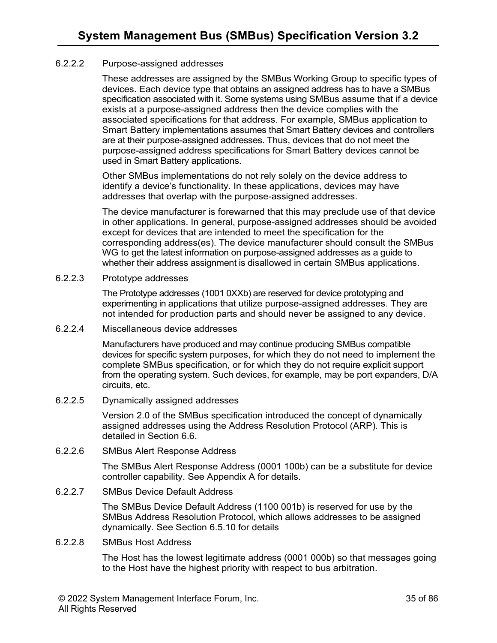#### 6.2.2.2 Purpose-assigned addresses

These addresses are assigned by the SMBus Working Group to specific types of devices. Each device type that obtains an assigned address has to have a SMBus specification associated with it. Some systems using SMBus assume that if a device exists at a purpose-assigned address then the device complies with the associated specifications for that address. For example, SMBus application to Smart Battery implementations assumes that Smart Battery devices and controllers are at their purpose-assigned addresses. Thus, devices that do not meet the purpose-assigned address specifications for Smart Battery devices cannot be used in Smart Battery applications.

Other SMBus implementations do not rely solely on the device address to identify a device's functionality. In these applications, devices may have addresses that overlap with the purpose-assigned addresses.

The device manufacturer is forewarned that this may preclude use of that device in other applications. In general, purpose-assigned addresses should be avoided except for devices that are intended to meet the specification for the corresponding address(es). The device manufacturer should consult the SMBus WG to get the latest information on purpose-assigned addresses as a guide to whether their address assignment is disallowed in certain SMBus applications.

6.2.2.3 Prototype addresses

The Prototype addresses (1001 0XXb) are reserved for device prototyping and experimenting in applications that utilize purpose-assigned addresses. They are not intended for production parts and should never be assigned to any device.

6.2.2.4 Miscellaneous device addresses

Manufacturers have produced and may continue producing SMBus compatible devices for specific system purposes, for which they do not need to implement the complete SMBus specification, or for which they do not require explicit support from the operating system. Such devices, for example, may be port expanders, D/A circuits, etc.

#### 6.2.2.5 Dynamically assigned addresses

Version 2.0 of the SMBus specification introduced the concept of dynamically assigned addresses using the Address Resolution Protocol (ARP). This is detailed in Section 6.6.

6.2.2.6 SMBus Alert Response Address

The SMBus Alert Response Address (0001 100b) can be a substitute for device controller capability. See Appendix A for details.

6.2.2.7 SMBus Device Default Address

The SMBus Device Default Address (1100 001b) is reserved for use by the SMBus Address Resolution Protocol, which allows addresses to be assigned dynamically. See Section 6.5.10 for details

6.2.2.8 SMBus Host Address

The Host has the lowest legitimate address (0001 000b) so that messages going to the Host have the highest priority with respect to bus arbitration.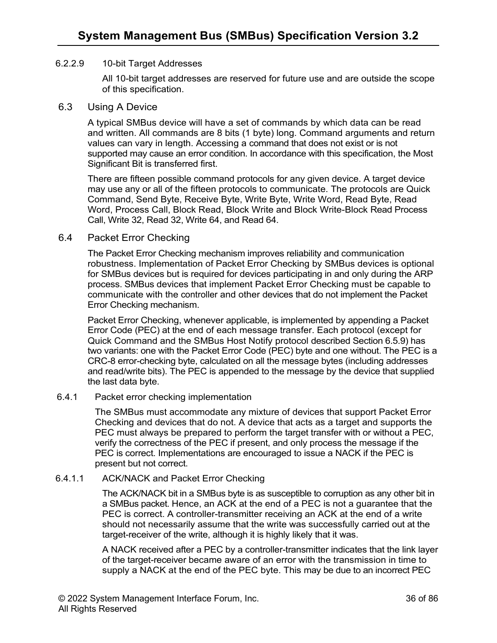#### 6.2.2.9 10-bit Target Addresses

All 10-bit target addresses are reserved for future use and are outside the scope of this specification.

#### <span id="page-35-0"></span>6.3 Using A Device

A typical SMBus device will have a set of commands by which data can be read and written. All commands are 8 bits (1 byte) long. Command arguments and return values can vary in length. Accessing a command that does not exist or is not supported may cause an error condition. In accordance with this specification, the Most Significant Bit is transferred first.

There are fifteen possible command protocols for any given device. A target device may use any or all of the fifteen protocols to communicate. The protocols are Quick Command, Send Byte, Receive Byte, Write Byte, Write Word, Read Byte, Read Word, Process Call, Block Read, Block Write and Block Write-Block Read Process Call, Write 32, Read 32, Write 64, and Read 64.

#### <span id="page-35-1"></span>6.4 Packet Error Checking

The Packet Error Checking mechanism improves reliability and communication robustness. Implementation of Packet Error Checking by SMBus devices is optional for SMBus devices but is required for devices participating in and only during the ARP process. SMBus devices that implement Packet Error Checking must be capable to communicate with the controller and other devices that do not implement the Packet Error Checking mechanism.

Packet Error Checking, whenever applicable, is implemented by appending a Packet Error Code (PEC) at the end of each message transfer. Each protocol (except for Quick Command and the SMBus Host Notify protocol described Section 6.5.9) has two variants: one with the Packet Error Code (PEC) byte and one without. The PEC is a CRC-8 error-checking byte, calculated on all the message bytes (including addresses and read/write bits). The PEC is appended to the message by the device that supplied the last data byte.

#### <span id="page-35-2"></span>6.4.1 Packet error checking implementation

The SMBus must accommodate any mixture of devices that support Packet Error Checking and devices that do not. A device that acts as a target and supports the PEC must always be prepared to perform the target transfer with or without a PEC, verify the correctness of the PEC if present, and only process the message if the PEC is correct. Implementations are encouraged to issue a NACK if the PEC is present but not correct.

#### 6.4.1.1 ACK/NACK and Packet Error Checking

The ACK/NACK bit in a SMBus byte is as susceptible to corruption as any other bit in a SMBus packet. Hence, an ACK at the end of a PEC is not a guarantee that the PEC is correct. A controller-transmitter receiving an ACK at the end of a write should not necessarily assume that the write was successfully carried out at the target-receiver of the write, although it is highly likely that it was.

A NACK received after a PEC by a controller-transmitter indicates that the link layer of the target-receiver became aware of an error with the transmission in time to supply a NACK at the end of the PEC byte. This may be due to an incorrect PEC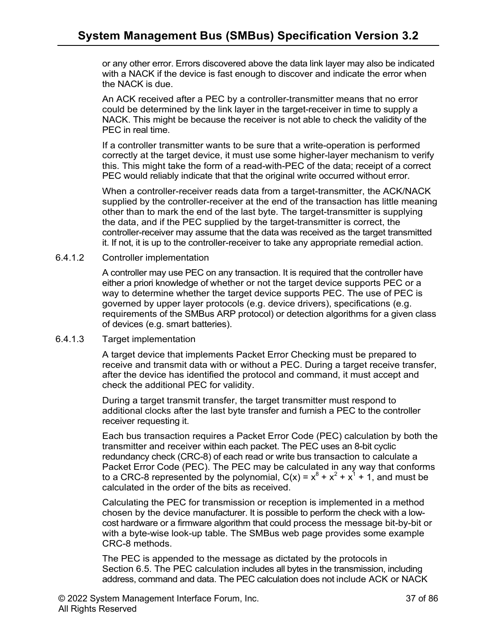or any other error. Errors discovered above the data link layer may also be indicated with a NACK if the device is fast enough to discover and indicate the error when the NACK is due.

An ACK received after a PEC by a controller-transmitter means that no error could be determined by the link layer in the target-receiver in time to supply a NACK. This might be because the receiver is not able to check the validity of the PEC in real time.

If a controller transmitter wants to be sure that a write-operation is performed correctly at the target device, it must use some higher-layer mechanism to verify this. This might take the form of a read-with-PEC of the data; receipt of a correct PEC would reliably indicate that that the original write occurred without error.

When a controller-receiver reads data from a target-transmitter, the ACK/NACK supplied by the controller-receiver at the end of the transaction has little meaning other than to mark the end of the last byte. The target-transmitter is supplying the data, and if the PEC supplied by the target-transmitter is correct, the controller-receiver may assume that the data was received as the target transmitted it. If not, it is up to the controller-receiver to take any appropriate remedial action.

## 6.4.1.2 Controller implementation

A controller may use PEC on any transaction. It is required that the controller have either a priori knowledge of whether or not the target device supports PEC or a way to determine whether the target device supports PEC. The use of PEC is governed by upper layer protocols (e.g. device drivers), specifications (e.g. requirements of the SMBus ARP protocol) or detection algorithms for a given class of devices (e.g. smart batteries).

#### 6.4.1.3 Target implementation

A target device that implements Packet Error Checking must be prepared to receive and transmit data with or without a PEC. During a target receive transfer, after the device has identified the protocol and command, it must accept and check the additional PEC for validity.

During a target transmit transfer, the target transmitter must respond to additional clocks after the last byte transfer and furnish a PEC to the controller receiver requesting it.

Each bus transaction requires a Packet Error Code (PEC) calculation by both the transmitter and receiver within each packet. The PEC uses an 8-bit cyclic redundancy check (CRC-8) of each read or write bus transaction to calculate a Packet Error Code (PEC). The PEC may be calculated in any way that conforms to a CRC-8 represented by the polynomial,  $C(x) = x^8 + x^2 + x^1 + 1$ , and must be calculated in the order of the bits as received.

Calculating the PEC for transmission or reception is implemented in a method chosen by the device manufacturer. It is possible to perform the check with a lowcost hardware or a firmware algorithm that could process the message bit-by-bit or with a byte-wise look-up table. The SMBus web page provides some example CRC-8 methods.

The PEC is appended to the message as dictated by the protocols in Section 6.5. The PEC calculation includes all bytes in the transmission, including address, command and data. The PEC calculation does not include ACK or NACK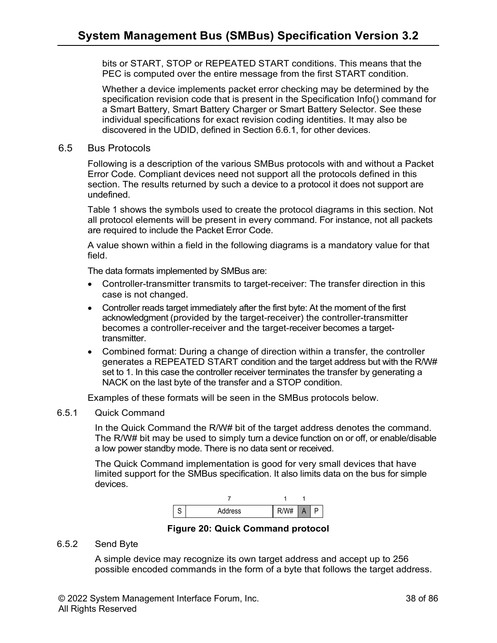bits or START, STOP or REPEATED START conditions. This means that the PEC is computed over the entire message from the first START condition.

Whether a device implements packet error checking may be determined by the specification revision code that is present in the Specification Info() command for a Smart Battery, Smart Battery Charger or Smart Battery Selector. See these individual specifications for exact revision coding identities. It may also be discovered in the UDID, defined in Section 6.6.1, for other devices.

#### 6.5 Bus Protocols

Following is a description of the various SMBus protocols with and without a Packet Error Code. Compliant devices need not support all the protocols defined in this section. The results returned by such a device to a protocol it does not support are undefined.

Table 1 shows the symbols used to create the protocol diagrams in this section. Not all protocol elements will be present in every command. For instance, not all packets are required to include the Packet Error Code.

A value shown within a field in the following diagrams is a mandatory value for that field.

The data formats implemented by SMBus are:

- Controller-transmitter transmits to target-receiver: The transfer direction in this case is not changed.
- Controller reads target immediately after the first byte: At the moment of the first acknowledgment (provided by the target-receiver) the controller-transmitter becomes a controller-receiver and the target-receiver becomes a targettransmitter.
- Combined format: During a change of direction within a transfer, the controller generates a REPEATED START condition and the target address but with the R/W# set to 1. In this case the controller receiver terminates the transfer by generating a NACK on the last byte of the transfer and a STOP condition.

Examples of these formats will be seen in the SMBus protocols below.

#### 6.5.1 Quick Command

In the Quick Command the R/W# bit of the target address denotes the command. The R/W# bit may be used to simply turn a device function on or off, or enable/disable a low power standby mode. There is no data sent or received.

The Quick Command implementation is good for very small devices that have limited support for the SMBus specification. It also limits data on the bus for simple devices.



**Figure 20: Quick Command protocol**

#### 6.5.2 Send Byte

A simple device may recognize its own target address and accept up to 256 possible encoded commands in the form of a byte that follows the target address.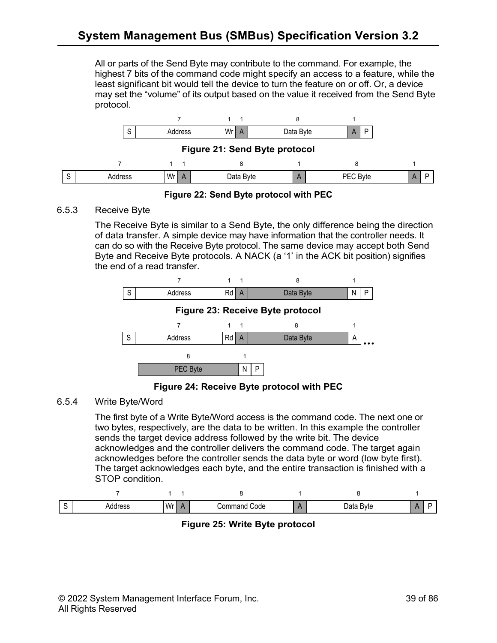All or parts of the Send Byte may contribute to the command. For example, the highest 7 bits of the command code might specify an access to a feature, while the least significant bit would tell the device to turn the feature on or off. Or, a device may set the "volume" of its output based on the value it received from the Send Byte protocol.



**Figure 22: Send Byte protocol with PEC**

## 6.5.3 Receive Byte

The Receive Byte is similar to a Send Byte, the only difference being the direction of data transfer. A simple device may have information that the controller needs. It can do so with the Receive Byte protocol. The same device may accept both Send Byte and Receive Byte protocols. A NACK (a '1' in the ACK bit position) signifies the end of a read transfer.



**Figure 24: Receive Byte protocol with PEC**

## 6.5.4 Write Byte/Word

The first byte of a Write Byte/Word access is the command code. The next one or two bytes, respectively, are the data to be written. In this example the controller sends the target device address followed by the write bit. The device acknowledges and the controller delivers the command code. The target again acknowledges before the controller sends the data byte or word (low byte first). The target acknowledges each byte, and the entire transaction is finished with a STOP condition.

| -<br>◡ | raco<br>.<br>. <b>.</b> . | Wr<br>. . | Code<br>.000 <sup>r</sup><br>manu<br>___ | Bvte<br><b>Data</b> D |  |
|--------|---------------------------|-----------|------------------------------------------|-----------------------|--|

**Figure 25: Write Byte protocol**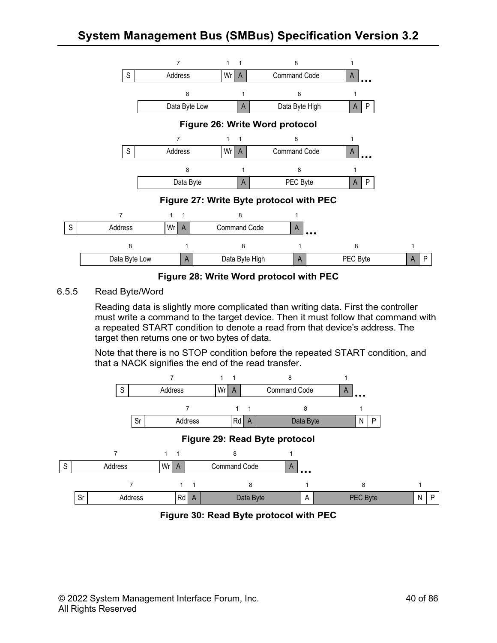

**Figure 28: Write Word protocol with PEC**

## 6.5.5 Read Byte/Word

Reading data is slightly more complicated than writing data. First the controller must write a command to the target device. Then it must follow that command with a repeated START condition to denote a read from that device's address. The target then returns one or two bytes of data.

Note that there is no STOP condition before the repeated START condition, and that a NACK signifies the end of the read transfer.



**Figure 30: Read Byte protocol with PEC**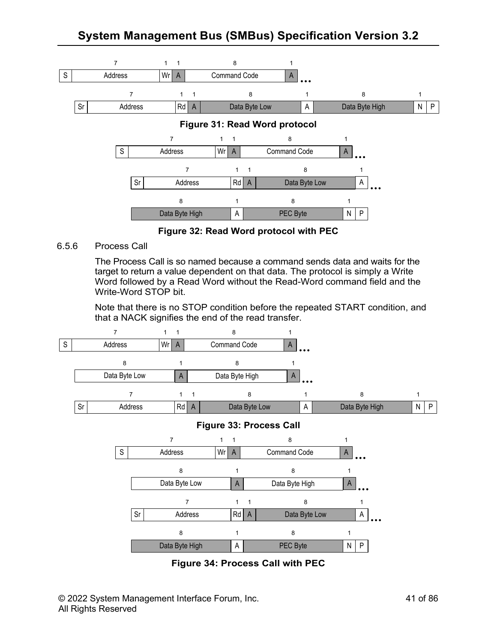

**Figure 32: Read Word protocol with PEC**

6.5.6 Process Call

The Process Call is so named because a command sends data and waits for the target to return a value dependent on that data. The protocol is simply a Write Word followed by a Read Word without the Read-Word command field and the Write-Word STOP bit.

Note that there is no STOP condition before the repeated START condition, and that a NACK signifies the end of the read transfer.



**Figure 34: Process Call with PEC**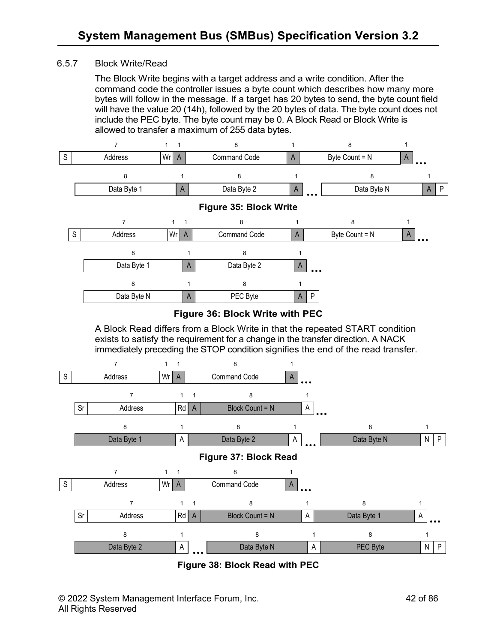## 6.5.7 Block Write/Read

The Block Write begins with a target address and a write condition. After the command code the controller issues a byte count which describes how many more bytes will follow in the message. If a target has 20 bytes to send, the byte count field will have the value 20 (14h), followed by the 20 bytes of data. The byte count does not include the PEC byte. The byte count may be 0. A Block Read or Block Write is allowed to transfer a maximum of 255 data bytes.



**Figure 38: Block Read with PEC**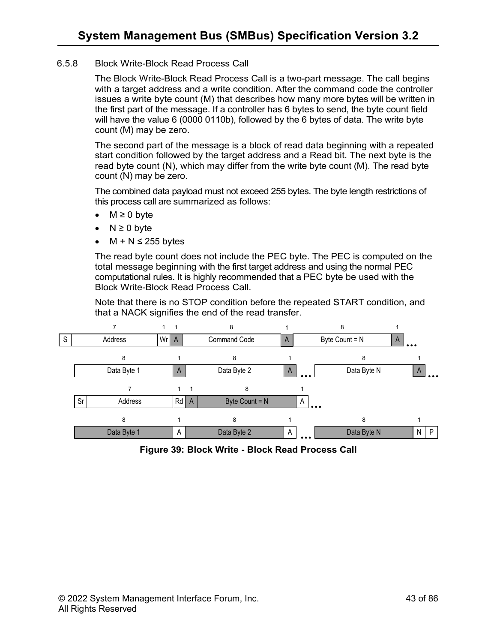#### 6.5.8 Block Write-Block Read Process Call

The Block Write-Block Read Process Call is a two-part message. The call begins with a target address and a write condition. After the command code the controller issues a write byte count (M) that describes how many more bytes will be written in the first part of the message. If a controller has 6 bytes to send, the byte count field will have the value 6 (0000 0110b), followed by the 6 bytes of data. The write byte count (M) may be zero.

The second part of the message is a block of read data beginning with a repeated start condition followed by the target address and a Read bit. The next byte is the read byte count (N), which may differ from the write byte count (M). The read byte count (N) may be zero.

The combined data payload must not exceed 255 bytes. The byte length restrictions of this process call are summarized as follows:

- $M \geq 0$  byte
- $N \geq 0$  byte
- $M + N \leq 255$  bytes

The read byte count does not include the PEC byte. The PEC is computed on the total message beginning with the first target address and using the normal PEC computational rules. It is highly recommended that a PEC byte be used with the Block Write-Block Read Process Call.

Note that there is no STOP condition before the repeated START condition, and that a NACK signifies the end of the read transfer.



**Figure 39: Block Write - Block Read Process Call**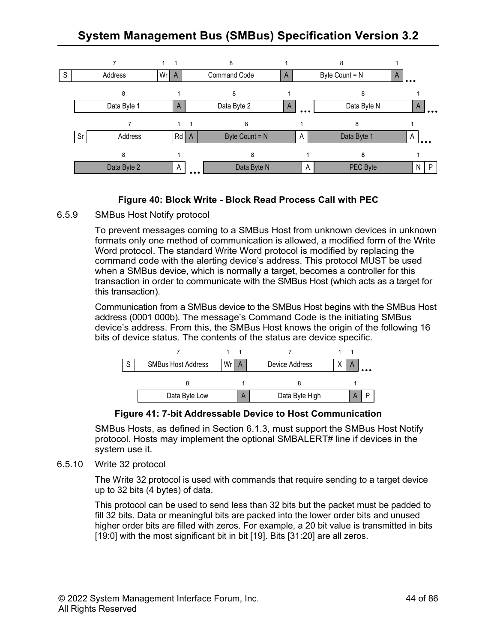

## **Figure 40: Block Write - Block Read Process Call with PEC**

#### 6.5.9 SMBus Host Notify protocol

To prevent messages coming to a SMBus Host from unknown devices in unknown formats only one method of communication is allowed, a modified form of the Write Word protocol. The standard Write Word protocol is modified by replacing the command code with the alerting device's address. This protocol MUST be used when a SMBus device, which is normally a target, becomes a controller for this transaction in order to communicate with the SMBus Host (which acts as a target for this transaction).

Communication from a SMBus device to the SMBus Host begins with the SMBus Host address (0001 000b). The message's Command Code is the initiating SMBus device's address. From this, the SMBus Host knows the origin of the following 16 bits of device status. The contents of the status are device specific.



#### **Figure 41: 7-bit Addressable Device to Host Communication**

SMBus Hosts, as defined in Section 6.1.3, must support the SMBus Host Notify protocol. Hosts may implement the optional SMBALERT# line if devices in the system use it.

#### 6.5.10 Write 32 protocol

The Write 32 protocol is used with commands that require sending to a target device up to 32 bits (4 bytes) of data.

This protocol can be used to send less than 32 bits but the packet must be padded to fill 32 bits. Data or meaningful bits are packed into the lower order bits and unused higher order bits are filled with zeros. For example, a 20 bit value is transmitted in bits [19:0] with the most significant bit in bit [19]. Bits [31:20] are all zeros.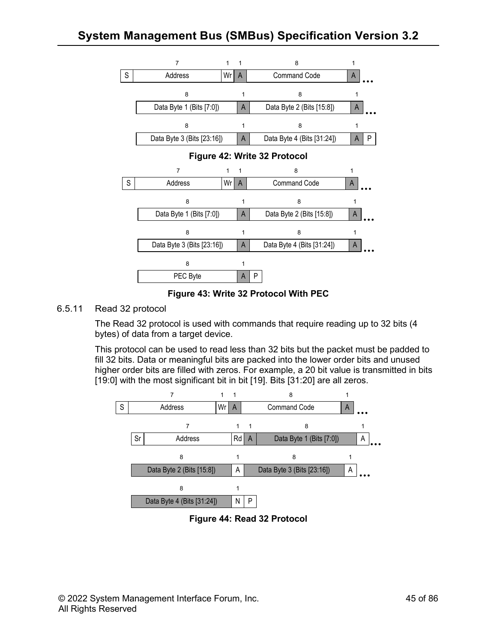

**Figure 43: Write 32 Protocol With PEC**

## 6.5.11 Read 32 protocol

The Read 32 protocol is used with commands that require reading up to 32 bits (4 bytes) of data from a target device.

This protocol can be used to read less than 32 bits but the packet must be padded to fill 32 bits. Data or meaningful bits are packed into the lower order bits and unused higher order bits are filled with zeros. For example, a 20 bit value is transmitted in bits [19:0] with the most significant bit in bit [19]. Bits [31:20] are all zeros.



**Figure 44: Read 32 Protocol**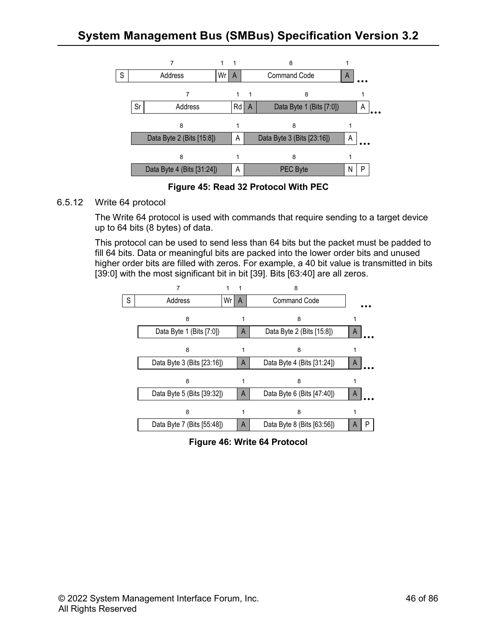

**Figure 45: Read 32 Protocol With PEC**

## 6.5.12 Write 64 protocol

The Write 64 protocol is used with commands that require sending to a target device up to 64 bits (8 bytes) of data.

This protocol can be used to send less than 64 bits but the packet must be padded to fill 64 bits. Data or meaningful bits are packed into the lower order bits and unused higher order bits are filled with zeros. For example, a 40 bit value is transmitted in bits [39:0] with the most significant bit in bit [39]. Bits [63:40] are all zeros.



**Figure 46: Write 64 Protocol**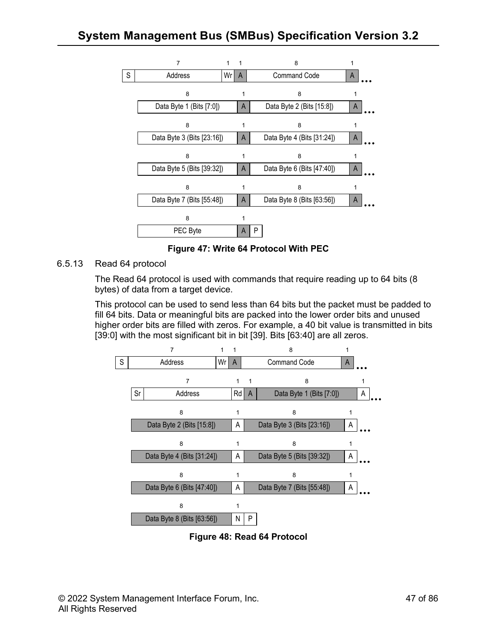

**Figure 47: Write 64 Protocol With PEC**

6.5.13 Read 64 protocol

The Read 64 protocol is used with commands that require reading up to 64 bits (8 bytes) of data from a target device.

This protocol can be used to send less than 64 bits but the packet must be padded to fill 64 bits. Data or meaningful bits are packed into the lower order bits and unused higher order bits are filled with zeros. For example, a 40 bit value is transmitted in bits [39:0] with the most significant bit in bit [39]. Bits [63:40] are all zeros.



**Figure 48: Read 64 Protocol**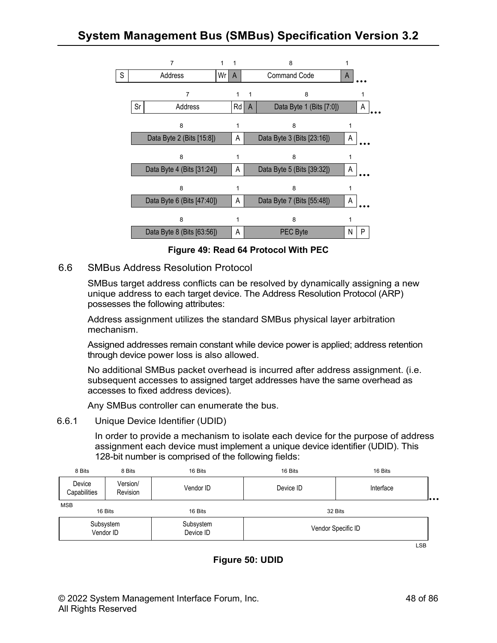

**Figure 49: Read 64 Protocol With PEC**

## 6.6 SMBus Address Resolution Protocol

SMBus target address conflicts can be resolved by dynamically assigning a new unique address to each target device. The Address Resolution Protocol (ARP) possesses the following attributes:

Address assignment utilizes the standard SMBus physical layer arbitration mechanism.

Assigned addresses remain constant while device power is applied; address retention through device power loss is also allowed.

No additional SMBus packet overhead is incurred after address assignment. (i.e. subsequent accesses to assigned target addresses have the same overhead as accesses to fixed address devices).

Any SMBus controller can enumerate the bus.

#### 6.6.1 Unique Device Identifier (UDID)

In order to provide a mechanism to isolate each device for the purpose of address assignment each device must implement a unique device identifier (UDID). This 128-bit number is comprised of the following fields:

| 8 Bits                 | 8 Bits               | 16 Bits                | 16 Bits   | 16 Bits            |   |
|------------------------|----------------------|------------------------|-----------|--------------------|---|
| Device<br>Capabilities | Version/<br>Revision | Vendor ID              | Device ID | Interface          | . |
| <b>MSB</b><br>16 Bits  |                      | 16 Bits                |           | 32 Bits            |   |
| Subsystem<br>Vendor ID |                      | Subsystem<br>Device ID |           | Vendor Specific ID |   |

LSB

## **Figure 50: UDID**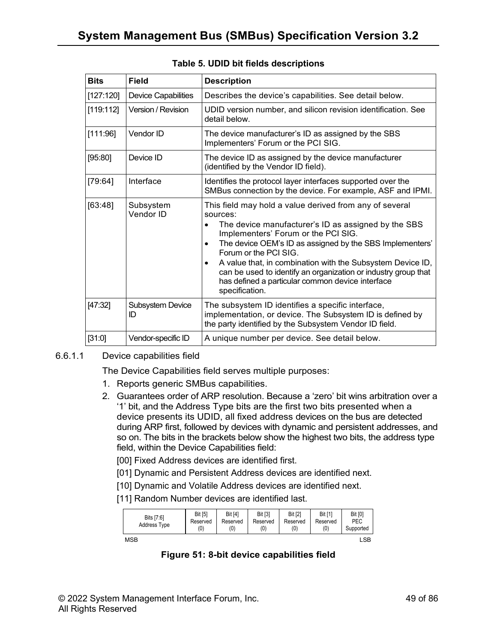| <b>Bits</b> | Field                         | <b>Description</b>                                                                                                                                                                                                                                                                                                                                                                                                                                                                                  |  |  |
|-------------|-------------------------------|-----------------------------------------------------------------------------------------------------------------------------------------------------------------------------------------------------------------------------------------------------------------------------------------------------------------------------------------------------------------------------------------------------------------------------------------------------------------------------------------------------|--|--|
| [127:120]   | <b>Device Capabilities</b>    | Describes the device's capabilities. See detail below.                                                                                                                                                                                                                                                                                                                                                                                                                                              |  |  |
| [119:112]   | Version / Revision            | UDID version number, and silicon revision identification. See<br>detail below.                                                                                                                                                                                                                                                                                                                                                                                                                      |  |  |
| [111:96]    | Vendor ID                     | The device manufacturer's ID as assigned by the SBS<br>Implementers' Forum or the PCI SIG.                                                                                                                                                                                                                                                                                                                                                                                                          |  |  |
| [95:80]     | Device ID                     | The device ID as assigned by the device manufacturer<br>(identified by the Vendor ID field).                                                                                                                                                                                                                                                                                                                                                                                                        |  |  |
| [79:64]     | Interface                     | Identifies the protocol layer interfaces supported over the<br>SMBus connection by the device. For example, ASF and IPMI.                                                                                                                                                                                                                                                                                                                                                                           |  |  |
| [63:48]     | Subsystem<br>Vendor ID        | This field may hold a value derived from any of several<br>sources:<br>The device manufacturer's ID as assigned by the SBS<br>$\bullet$<br>Implementers' Forum or the PCI SIG.<br>The device OEM's ID as assigned by the SBS Implementers'<br>$\bullet$<br>Forum or the PCI SIG.<br>A value that, in combination with the Subsystem Device ID,<br>$\bullet$<br>can be used to identify an organization or industry group that<br>has defined a particular common device interface<br>specification. |  |  |
| [47:32]     | <b>Subsystem Device</b><br>ID | The subsystem ID identifies a specific interface,<br>implementation, or device. The Subsystem ID is defined by<br>the party identified by the Subsystem Vendor ID field.                                                                                                                                                                                                                                                                                                                            |  |  |
| [31:0]      | Vendor-specific ID            | A unique number per device. See detail below.                                                                                                                                                                                                                                                                                                                                                                                                                                                       |  |  |

## **Table 5. UDID bit fields descriptions**

#### 6.6.1.1 Device capabilities field

The Device Capabilities field serves multiple purposes:

- 1. Reports generic SMBus capabilities.
- 2. Guarantees order of ARP resolution. Because a 'zero' bit wins arbitration over a '1' bit, and the Address Type bits are the first two bits presented when a device presents its UDID, all fixed address devices on the bus are detected during ARP first, followed by devices with dynamic and persistent addresses, and so on. The bits in the brackets below show the highest two bits, the address type field, within the Device Capabilities field:
	- [00] Fixed Address devices are identified first.
	- [01] Dynamic and Persistent Address devices are identified next.
	- [10] Dynamic and Volatile Address devices are identified next.
	- [11] Random Number devices are identified last.

| Bits [7:6]<br>Address Type | <b>Bit [5]</b><br>Reserved<br>(0) | <b>Bit [4]</b><br>Reserved<br>(0) | <b>Bit [3]</b><br>Reserved<br>(0) | <b>Bit [2]</b><br>Reserved<br>(0) | <b>Bit [1]</b><br>Reserved<br>(0) | <b>Bit [0]</b><br>PEC<br>Supported |
|----------------------------|-----------------------------------|-----------------------------------|-----------------------------------|-----------------------------------|-----------------------------------|------------------------------------|
| MSB                        |                                   |                                   |                                   |                                   |                                   | ∟SB                                |

**Figure 51: 8-bit device capabilities field**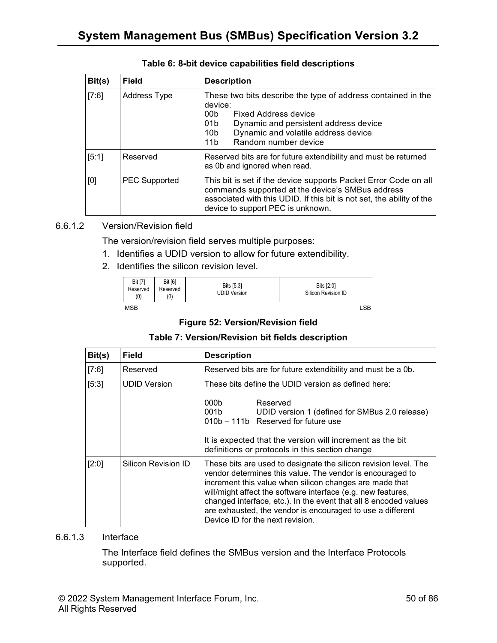| Bit(s) | Field                | <b>Description</b>                                                                                                                                                                                                                                                      |  |
|--------|----------------------|-------------------------------------------------------------------------------------------------------------------------------------------------------------------------------------------------------------------------------------------------------------------------|--|
| [7:6]  | <b>Address Type</b>  | These two bits describe the type of address contained in the<br>device:<br>00 <sub>b</sub><br>Fixed Address device<br>01b<br>Dynamic and persistent address device<br>Dynamic and volatile address device<br>10 <sub>b</sub><br>Random number device<br>11 <sub>b</sub> |  |
| [5:1]  | Reserved             | Reserved bits are for future extendibility and must be returned<br>as 0b and ignored when read.                                                                                                                                                                         |  |
| [0]    | <b>PEC Supported</b> | This bit is set if the device supports Packet Error Code on all<br>commands supported at the device's SMBus address<br>associated with this UDID. If this bit is not set, the ability of the<br>device to support PEC is unknown.                                       |  |

## **Table 6: 8-bit device capabilities field descriptions**

#### 6.6.1.2 Version/Revision field

The version/revision field serves multiple purposes:

- 1. Identifies a UDID version to allow for future extendibility.
- 2. Identifies the silicon revision level.

| <b>Bit [7]</b><br>Reserved<br>(0) | <b>Bit [6]</b><br>Reserved<br>(0) | Bits [5:3]<br><b>UDID Version</b> | Bits [2:0]<br>Silicon Revision ID |            |
|-----------------------------------|-----------------------------------|-----------------------------------|-----------------------------------|------------|
| MSB                               |                                   |                                   |                                   | <b>LSB</b> |

#### **Figure 52: Version/Revision field**

#### **Table 7: Version/Revision bit fields description**

| Bit(s) | <b>Field</b>        | <b>Description</b>                                                                                                                                                                                                                                                                                                                                                                                                             |  |  |
|--------|---------------------|--------------------------------------------------------------------------------------------------------------------------------------------------------------------------------------------------------------------------------------------------------------------------------------------------------------------------------------------------------------------------------------------------------------------------------|--|--|
| [7:6]  | Reserved            | Reserved bits are for future extendibility and must be a 0b.                                                                                                                                                                                                                                                                                                                                                                   |  |  |
| [5:3]  | <b>UDID Version</b> | These bits define the UDID version as defined here:<br>Reserved<br>000 <sub>b</sub><br>001b<br>UDID version 1 (defined for SMBus 2.0 release)<br>010b - 111b Reserved for future use<br>It is expected that the version will increment as the bit<br>definitions or protocols in this section change                                                                                                                           |  |  |
| [2:0]  | Silicon Revision ID | These bits are used to designate the silicon revision level. The<br>vendor determines this value. The vendor is encouraged to<br>increment this value when silicon changes are made that<br>will/might affect the software interface (e.g. new features,<br>changed interface, etc.). In the event that all 8 encoded values<br>are exhausted, the vendor is encouraged to use a different<br>Device ID for the next revision. |  |  |

#### 6.6.1.3 Interface

The Interface field defines the SMBus version and the Interface Protocols supported.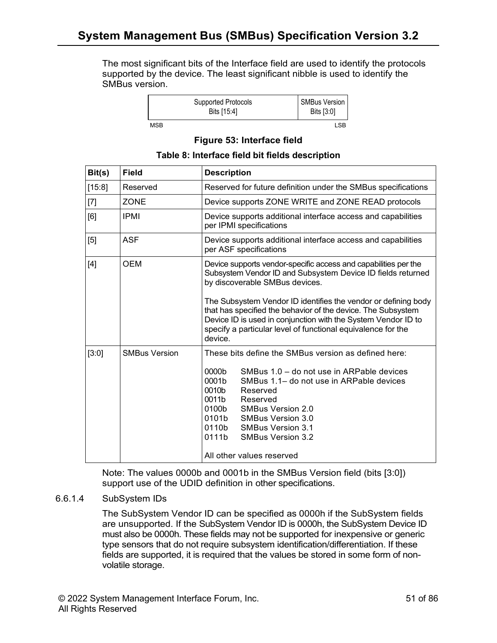The most significant bits of the Interface field are used to identify the protocols supported by the device. The least significant nibble is used to identify the SMBus version.

|     | Supported Protocols<br>Bits [15:4] | <b>SMBus Version</b><br>Bits [3:0] |
|-----|------------------------------------|------------------------------------|
| MSB |                                    | I SB                               |

## **Figure 53: Interface field**

### **Table 8: Interface field bit fields description**

| Bit(s) | <b>Field</b>         | <b>Description</b>                                                                                                                                                                                                                                                                                                                                                                                                                             |  |  |
|--------|----------------------|------------------------------------------------------------------------------------------------------------------------------------------------------------------------------------------------------------------------------------------------------------------------------------------------------------------------------------------------------------------------------------------------------------------------------------------------|--|--|
| [15:8] | Reserved             | Reserved for future definition under the SMBus specifications                                                                                                                                                                                                                                                                                                                                                                                  |  |  |
| $[7]$  | <b>ZONE</b>          | Device supports ZONE WRITE and ZONE READ protocols                                                                                                                                                                                                                                                                                                                                                                                             |  |  |
| [6]    | <b>IPMI</b>          | Device supports additional interface access and capabilities<br>per IPMI specifications                                                                                                                                                                                                                                                                                                                                                        |  |  |
| [5]    | <b>ASF</b>           | Device supports additional interface access and capabilities<br>per ASF specifications                                                                                                                                                                                                                                                                                                                                                         |  |  |
| $[4]$  | OEM                  | Device supports vendor-specific access and capabilities per the<br>Subsystem Vendor ID and Subsystem Device ID fields returned<br>by discoverable SMBus devices.<br>The Subsystem Vendor ID identifies the vendor or defining body<br>that has specified the behavior of the device. The Subsystem<br>Device ID is used in conjunction with the System Vendor ID to<br>specify a particular level of functional equivalence for the<br>device. |  |  |
| [3:0]  | <b>SMBus Version</b> | These bits define the SMBus version as defined here:<br>0000b<br>SMBus 1.0 - do not use in ARPable devices<br>0001b<br>SMBus 1.1– do not use in ARPable devices<br>0010b<br>Reserved<br>0011b<br>Reserved<br>0100b<br><b>SMBus Version 2.0</b><br>0101b SMBus Version 3.0<br>0110b SMBus Version 3.1<br>0111b<br><b>SMBus Version 3.2</b><br>All other values reserved                                                                         |  |  |

Note: The values 0000b and 0001b in the SMBus Version field (bits [3:0]) support use of the UDID definition in other specifications.

#### 6.6.1.4 SubSystem IDs

The SubSystem Vendor ID can be specified as 0000h if the SubSystem fields are unsupported. If the SubSystem Vendor ID is 0000h, the SubSystem Device ID must also be 0000h. These fields may not be supported for inexpensive or generic type sensors that do not require subsystem identification/differentiation. If these fields are supported, it is required that the values be stored in some form of nonvolatile storage.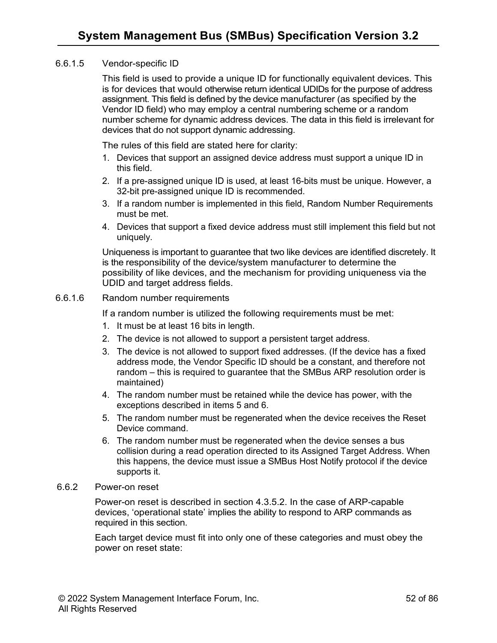#### 6.6.1.5 Vendor-specific ID

This field is used to provide a unique ID for functionally equivalent devices. This is for devices that would otherwise return identical UDIDs for the purpose of address assignment. This field is defined by the device manufacturer (as specified by the Vendor ID field) who may employ a central numbering scheme or a random number scheme for dynamic address devices. The data in this field is irrelevant for devices that do not support dynamic addressing.

The rules of this field are stated here for clarity:

- 1. Devices that support an assigned device address must support a unique ID in this field.
- 2. If a pre-assigned unique ID is used, at least 16-bits must be unique. However, a 32-bit pre-assigned unique ID is recommended.
- 3. If a random number is implemented in this field, Random Number Requirements must be met.
- 4. Devices that support a fixed device address must still implement this field but not uniquely.

Uniqueness is important to guarantee that two like devices are identified discretely. It is the responsibility of the device/system manufacturer to determine the possibility of like devices, and the mechanism for providing uniqueness via the UDID and target address fields.

#### 6.6.1.6 Random number requirements

If a random number is utilized the following requirements must be met:

- 1. It must be at least 16 bits in length.
- 2. The device is not allowed to support a persistent target address.
- 3. The device is not allowed to support fixed addresses. (If the device has a fixed address mode, the Vendor Specific ID should be a constant, and therefore not random – this is required to guarantee that the SMBus ARP resolution order is maintained)
- 4. The random number must be retained while the device has power, with the exceptions described in items 5 and 6.
- 5. The random number must be regenerated when the device receives the Reset Device command.
- 6. The random number must be regenerated when the device senses a bus collision during a read operation directed to its Assigned Target Address. When this happens, the device must issue a SMBus Host Notify protocol if the device supports it.

#### 6.6.2 Power-on reset

Power-on reset is described in section 4.3.5.2. In the case of ARP-capable devices, 'operational state' implies the ability to respond to ARP commands as required in this section.

Each target device must fit into only one of these categories and must obey the power on reset state: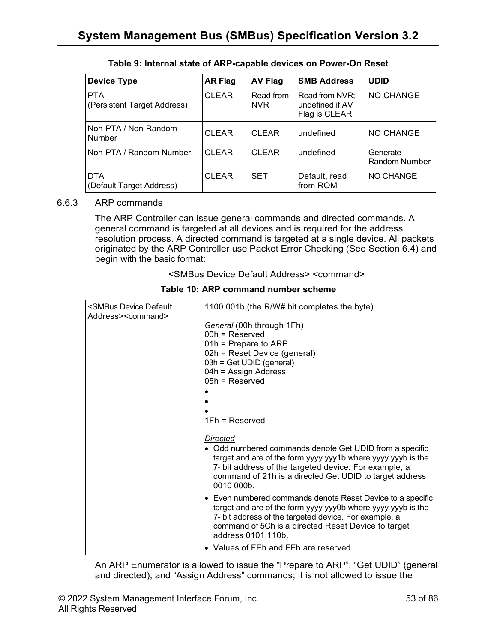| <b>Device Type</b>                        | <b>AR Flag</b> | <b>AV Flag</b>          | <b>SMB Address</b>                                 | <b>UDID</b>               |
|-------------------------------------------|----------------|-------------------------|----------------------------------------------------|---------------------------|
| <b>PTA</b><br>(Persistent Target Address) | <b>CLEAR</b>   | Read from<br><b>NVR</b> | Read from NVR;<br>undefined if AV<br>Flag is CLEAR | NO CHANGE                 |
| Non-PTA / Non-Random<br><b>Number</b>     | <b>CLEAR</b>   | <b>CLEAR</b>            | undefined                                          | NO CHANGE                 |
| Non-PTA / Random Number                   | <b>CLEAR</b>   | <b>CLEAR</b>            | undefined                                          | Generate<br>Random Number |
| <b>DTA</b><br>(Default Target Address)    | <b>CLEAR</b>   | <b>SET</b>              | Default, read<br>from ROM                          | NO CHANGE                 |

## **Table 9: Internal state of ARP-capable devices on Power-On Reset**

#### 6.6.3 ARP commands

The ARP Controller can issue general commands and directed commands. A general command is targeted at all devices and is required for the address resolution process. A directed command is targeted at a single device. All packets originated by the ARP Controller use Packet Error Checking (See Section 6.4) and begin with the basic format:

<SMBus Device Default Address> <command>

| <smbus default<br="" device="">Address&gt;<command/></smbus> | 1100 001b (the R/W# bit completes the byte)                                                                                                                                                                                                                           |
|--------------------------------------------------------------|-----------------------------------------------------------------------------------------------------------------------------------------------------------------------------------------------------------------------------------------------------------------------|
|                                                              | General (00h through 1Fh)<br>$00h$ = Reserved<br>$01h$ = Prepare to ARP<br>02h = Reset Device (general)<br>$03h = Get UDID (general)$<br>$04h =$ Assign Address<br>$05h$ = Reserved                                                                                   |
|                                                              | $1Fh =$ Reserved                                                                                                                                                                                                                                                      |
|                                                              | Directed<br>• Odd numbered commands denote Get UDID from a specific<br>target and are of the form yyyy yyy1b where yyyy yyyb is the<br>7- bit address of the targeted device. For example, a<br>command of 21h is a directed Get UDID to target address<br>0010 000b. |
|                                                              | • Even numbered commands denote Reset Device to a specific<br>target and are of the form yyyy yyy0b where yyyy yyyb is the<br>7- bit address of the targeted device. For example, a<br>command of 5Ch is a directed Reset Device to target<br>address 0101 110b.      |
|                                                              | • Values of FEh and FFh are reserved                                                                                                                                                                                                                                  |

**Table 10: ARP command number scheme**

An ARP Enumerator is allowed to issue the "Prepare to ARP", "Get UDID" (general and directed), and "Assign Address" commands; it is not allowed to issue the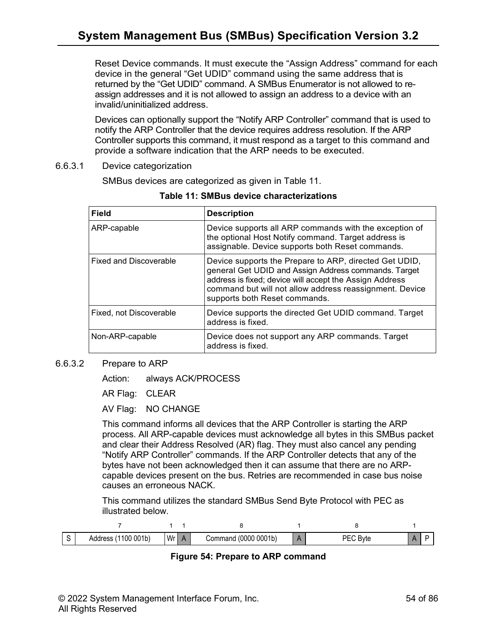Reset Device commands. It must execute the "Assign Address" command for each device in the general "Get UDID" command using the same address that is returned by the "Get UDID" command. A SMBus Enumerator is not allowed to reassign addresses and it is not allowed to assign an address to a device with an invalid/uninitialized address.

Devices can optionally support the "Notify ARP Controller" command that is used to notify the ARP Controller that the device requires address resolution. If the ARP Controller supports this command, it must respond as a target to this command and provide a software indication that the ARP needs to be executed.

6.6.3.1 Device categorization

SMBus devices are categorized as given in Table 11.

| <b>Field</b>                  | <b>Description</b>                                                                                                                                                                                                                                                    |
|-------------------------------|-----------------------------------------------------------------------------------------------------------------------------------------------------------------------------------------------------------------------------------------------------------------------|
| ARP-capable                   | Device supports all ARP commands with the exception of<br>the optional Host Notify command. Target address is<br>assignable. Device supports both Reset commands.                                                                                                     |
| <b>Fixed and Discoverable</b> | Device supports the Prepare to ARP, directed Get UDID,<br>general Get UDID and Assign Address commands. Target<br>address is fixed; device will accept the Assign Address<br>command but will not allow address reassignment. Device<br>supports both Reset commands. |
| Fixed, not Discoverable       | Device supports the directed Get UDID command. Target<br>address is fixed.                                                                                                                                                                                            |
| Non-ARP-capable               | Device does not support any ARP commands. Target<br>address is fixed.                                                                                                                                                                                                 |

**Table 11: SMBus device characterizations**

#### 6.6.3.2 Prepare to ARP

Action: always ACK/PROCESS

AR Flag: CLEAR

AV Flag: NO CHANGE

This command informs all devices that the ARP Controller is starting the ARP process. All ARP-capable devices must acknowledge all bytes in this SMBus packet and clear their Address Resolved (AR) flag. They must also cancel any pending "Notify ARP Controller" commands. If the ARP Controller detects that any of the bytes have not been acknowledged then it can assume that there are no ARPcapable devices present on the bus. Retries are recommended in case bus noise causes an erroneous NACK.

This command utilizes the standard SMBus Send Byte Protocol with PEC as illustrated below.

| ◡ | 001 <sub>b</sub><br>100<br>Address | Wr | (00000001b)<br>لiommand | <b>B</b> yte<br>$-$ |  |
|---|------------------------------------|----|-------------------------|---------------------|--|

**Figure 54: Prepare to ARP command**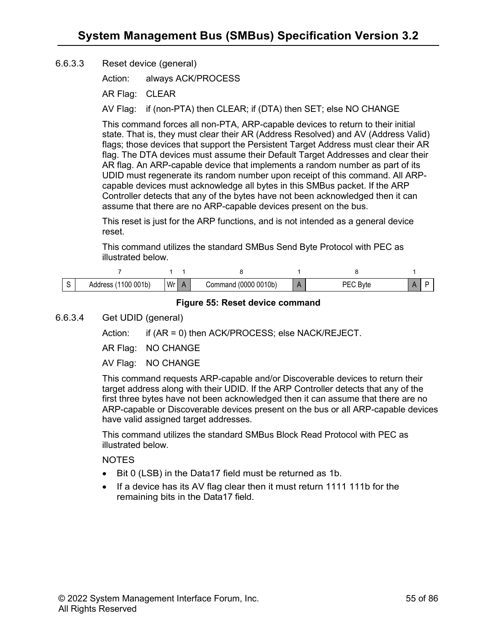### 6.6.3.3 Reset device (general)

Action: always ACK/PROCESS

AR Flag: CLEAR

AV Flag: if (non-PTA) then CLEAR; if (DTA) then SET; else NO CHANGE

This command forces all non-PTA, ARP-capable devices to return to their initial state. That is, they must clear their AR (Address Resolved) and AV (Address Valid) flags; those devices that support the Persistent Target Address must clear their AR flag. The DTA devices must assume their Default Target Addresses and clear their AR flag. An ARP-capable device that implements a random number as part of its UDID must regenerate its random number upon receipt of this command. All ARPcapable devices must acknowledge all bytes in this SMBus packet. If the ARP Controller detects that any of the bytes have not been acknowledged then it can assume that there are no ARP-capable devices present on the bus.

This reset is just for the ARP functions, and is not intended as a general device reset.

This command utilizes the standard SMBus Send Byte Protocol with PEC as illustrated below.

| 001 <sub>b</sub><br>00 | Wr | (00000010b)<br>∴omr<br>nano | y เত |  |
|------------------------|----|-----------------------------|------|--|

#### **Figure 55: Reset device command**

## 6.6.3.4 Get UDID (general)

Action: if (AR = 0) then ACK/PROCESS; else NACK/REJECT.

AR Flag: NO CHANGE

AV Flag: NO CHANGE

This command requests ARP-capable and/or Discoverable devices to return their target address along with their UDID. If the ARP Controller detects that any of the first three bytes have not been acknowledged then it can assume that there are no ARP-capable or Discoverable devices present on the bus or all ARP-capable devices have valid assigned target addresses.

This command utilizes the standard SMBus Block Read Protocol with PEC as illustrated below.

**NOTES** 

- Bit 0 (LSB) in the Data17 field must be returned as 1b.
- If a device has its AV flag clear then it must return 1111 111b for the remaining bits in the Data17 field.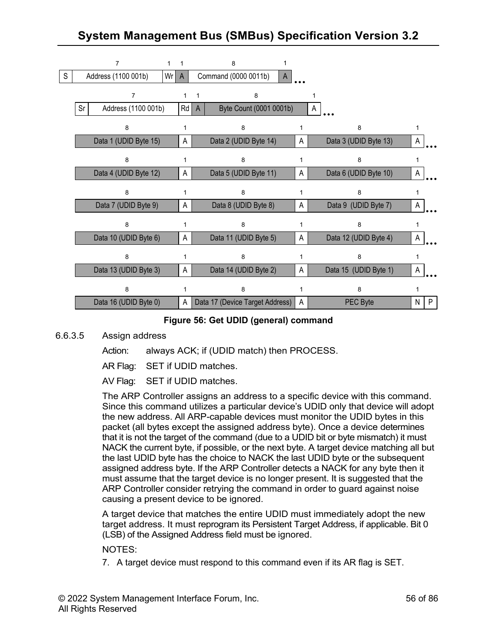# **System Management Bus (SMBus) Specification Version [3.2](#page-1-0)**



#### **Figure 56: Get UDID (general) command**

#### 6.6.3.5 Assign address

Action: always ACK; if (UDID match) then PROCESS.

AR Flag: SET if UDID matches.

AV Flag: SET if UDID matches.

The ARP Controller assigns an address to a specific device with this command. Since this command utilizes a particular device's UDID only that device will adopt the new address. All ARP-capable devices must monitor the UDID bytes in this packet (all bytes except the assigned address byte). Once a device determines that it is not the target of the command (due to a UDID bit or byte mismatch) it must NACK the current byte, if possible, or the next byte. A target device matching all but the last UDID byte has the choice to NACK the last UDID byte or the subsequent assigned address byte. If the ARP Controller detects a NACK for any byte then it must assume that the target device is no longer present. It is suggested that the ARP Controller consider retrying the command in order to guard against noise causing a present device to be ignored.

A target device that matches the entire UDID must immediately adopt the new target address. It must reprogram its Persistent Target Address, if applicable. Bit 0 (LSB) of the Assigned Address field must be ignored.

NOTES:

7. A target device must respond to this command even if its AR flag is SET.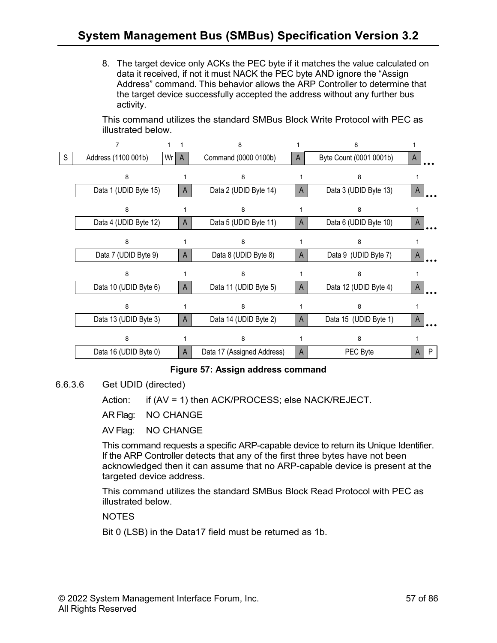8. The target device only ACKs the PEC byte if it matches the value calculated on data it received, if not it must NACK the PEC byte AND ignore the "Assign Address" command. This behavior allows the ARP Controller to determine that the target device successfully accepted the address without any further bus activity.

This command utilizes the standard SMBus Block Write Protocol with PEC as illustrated below.

|   |                       |    |              | 8                          |   | 8                       |              |
|---|-----------------------|----|--------------|----------------------------|---|-------------------------|--------------|
| S | Address (1100 001b)   | Wr | $\mathsf{A}$ | Command (0000 0100b)       | A | Byte Count (0001 0001b) | $\mathsf{A}$ |
|   | 8                     |    |              | 8                          |   | 8                       |              |
|   | Data 1 (UDID Byte 15) |    | A            | Data 2 (UDID Byte 14)      | A | Data 3 (UDID Byte 13)   | A            |
|   | 8                     |    |              | 8                          |   | 8                       |              |
|   | Data 4 (UDID Byte 12) |    | A            | Data 5 (UDID Byte 11)      | A | Data 6 (UDID Byte 10)   | A            |
|   | 8                     |    |              | 8                          |   | 8                       |              |
|   | Data 7 (UDID Byte 9)  |    | A            | Data 8 (UDID Byte 8)       | A | Data 9 (UDID Byte 7)    | A            |
|   | 8                     |    |              | 8                          |   | 8                       |              |
|   | Data 10 (UDID Byte 6) |    | A            | Data 11 (UDID Byte 5)      | A | Data 12 (UDID Byte 4)   | A            |
|   | 8                     |    |              | 8                          |   | 8                       |              |
|   | Data 13 (UDID Byte 3) |    | A            | Data 14 (UDID Byte 2)      | A | Data 15 (UDID Byte 1)   | A            |
|   | 8                     |    | 1            | 8                          |   | 8                       |              |
|   | Data 16 (UDID Byte 0) |    | A            | Data 17 (Assigned Address) | A | PEC Byte                | P<br>A       |

## **Figure 57: Assign address command**

6.6.3.6 Get UDID (directed)

Action: if (AV = 1) then ACK/PROCESS; else NACK/REJECT.

AR Flag: NO CHANGE

AV Flag: NO CHANGE

This command requests a specific ARP-capable device to return its Unique Identifier. If the ARP Controller detects that any of the first three bytes have not been acknowledged then it can assume that no ARP-capable device is present at the targeted device address.

This command utilizes the standard SMBus Block Read Protocol with PEC as illustrated below.

NOTES

Bit 0 (LSB) in the Data17 field must be returned as 1b.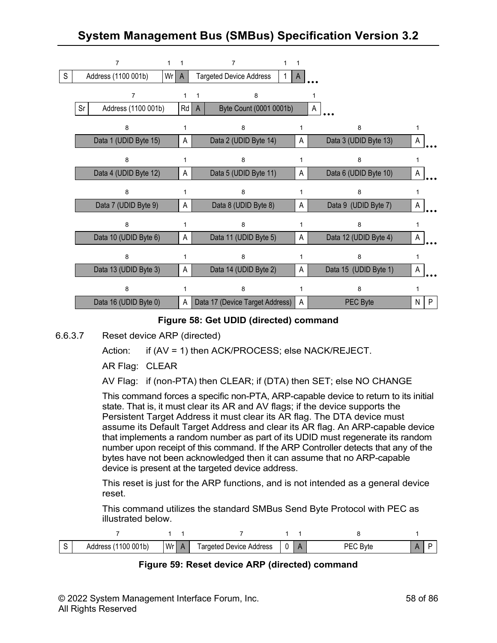# **System Management Bus (SMBus) Specification Version [3.2](#page-1-0)**



#### **Figure 58: Get UDID (directed) command**

6.6.3.7 Reset device ARP (directed)

Action: if (AV = 1) then ACK/PROCESS; else NACK/REJECT.

AR Flag: CLEAR

AV Flag: if (non-PTA) then CLEAR; if (DTA) then SET; else NO CHANGE

This command forces a specific non-PTA, ARP-capable device to return to its initial state. That is, it must clear its AR and AV flags; if the device supports the Persistent Target Address it must clear its AR flag. The DTA device must assume its Default Target Address and clear its AR flag. An ARP-capable device that implements a random number as part of its UDID must regenerate its random number upon receipt of this command. If the ARP Controller detects that any of the bytes have not been acknowledged then it can assume that no ARP-capable device is present at the targeted device address.

This reset is just for the ARP functions, and is not intended as a general device reset.

This command utilizes the standard SMBus Send Byte Protocol with PEC as illustrated below.

| ◡ | 001 <sub>b</sub><br>0C | Wr <sub>1</sub> | l argete<br>$\rho$ evice<br>Address<br>aered |  | $\sim$ |  |
|---|------------------------|-----------------|----------------------------------------------|--|--------|--|

**Figure 59: Reset device ARP (directed) command**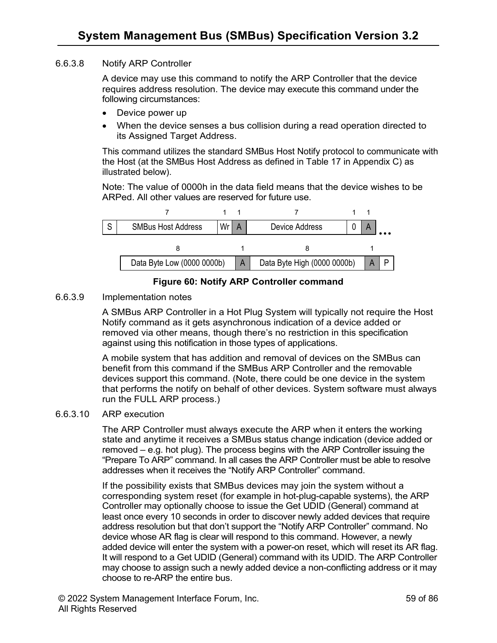#### 6.6.3.8 Notify ARP Controller

A device may use this command to notify the ARP Controller that the device requires address resolution. The device may execute this command under the following circumstances:

- Device power up
- When the device senses a bus collision during a read operation directed to its Assigned Target Address.

This command utilizes the standard SMBus Host Notify protocol to communicate with the Host (at the SMBus Host Address as defined in Table 17 in Appendix C) as illustrated below).

Note: The value of 0000h in the data field means that the device wishes to be ARPed. All other values are reserved for future use.



**Figure 60: Notify ARP Controller command**

6.6.3.9 Implementation notes

A SMBus ARP Controller in a Hot Plug System will typically not require the Host Notify command as it gets asynchronous indication of a device added or removed via other means, though there's no restriction in this specification against using this notification in those types of applications.

A mobile system that has addition and removal of devices on the SMBus can benefit from this command if the SMBus ARP Controller and the removable devices support this command. (Note, there could be one device in the system that performs the notify on behalf of other devices. System software must always run the FULL ARP process.)

#### 6.6.3.10 ARP execution

The ARP Controller must always execute the ARP when it enters the working state and anytime it receives a SMBus status change indication (device added or removed – e.g. hot plug). The process begins with the ARP Controller issuing the "Prepare To ARP" command. In all cases the ARP Controller must be able to resolve addresses when it receives the "Notify ARP Controller" command.

If the possibility exists that SMBus devices may join the system without a corresponding system reset (for example in hot-plug-capable systems), the ARP Controller may optionally choose to issue the Get UDID (General) command at least once every 10 seconds in order to discover newly added devices that require address resolution but that don't support the "Notify ARP Controller" command. No device whose AR flag is clear will respond to this command. However, a newly added device will enter the system with a power-on reset, which will reset its AR flag. It will respond to a Get UDID (General) command with its UDID. The ARP Controller may choose to assign such a newly added device a non-conflicting address or it may choose to re-ARP the entire bus.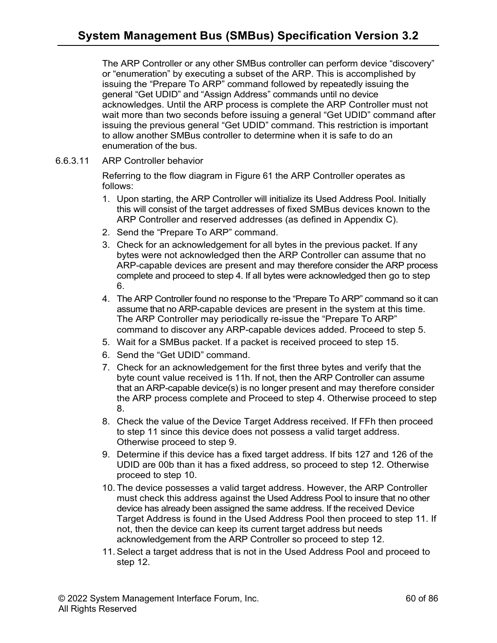The ARP Controller or any other SMBus controller can perform device "discovery" or "enumeration" by executing a subset of the ARP. This is accomplished by issuing the "Prepare To ARP" command followed by repeatedly issuing the general "Get UDID" and "Assign Address" commands until no device acknowledges. Until the ARP process is complete the ARP Controller must not wait more than two seconds before issuing a general "Get UDID" command after issuing the previous general "Get UDID" command. This restriction is important to allow another SMBus controller to determine when it is safe to do an enumeration of the bus.

6.6.3.11 ARP Controller behavior

Referring to the flow diagram in Figure 61 the ARP Controller operates as follows:

- 1. Upon starting, the ARP Controller will initialize its Used Address Pool. Initially this will consist of the target addresses of fixed SMBus devices known to the ARP Controller and reserved addresses (as defined in Appendix C).
- 2. Send the "Prepare To ARP" command.
- 3. Check for an acknowledgement for all bytes in the previous packet. If any bytes were not acknowledged then the ARP Controller can assume that no ARP-capable devices are present and may therefore consider the ARP process complete and proceed to step 4. If all bytes were acknowledged then go to step 6.
- 4. The ARP Controller found no response to the "Prepare To ARP" command so it can assume that no ARP-capable devices are present in the system at this time. The ARP Controller may periodically re-issue the "Prepare To ARP" command to discover any ARP-capable devices added. Proceed to step 5.
- 5. Wait for a SMBus packet. If a packet is received proceed to step 15.
- 6. Send the "Get UDID" command.
- 7. Check for an acknowledgement for the first three bytes and verify that the byte count value received is 11h. If not, then the ARP Controller can assume that an ARP-capable device(s) is no longer present and may therefore consider the ARP process complete and Proceed to step 4. Otherwise proceed to step 8.
- 8. Check the value of the Device Target Address received. If FFh then proceed to step 11 since this device does not possess a valid target address. Otherwise proceed to step 9.
- 9. Determine if this device has a fixed target address. If bits 127 and 126 of the UDID are 00b than it has a fixed address, so proceed to step 12. Otherwise proceed to step 10.
- 10. The device possesses a valid target address. However, the ARP Controller must check this address against the Used Address Pool to insure that no other device has already been assigned the same address. If the received Device Target Address is found in the Used Address Pool then proceed to step 11. If not, then the device can keep its current target address but needs acknowledgement from the ARP Controller so proceed to step 12.
- 11.Select a target address that is not in the Used Address Pool and proceed to step 12.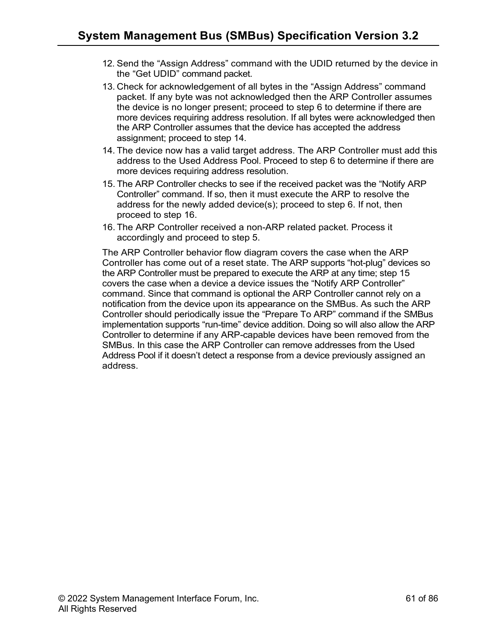- 12. Send the "Assign Address" command with the UDID returned by the device in the "Get UDID" command packet.
- 13. Check for acknowledgement of all bytes in the "Assign Address" command packet. If any byte was not acknowledged then the ARP Controller assumes the device is no longer present; proceed to step 6 to determine if there are more devices requiring address resolution. If all bytes were acknowledged then the ARP Controller assumes that the device has accepted the address assignment; proceed to step 14.
- 14. The device now has a valid target address. The ARP Controller must add this address to the Used Address Pool. Proceed to step 6 to determine if there are more devices requiring address resolution.
- 15. The ARP Controller checks to see if the received packet was the "Notify ARP Controller" command. If so, then it must execute the ARP to resolve the address for the newly added device(s); proceed to step 6. If not, then proceed to step 16.
- 16. The ARP Controller received a non-ARP related packet. Process it accordingly and proceed to step 5.

The ARP Controller behavior flow diagram covers the case when the ARP Controller has come out of a reset state. The ARP supports "hot-plug" devices so the ARP Controller must be prepared to execute the ARP at any time; step 15 covers the case when a device a device issues the "Notify ARP Controller" command. Since that command is optional the ARP Controller cannot rely on a notification from the device upon its appearance on the SMBus. As such the ARP Controller should periodically issue the "Prepare To ARP" command if the SMBus implementation supports "run-time" device addition. Doing so will also allow the ARP Controller to determine if any ARP-capable devices have been removed from the SMBus. In this case the ARP Controller can remove addresses from the Used Address Pool if it doesn't detect a response from a device previously assigned an address.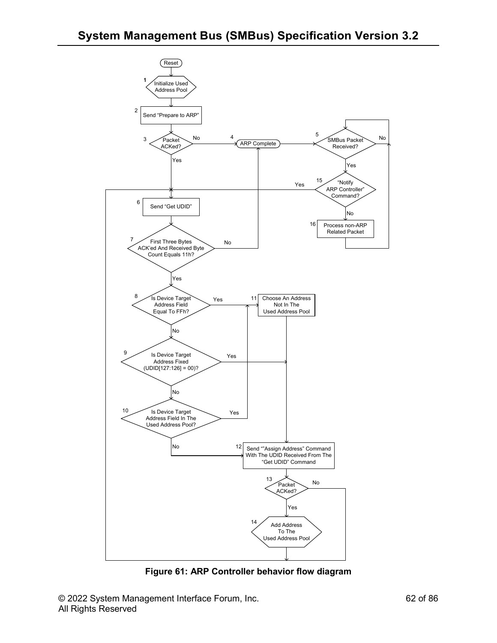

**Figure 61: ARP Controller behavior flow diagram**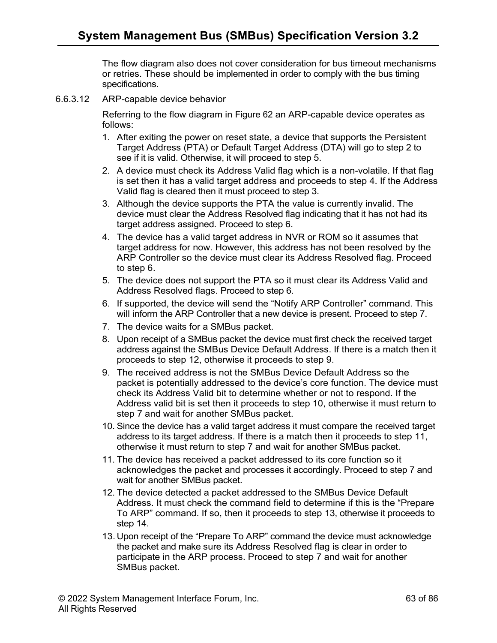The flow diagram also does not cover consideration for bus timeout mechanisms or retries. These should be implemented in order to comply with the bus timing specifications.

6.6.3.12 ARP-capable device behavior

Referring to the flow diagram in Figure 62 an ARP-capable device operates as follows:

- 1. After exiting the power on reset state, a device that supports the Persistent Target Address (PTA) or Default Target Address (DTA) will go to step 2 to see if it is valid. Otherwise, it will proceed to step 5.
- 2. A device must check its Address Valid flag which is a non-volatile. If that flag is set then it has a valid target address and proceeds to step 4. If the Address Valid flag is cleared then it must proceed to step 3.
- 3. Although the device supports the PTA the value is currently invalid. The device must clear the Address Resolved flag indicating that it has not had its target address assigned. Proceed to step 6.
- 4. The device has a valid target address in NVR or ROM so it assumes that target address for now. However, this address has not been resolved by the ARP Controller so the device must clear its Address Resolved flag. Proceed to step 6.
- 5. The device does not support the PTA so it must clear its Address Valid and Address Resolved flags. Proceed to step 6.
- 6. If supported, the device will send the "Notify ARP Controller" command. This will inform the ARP Controller that a new device is present. Proceed to step 7.
- 7. The device waits for a SMBus packet.
- 8. Upon receipt of a SMBus packet the device must first check the received target address against the SMBus Device Default Address. If there is a match then it proceeds to step 12, otherwise it proceeds to step 9.
- 9. The received address is not the SMBus Device Default Address so the packet is potentially addressed to the device's core function. The device must check its Address Valid bit to determine whether or not to respond. If the Address valid bit is set then it proceeds to step 10, otherwise it must return to step 7 and wait for another SMBus packet.
- 10. Since the device has a valid target address it must compare the received target address to its target address. If there is a match then it proceeds to step 11, otherwise it must return to step 7 and wait for another SMBus packet.
- 11. The device has received a packet addressed to its core function so it acknowledges the packet and processes it accordingly. Proceed to step 7 and wait for another SMBus packet.
- 12. The device detected a packet addressed to the SMBus Device Default Address. It must check the command field to determine if this is the "Prepare To ARP" command. If so, then it proceeds to step 13, otherwise it proceeds to step 14.
- 13. Upon receipt of the "Prepare To ARP" command the device must acknowledge the packet and make sure its Address Resolved flag is clear in order to participate in the ARP process. Proceed to step 7 and wait for another SMBus packet.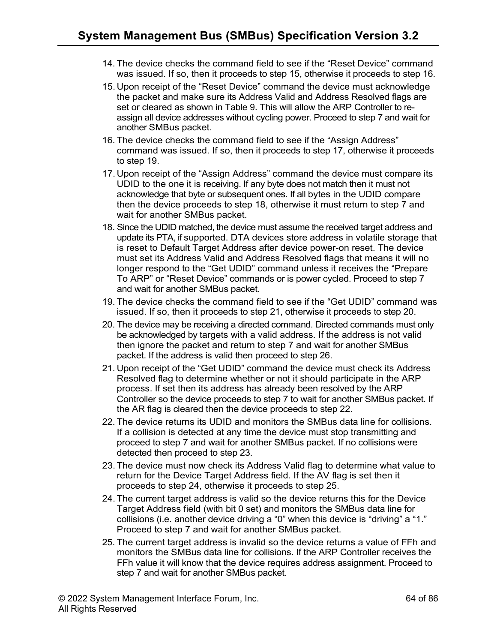- 14. The device checks the command field to see if the "Reset Device" command was issued. If so, then it proceeds to step 15, otherwise it proceeds to step 16.
- 15. Upon receipt of the "Reset Device" command the device must acknowledge the packet and make sure its Address Valid and Address Resolved flags are set or cleared as shown in Table 9. This will allow the ARP Controller to reassign all device addresses without cycling power. Proceed to step 7 and wait for another SMBus packet.
- 16. The device checks the command field to see if the "Assign Address" command was issued. If so, then it proceeds to step 17, otherwise it proceeds to step 19.
- 17. Upon receipt of the "Assign Address" command the device must compare its UDID to the one it is receiving. If any byte does not match then it must not acknowledge that byte or subsequent ones. If all bytes in the UDID compare then the device proceeds to step 18, otherwise it must return to step 7 and wait for another SMBus packet.
- 18. Since the UDID matched, the device must assume the received target address and update its PTA, if supported. DTA devices store address in volatile storage that is reset to Default Target Address after device power-on reset. The device must set its Address Valid and Address Resolved flags that means it will no longer respond to the "Get UDID" command unless it receives the "Prepare To ARP" or "Reset Device" commands or is power cycled. Proceed to step 7 and wait for another SMBus packet.
- 19. The device checks the command field to see if the "Get UDID" command was issued. If so, then it proceeds to step 21, otherwise it proceeds to step 20.
- 20. The device may be receiving a directed command. Directed commands must only be acknowledged by targets with a valid address. If the address is not valid then ignore the packet and return to step 7 and wait for another SMBus packet. If the address is valid then proceed to step 26.
- 21. Upon receipt of the "Get UDID" command the device must check its Address Resolved flag to determine whether or not it should participate in the ARP process. If set then its address has already been resolved by the ARP Controller so the device proceeds to step 7 to wait for another SMBus packet. If the AR flag is cleared then the device proceeds to step 22.
- 22. The device returns its UDID and monitors the SMBus data line for collisions. If a collision is detected at any time the device must stop transmitting and proceed to step 7 and wait for another SMBus packet. If no collisions were detected then proceed to step 23.
- 23. The device must now check its Address Valid flag to determine what value to return for the Device Target Address field. If the AV flag is set then it proceeds to step 24, otherwise it proceeds to step 25.
- 24. The current target address is valid so the device returns this for the Device Target Address field (with bit 0 set) and monitors the SMBus data line for collisions (i.e. another device driving a "0" when this device is "driving" a "1." Proceed to step 7 and wait for another SMBus packet.
- 25. The current target address is invalid so the device returns a value of FFh and monitors the SMBus data line for collisions. If the ARP Controller receives the FFh value it will know that the device requires address assignment. Proceed to step 7 and wait for another SMBus packet.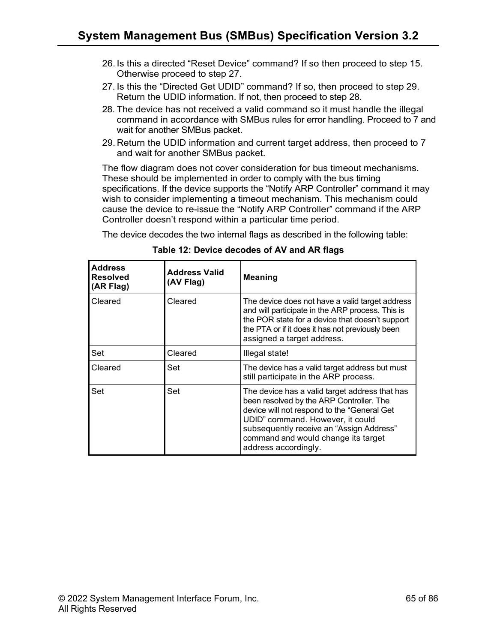- 26. Is this a directed "Reset Device" command? If so then proceed to step 15. Otherwise proceed to step 27.
- 27. Is this the "Directed Get UDID" command? If so, then proceed to step 29. Return the UDID information. If not, then proceed to step 28.
- 28. The device has not received a valid command so it must handle the illegal command in accordance with SMBus rules for error handling. Proceed to 7 and wait for another SMBus packet.
- 29. Return the UDID information and current target address, then proceed to 7 and wait for another SMBus packet.

The flow diagram does not cover consideration for bus timeout mechanisms. These should be implemented in order to comply with the bus timing specifications. If the device supports the "Notify ARP Controller" command it may wish to consider implementing a timeout mechanism. This mechanism could cause the device to re-issue the "Notify ARP Controller" command if the ARP Controller doesn't respond within a particular time period.

The device decodes the two internal flags as described in the following table:

| <b>Address</b><br><b>Resolved</b><br>(AR Flag) | <b>Address Valid</b><br>(AV Flag) | <b>Meaning</b>                                                                                                                                                                                                                                                                           |  |  |  |
|------------------------------------------------|-----------------------------------|------------------------------------------------------------------------------------------------------------------------------------------------------------------------------------------------------------------------------------------------------------------------------------------|--|--|--|
| Cleared                                        | Cleared                           | The device does not have a valid target address<br>and will participate in the ARP process. This is<br>the POR state for a device that doesn't support<br>the PTA or if it does it has not previously been<br>assigned a target address.                                                 |  |  |  |
| Set                                            | Cleared                           | Illegal state!                                                                                                                                                                                                                                                                           |  |  |  |
| Cleared                                        | Set                               | The device has a valid target address but must<br>still participate in the ARP process.                                                                                                                                                                                                  |  |  |  |
| Set                                            | Set                               | The device has a valid target address that has<br>been resolved by the ARP Controller. The<br>device will not respond to the "General Get<br>UDID" command. However, it could<br>subsequently receive an "Assign Address"<br>command and would change its target<br>address accordingly. |  |  |  |

**Table 12: Device decodes of AV and AR flags**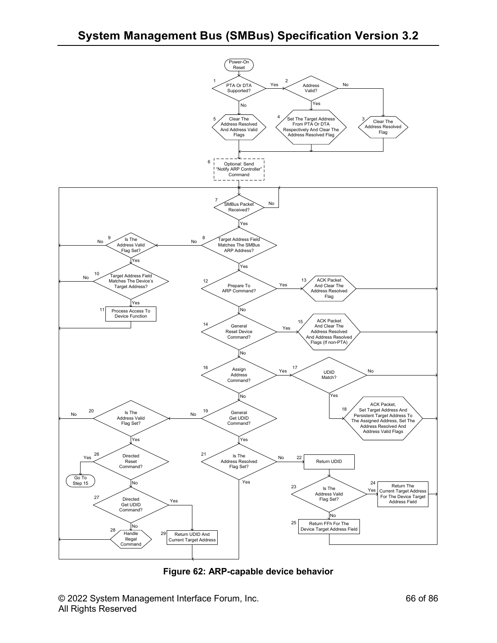

**Figure 62: ARP-capable device behavior**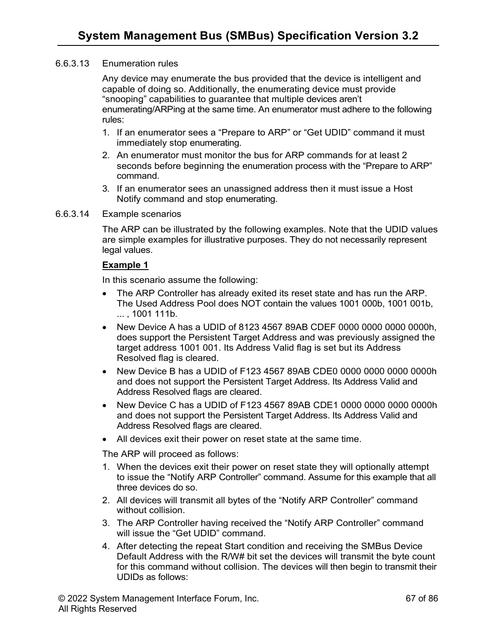#### 6.6.3.13 Enumeration rules

Any device may enumerate the bus provided that the device is intelligent and capable of doing so. Additionally, the enumerating device must provide "snooping" capabilities to guarantee that multiple devices aren't enumerating/ARPing at the same time. An enumerator must adhere to the following rules:

- 1. If an enumerator sees a "Prepare to ARP" or "Get UDID" command it must immediately stop enumerating.
- 2. An enumerator must monitor the bus for ARP commands for at least 2 seconds before beginning the enumeration process with the "Prepare to ARP" command.
- 3. If an enumerator sees an unassigned address then it must issue a Host Notify command and stop enumerating.
- 6.6.3.14 Example scenarios

The ARP can be illustrated by the following examples. Note that the UDID values are simple examples for illustrative purposes. They do not necessarily represent legal values.

#### **Example 1**

In this scenario assume the following:

- The ARP Controller has already exited its reset state and has run the ARP. The Used Address Pool does NOT contain the values 1001 000b, 1001 001b, ... , 1001 111b.
- New Device A has a UDID of 8123 4567 89AB CDEF 0000 0000 0000 0000h, does support the Persistent Target Address and was previously assigned the target address 1001 001. Its Address Valid flag is set but its Address Resolved flag is cleared.
- New Device B has a UDID of F123 4567 89AB CDE0 0000 0000 0000 0000h and does not support the Persistent Target Address. Its Address Valid and Address Resolved flags are cleared.
- New Device C has a UDID of F123 4567 89AB CDE1 0000 0000 0000 0000h and does not support the Persistent Target Address. Its Address Valid and Address Resolved flags are cleared.
- All devices exit their power on reset state at the same time.

The ARP will proceed as follows:

- 1. When the devices exit their power on reset state they will optionally attempt to issue the "Notify ARP Controller" command. Assume for this example that all three devices do so.
- 2. All devices will transmit all bytes of the "Notify ARP Controller" command without collision.
- 3. The ARP Controller having received the "Notify ARP Controller" command will issue the "Get UDID" command.
- 4. After detecting the repeat Start condition and receiving the SMBus Device Default Address with the R/W# bit set the devices will transmit the byte count for this command without collision. The devices will then begin to transmit their UDIDs as follows: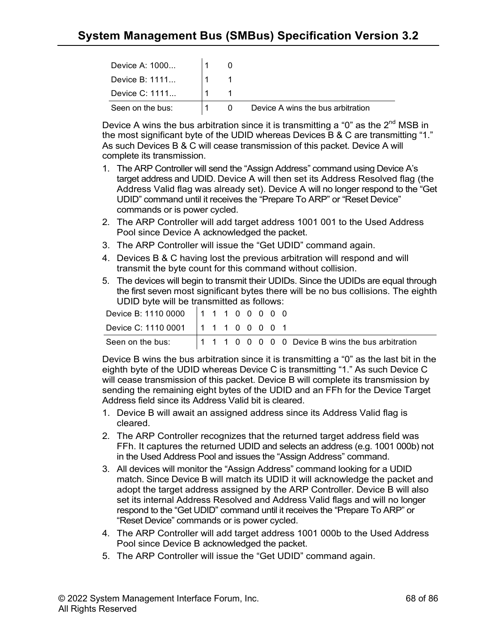| Device A: 1000   |  |                                   |
|------------------|--|-----------------------------------|
| Device B: 1111   |  |                                   |
| Device C: 1111   |  |                                   |
| Seen on the bus: |  | Device A wins the bus arbitration |

Device A wins the bus arbitration since it is transmitting a "0" as the  $2<sup>nd</sup> MSB$  in the most significant byte of the UDID whereas Devices B & C are transmitting "1." As such Devices B & C will cease transmission of this packet. Device A will complete its transmission.

- 1. The ARP Controller will send the "Assign Address" command using Device A's target address and UDID. Device A will then set its Address Resolved flag (the Address Valid flag was already set). Device A will no longer respond to the "Get UDID" command until it receives the "Prepare To ARP" or "Reset Device" commands or is power cycled.
- 2. The ARP Controller will add target address 1001 001 to the Used Address Pool since Device A acknowledged the packet.
- 3. The ARP Controller will issue the "Get UDID" command again.
- 4. Devices B & C having lost the previous arbitration will respond and will transmit the byte count for this command without collision.
- 5. The devices will begin to transmit their UDIDs. Since the UDIDs are equal through the first seven most significant bytes there will be no bus collisions. The eighth UDID byte will be transmitted as follows:

| Device B: 1110 0000   1 1 1 0 0 0 0 0 |  |  |  |  |  |
|---------------------------------------|--|--|--|--|--|
| Device C: 1110 0001   1 1 1 0 0 0 0 1 |  |  |  |  |  |
| Seen on the bus:                      |  |  |  |  |  |

Device B wins the bus arbitration since it is transmitting a "0" as the last bit in the eighth byte of the UDID whereas Device C is transmitting "1." As such Device C will cease transmission of this packet. Device B will complete its transmission by sending the remaining eight bytes of the UDID and an FFh for the Device Target Address field since its Address Valid bit is cleared.

- 1. Device B will await an assigned address since its Address Valid flag is cleared.
- 2. The ARP Controller recognizes that the returned target address field was FFh. It captures the returned UDID and selects an address (e.g. 1001 000b) not in the Used Address Pool and issues the "Assign Address" command.
- 3. All devices will monitor the "Assign Address" command looking for a UDID match. Since Device B will match its UDID it will acknowledge the packet and adopt the target address assigned by the ARP Controller. Device B will also set its internal Address Resolved and Address Valid flags and will no longer respond to the "Get UDID" command until it receives the "Prepare To ARP" or "Reset Device" commands or is power cycled.
- 4. The ARP Controller will add target address 1001 000b to the Used Address Pool since Device B acknowledged the packet.
- 5. The ARP Controller will issue the "Get UDID" command again.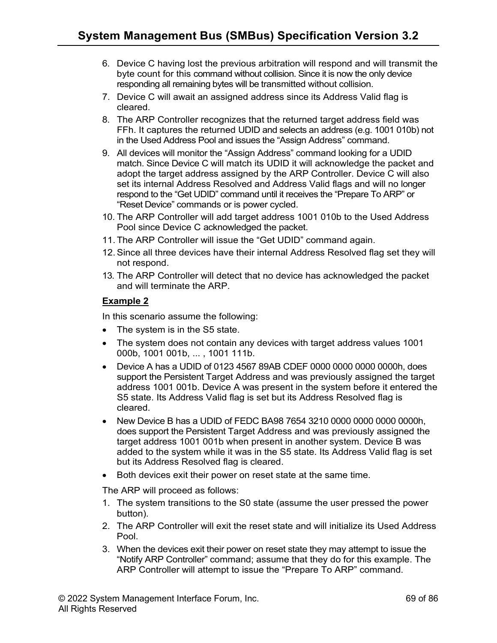- 6. Device C having lost the previous arbitration will respond and will transmit the byte count for this command without collision. Since it is now the only device responding all remaining bytes will be transmitted without collision.
- 7. Device C will await an assigned address since its Address Valid flag is cleared.
- 8. The ARP Controller recognizes that the returned target address field was FFh. It captures the returned UDID and selects an address (e.g. 1001 010b) not in the Used Address Pool and issues the "Assign Address" command.
- 9. All devices will monitor the "Assign Address" command looking for a UDID match. Since Device C will match its UDID it will acknowledge the packet and adopt the target address assigned by the ARP Controller. Device C will also set its internal Address Resolved and Address Valid flags and will no longer respond to the "Get UDID" command until it receives the "Prepare To ARP" or "Reset Device" commands or is power cycled.
- 10. The ARP Controller will add target address 1001 010b to the Used Address Pool since Device C acknowledged the packet.
- 11. The ARP Controller will issue the "Get UDID" command again.
- 12.Since all three devices have their internal Address Resolved flag set they will not respond.
- 13. The ARP Controller will detect that no device has acknowledged the packet and will terminate the ARP.

## **Example 2**

In this scenario assume the following:

- The system is in the S5 state.
- The system does not contain any devices with target address values 1001 000b, 1001 001b, ... , 1001 111b.
- Device A has a UDID of 0123 4567 89AB CDEF 0000 0000 0000 0000h, does support the Persistent Target Address and was previously assigned the target address 1001 001b. Device A was present in the system before it entered the S5 state. Its Address Valid flag is set but its Address Resolved flag is cleared.
- New Device B has a UDID of FEDC BA98 7654 3210 0000 0000 0000 0000h, does support the Persistent Target Address and was previously assigned the target address 1001 001b when present in another system. Device B was added to the system while it was in the S5 state. Its Address Valid flag is set but its Address Resolved flag is cleared.
- Both devices exit their power on reset state at the same time.

The ARP will proceed as follows:

- 1. The system transitions to the S0 state (assume the user pressed the power button).
- 2. The ARP Controller will exit the reset state and will initialize its Used Address Pool.
- 3. When the devices exit their power on reset state they may attempt to issue the "Notify ARP Controller" command; assume that they do for this example. The ARP Controller will attempt to issue the "Prepare To ARP" command.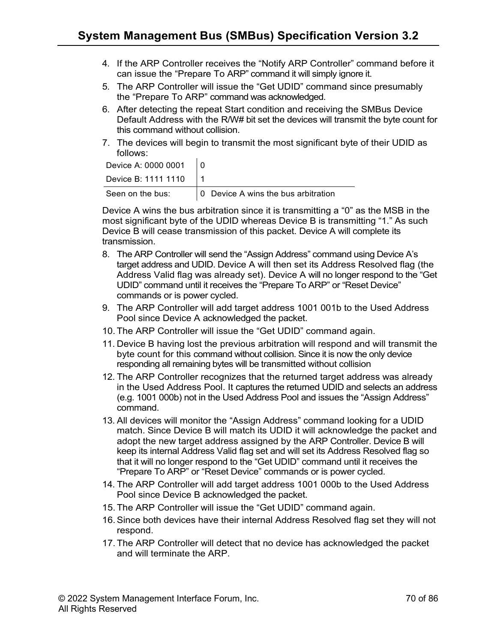- 4. If the ARP Controller receives the "Notify ARP Controller" command before it can issue the "Prepare To ARP" command it will simply ignore it.
- 5. The ARP Controller will issue the "Get UDID" command since presumably the "Prepare To ARP" command was acknowledged.
- 6. After detecting the repeat Start condition and receiving the SMBus Device Default Address with the R/W# bit set the devices will transmit the byte count for this command without collision.
- 7. The devices will begin to transmit the most significant byte of their UDID as follows:

| Device A: 0000 0001 |                                     |
|---------------------|-------------------------------------|
| Device B: 1111 1110 |                                     |
| Seen on the bus:    | 0 Device A wins the bus arbitration |

Device A wins the bus arbitration since it is transmitting a "0" as the MSB in the most significant byte of the UDID whereas Device B is transmitting "1." As such Device B will cease transmission of this packet. Device A will complete its transmission.

- 8. The ARP Controller will send the "Assign Address" command using Device A's target address and UDID. Device A will then set its Address Resolved flag (the Address Valid flag was already set). Device A will no longer respond to the "Get UDID" command until it receives the "Prepare To ARP" or "Reset Device" commands or is power cycled.
- 9. The ARP Controller will add target address 1001 001b to the Used Address Pool since Device A acknowledged the packet.
- 10. The ARP Controller will issue the "Get UDID" command again.
- 11. Device B having lost the previous arbitration will respond and will transmit the byte count for this command without collision. Since it is now the only device responding all remaining bytes will be transmitted without collision
- 12. The ARP Controller recognizes that the returned target address was already in the Used Address Pool. It captures the returned UDID and selects an address (e.g. 1001 000b) not in the Used Address Pool and issues the "Assign Address" command.
- 13. All devices will monitor the "Assign Address" command looking for a UDID match. Since Device B will match its UDID it will acknowledge the packet and adopt the new target address assigned by the ARP Controller. Device B will keep its internal Address Valid flag set and will set its Address Resolved flag so that it will no longer respond to the "Get UDID" command until it receives the "Prepare To ARP" or "Reset Device" commands or is power cycled.
- 14. The ARP Controller will add target address 1001 000b to the Used Address Pool since Device B acknowledged the packet.
- 15. The ARP Controller will issue the "Get UDID" command again.
- 16.Since both devices have their internal Address Resolved flag set they will not respond.
- 17. The ARP Controller will detect that no device has acknowledged the packet and will terminate the ARP.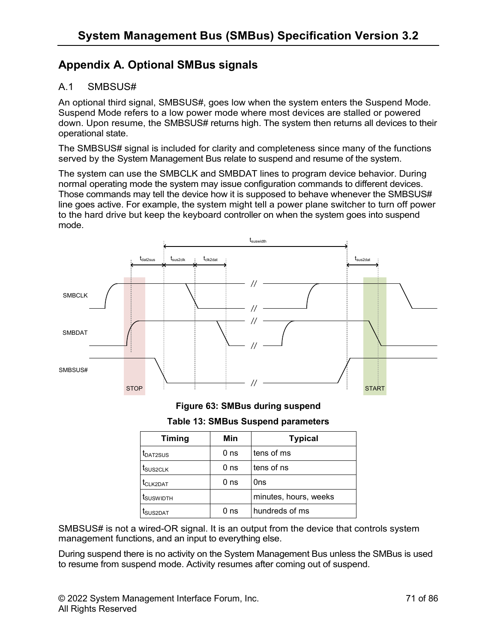# **Appendix A. Optional SMBus signals**

## A.1 SMBSUS#

An optional third signal, SMBSUS#, goes low when the system enters the Suspend Mode. Suspend Mode refers to a low power mode where most devices are stalled or powered down. Upon resume, the SMBSUS# returns high. The system then returns all devices to their operational state.

The SMBSUS# signal is included for clarity and completeness since many of the functions served by the System Management Bus relate to suspend and resume of the system.

The system can use the SMBCLK and SMBDAT lines to program device behavior. During normal operating mode the system may issue configuration commands to different devices. Those commands may tell the device how it is supposed to behave whenever the SMBSUS# line goes active. For example, the system might tell a power plane switcher to turn off power to the hard drive but keep the keyboard controller on when the system goes into suspend mode.



**Figure 63: SMBus during suspend**

**Table 13: SMBus Suspend parameters**

| <b>Timing</b>         | Min             | <b>Typical</b>        |
|-----------------------|-----------------|-----------------------|
| t <sub>DAT2SUS</sub>  | 0 <sub>ns</sub> | tens of ms            |
| t <sub>SUS2CLK</sub>  | 0 <sub>ns</sub> | tens of ns            |
| t <sub>CLK2DAT</sub>  | 0 <sub>ns</sub> | Ons                   |
| t <sub>suswidth</sub> |                 | minutes, hours, weeks |
| t <sub>SUS2DAT</sub>  | 0 <sub>ns</sub> | hundreds of ms        |

SMBSUS# is not a wired-OR signal. It is an output from the device that controls system management functions, and an input to everything else.

During suspend there is no activity on the System Management Bus unless the SMBus is used to resume from suspend mode. Activity resumes after coming out of suspend.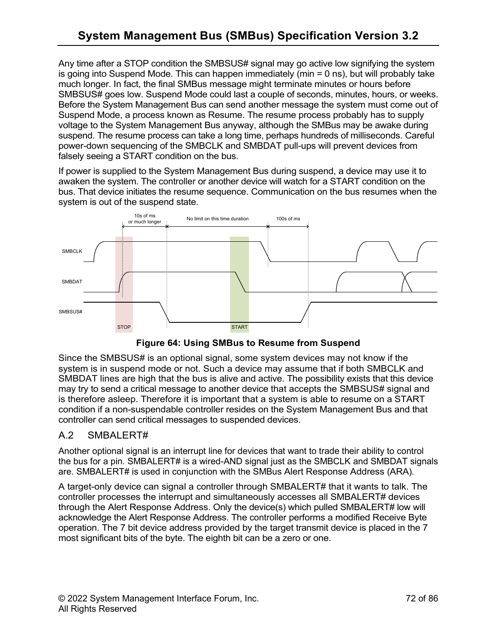Any time after a STOP condition the SMBSUS# signal may go active low signifying the system is going into Suspend Mode. This can happen immediately ( $min = 0$  ns), but will probably take much longer. In fact, the final SMBus message might terminate minutes or hours before SMBSUS# goes low. Suspend Mode could last a couple of seconds, minutes, hours, or weeks. Before the System Management Bus can send another message the system must come out of Suspend Mode, a process known as Resume. The resume process probably has to supply voltage to the System Management Bus anyway, although the SMBus may be awake during suspend. The resume process can take a long time, perhaps hundreds of milliseconds. Careful power-down sequencing of the SMBCLK and SMBDAT pull-ups will prevent devices from falsely seeing a START condition on the bus.

If power is supplied to the System Management Bus during suspend, a device may use it to awaken the system. The controller or another device will watch for a START condition on the bus. That device initiates the resume sequence. Communication on the bus resumes when the system is out of the suspend state.



**Figure 64: Using SMBus to Resume from Suspend**

Since the SMBSUS# is an optional signal, some system devices may not know if the system is in suspend mode or not. Such a device may assume that if both SMBCLK and SMBDAT lines are high that the bus is alive and active. The possibility exists that this device may try to send a critical message to another device that accepts the SMBSUS# signal and is therefore asleep. Therefore it is important that a system is able to resume on a START condition if a non-suspendable controller resides on the System Management Bus and that controller can send critical messages to suspended devices.

## A.2 SMBALERT#

Another optional signal is an interrupt line for devices that want to trade their ability to control the bus for a pin. SMBALERT# is a wired-AND signal just as the SMBCLK and SMBDAT signals are. SMBALERT# is used in conjunction with the SMBus Alert Response Address (ARA).

A target-only device can signal a controller through SMBALERT# that it wants to talk. The controller processes the interrupt and simultaneously accesses all SMBALERT# devices through the Alert Response Address. Only the device(s) which pulled SMBALERT# low will acknowledge the Alert Response Address. The controller performs a modified Receive Byte operation. The 7 bit device address provided by the target transmit device is placed in the 7 most significant bits of the byte. The eighth bit can be a zero or one.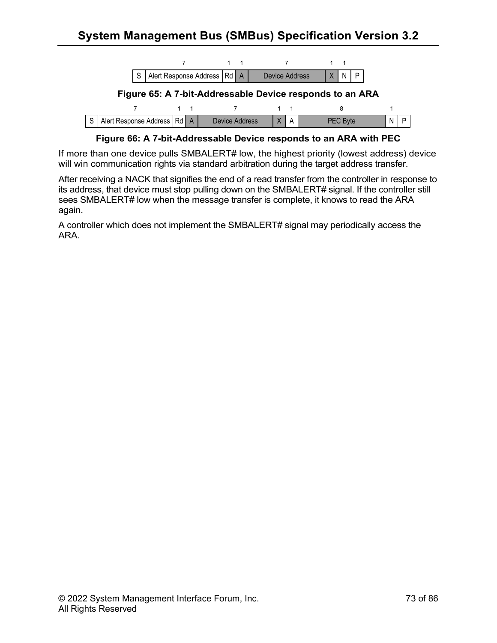

**Figure 66: A 7-bit-Addressable Device responds to an ARA with PEC**

If more than one device pulls SMBALERT# low, the highest priority (lowest address) device will win communication rights via standard arbitration during the target address transfer.

After receiving a NACK that signifies the end of a read transfer from the controller in response to its address, that device must stop pulling down on the SMBALERT# signal. If the controller still sees SMBALERT# low when the message transfer is complete, it knows to read the ARA again.

A controller which does not implement the SMBALERT# signal may periodically access the ARA.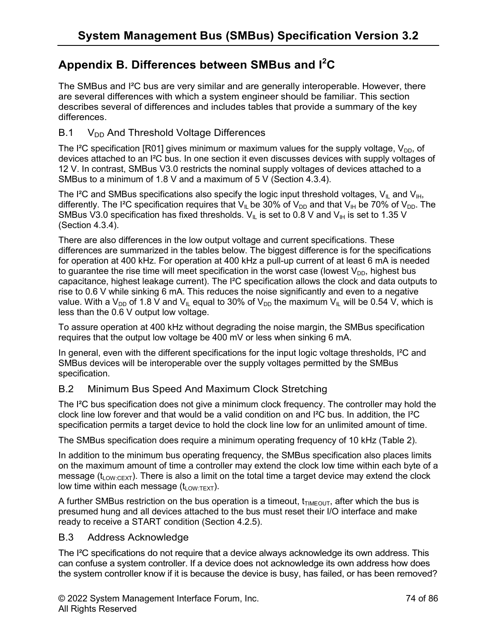# **Appendix B. Differences between SMBus and I<sup>2</sup> C**

The SMBus and I²C bus are very similar and are generally interoperable. However, there are several differences with which a system engineer should be familiar. This section describes several of differences and includes tables that provide a summary of the key differences.

## B.1 V<sub>DD</sub> And Threshold Voltage Differences

The I<sup>2</sup>C specification [R01] gives minimum or maximum values for the supply voltage,  $V_{DD}$ , of devices attached to an I²C bus. In one section it even discusses devices with supply voltages of 12 V. In contrast, SMBus V3.0 restricts the nominal supply voltages of devices attached to a SMBus to a minimum of 1.8 V and a maximum of 5 V (Section 4.3.4).

The I<sup>2</sup>C and SMBus specifications also specify the logic input threshold voltages,  $V_{IL}$  and  $V_{IH}$ , differently. The I<sup>2</sup>C specification requires that V<sub>IL</sub> be 30% of V<sub>DD</sub> and that V<sub>IH</sub> be 70% of V<sub>DD</sub>. The SMBus V3.0 specification has fixed thresholds.  $V_{\parallel L}$  is set to 0.8 V and  $V_{\parallel H}$  is set to 1.35 V (Section 4.3.4).

There are also differences in the low output voltage and current specifications. These differences are summarized in the tables below. The biggest difference is for the specifications for operation at 400 kHz. For operation at 400 kHz a pull-up current of at least 6 mA is needed to guarantee the rise time will meet specification in the worst case (lowest  $V_{DD}$ , highest bus capacitance, highest leakage current). The I²C specification allows the clock and data outputs to rise to 0.6 V while sinking 6 mA. This reduces the noise significantly and even to a negative value. With a V<sub>DD</sub> of 1.8 V and V<sub>II</sub> equal to 30% of V<sub>DD</sub> the maximum V<sub>II</sub> will be 0.54 V, which is less than the 0.6 V output low voltage.

To assure operation at 400 kHz without degrading the noise margin, the SMBus specification requires that the output low voltage be 400 mV or less when sinking 6 mA.

In general, even with the different specifications for the input logic voltage thresholds, I<sup>2</sup>C and SMBus devices will be interoperable over the supply voltages permitted by the SMBus specification.

## B.2 Minimum Bus Speed And Maximum Clock Stretching

The I<sup>2</sup>C bus specification does not give a minimum clock frequency. The controller may hold the clock line low forever and that would be a valid condition on and I²C bus. In addition, the I²C specification permits a target device to hold the clock line low for an unlimited amount of time.

The SMBus specification does require a minimum operating frequency of 10 kHz (Table 2).

In addition to the minimum bus operating frequency, the SMBus specification also places limits on the maximum amount of time a controller may extend the clock low time within each byte of a message ( $t_{Low:CEXT}$ ). There is also a limit on the total time a target device may extend the clock low time within each message  $(t_{LOW:TEXT})$ .

A further SMBus restriction on the bus operation is a timeout,  $t_{TIMEOUT}$ , after which the bus is presumed hung and all devices attached to the bus must reset their I/O interface and make ready to receive a START condition (Section 4.2.5).

## B.3 Address Acknowledge

The I<sup>2</sup>C specifications do not require that a device always acknowledge its own address. This can confuse a system controller. If a device does not acknowledge its own address how does the system controller know if it is because the device is busy, has failed, or has been removed?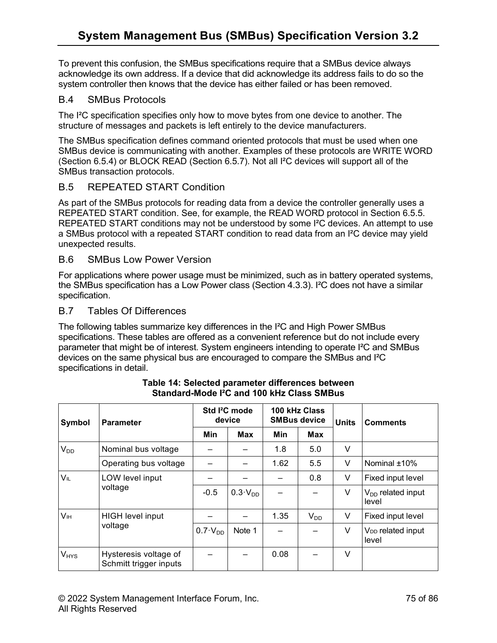To prevent this confusion, the SMBus specifications require that a SMBus device always acknowledge its own address. If a device that did acknowledge its address fails to do so the system controller then knows that the device has either failed or has been removed.

### B.4 SMBus Protocols

The I<sup>2</sup>C specification specifies only how to move bytes from one device to another. The structure of messages and packets is left entirely to the device manufacturers.

The SMBus specification defines command oriented protocols that must be used when one SMBus device is communicating with another. Examples of these protocols are WRITE WORD (Section 6.5.4) or BLOCK READ (Section 6.5.7). Not all I²C devices will support all of the SMBus transaction protocols.

## B.5 REPEATED START Condition

As part of the SMBus protocols for reading data from a device the controller generally uses a REPEATED START condition. See, for example, the READ WORD protocol in Section 6.5.5. REPEATED START conditions may not be understood by some I<sup>2</sup>C devices. An attempt to use a SMBus protocol with a repeated START condition to read data from an I²C device may yield unexpected results.

### B.6 SMBus Low Power Version

For applications where power usage must be minimized, such as in battery operated systems, the SMBus specification has a Low Power class (Section 4.3.3). I²C does not have a similar specification.

#### B.7 Tables Of Differences

The following tables summarize key differences in the I²C and High Power SMBus specifications. These tables are offered as a convenient reference but do not include every parameter that might be of interest. System engineers intending to operate I²C and SMBus devices on the same physical bus are encouraged to compare the SMBus and I²C specifications in detail.

| Symbol                 | <b>Parameter</b>                                | Std <sup>2</sup> C mode<br>device |                | 100 kHz Class<br><b>SMBus device</b> |          | <b>Units</b> | <b>Comments</b>                        |
|------------------------|-------------------------------------------------|-----------------------------------|----------------|--------------------------------------|----------|--------------|----------------------------------------|
|                        |                                                 | <b>Min</b>                        | <b>Max</b>     | Min                                  | Max      |              |                                        |
| V <sub>DD</sub>        | Nominal bus voltage                             |                                   |                | 1.8                                  | 5.0      | V            |                                        |
|                        | Operating bus voltage                           |                                   |                | 1.62                                 | 5.5      | V            | Nominal ±10%                           |
| <b>VIL</b>             | LOW level input<br>voltage                      |                                   |                |                                      | 0.8      | V            | Fixed input level                      |
|                        |                                                 | $-0.5$                            | $0.3\cdot VDD$ |                                      |          | V            | $V_{DD}$ related input<br>level        |
| V <sub>IH</sub>        | <b>HIGH level input</b><br>voltage              |                                   |                | 1.35                                 | $V_{DD}$ | V            | Fixed input level                      |
|                        |                                                 | $0.7 \cdot V_{DD}$                | Note 1         |                                      |          | V            | V <sub>DD</sub> related input<br>level |
| <b>V<sub>HYS</sub></b> | Hysteresis voltage of<br>Schmitt trigger inputs |                                   |                | 0.08                                 |          | V            |                                        |

**Table 14: Selected parameter differences between Standard-Mode I²C and 100 kHz Class SMBus**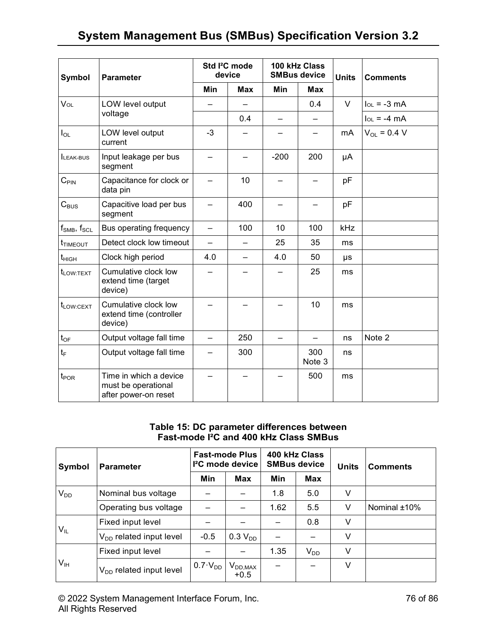| <b>Symbol</b>         | <b>Parameter</b>                                                      | Std I <sup>2</sup> C mode<br>device |            | 100 kHz Class<br><b>SMBus device</b> |               | <b>Units</b> | <b>Comments</b>  |  |
|-----------------------|-----------------------------------------------------------------------|-------------------------------------|------------|--------------------------------------|---------------|--------------|------------------|--|
|                       |                                                                       | Min                                 | <b>Max</b> | Min                                  | <b>Max</b>    |              |                  |  |
| VOL                   | LOW level output                                                      |                                     |            |                                      | 0.4           | $\vee$       | $I_{OL} = -3$ mA |  |
|                       | voltage                                                               |                                     | 0.4        |                                      |               |              | $I_{OL} = -4 mA$ |  |
| $I_{OL}$              | LOW level output<br>current                                           | $-3$                                |            |                                      | —             | mA           | $V_{OL} = 0.4 V$ |  |
| <b>ILEAK-BUS</b>      | Input leakage per bus<br>segment                                      |                                     |            | $-200$                               | 200           | μA           |                  |  |
| $C_{\text{PIN}}$      | Capacitance for clock or<br>data pin                                  |                                     | 10         |                                      |               | pF           |                  |  |
| $C_{\text{BUS}}$      | Capacitive load per bus<br>segment                                    |                                     | 400        |                                      |               | pF           |                  |  |
| $f_{SMB}$ , $f_{SCL}$ | Bus operating frequency                                               |                                     | 100        | 10                                   | 100           | kHz          |                  |  |
| <b>t</b> TIMEOUT      | Detect clock low timeout                                              | $\equiv$                            |            | 25                                   | 35            | ms           |                  |  |
| $t_{\text{HIGH}}$     | Clock high period                                                     | 4.0                                 |            | 4.0                                  | 50            | μs           |                  |  |
| t <sub>LOW:TEXT</sub> | Cumulative clock low<br>extend time (target<br>device)                |                                     |            |                                      | 25            | ms           |                  |  |
| $t_{LOW:CEXT}$        | Cumulative clock low<br>extend time (controller<br>device)            | 10                                  |            | ms                                   |               |              |                  |  |
| $t_{\mathsf{OF}}$     | Output voltage fall time                                              |                                     | 250        |                                      |               | ns           | Note 2           |  |
| $t_{\text{F}}$        | Output voltage fall time                                              |                                     | 300        |                                      | 300<br>Note 3 |              |                  |  |
| t <sub>POR</sub>      | Time in which a device<br>must be operational<br>after power-on reset |                                     |            |                                      | 500           | ms           |                  |  |

**Table 15: DC parameter differences between Fast-mode I²C and 400 kHz Class SMBus**

| Symbol          | <b>Parameter</b>                    | <b>Fast-mode Plus</b><br><sup>2</sup> C mode device |                                                   | 400 kHz Class<br><b>SMBus device</b> |          | <b>Units</b> | <b>Comments</b> |
|-----------------|-------------------------------------|-----------------------------------------------------|---------------------------------------------------|--------------------------------------|----------|--------------|-----------------|
|                 |                                     | Min                                                 | Max                                               | Min                                  | Max      |              |                 |
| $V_{DD}$        | Nominal bus voltage                 |                                                     |                                                   | 1.8                                  | 5.0      | V            |                 |
|                 | Operating bus voltage               |                                                     |                                                   | 1.62                                 | 5.5      | V            | Nominal ±10%    |
| $V_{IL}$        | Fixed input level                   |                                                     |                                                   |                                      | 0.8      | V            |                 |
|                 | V <sub>DD</sub> related input level | $-0.5$                                              | 0.3 V <sub>DD</sub>                               |                                      |          | V            |                 |
| V <sub>IH</sub> | Fixed input level                   |                                                     |                                                   | 1.35                                 | $V_{DD}$ | V            |                 |
|                 | $V_{DD}$ related input level        | $0.7 \cdot V_{DD}$                                  | $\mathsf{V}_{\mathsf{DD},\mathsf{MAX}}$<br>$+0.5$ |                                      |          | V            |                 |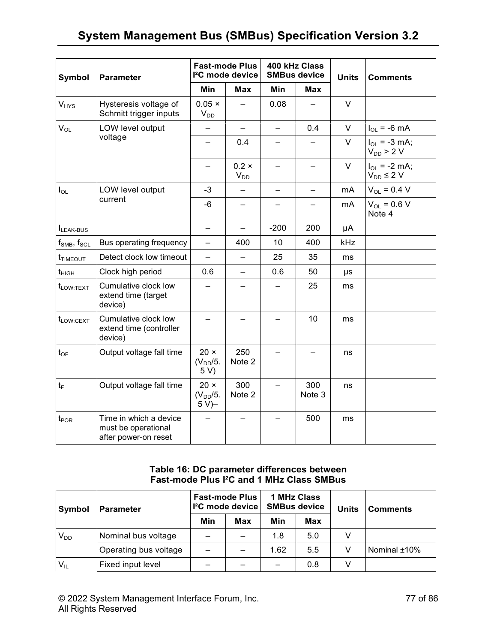| Symbol                              | <b>Parameter</b>                                                      | <b>Fast-mode Plus</b><br>I <sup>2</sup> C mode device |                          | 400 kHz Class<br><b>SMBus device</b> |               | <b>Units</b> | <b>Comments</b>                        |
|-------------------------------------|-----------------------------------------------------------------------|-------------------------------------------------------|--------------------------|--------------------------------------|---------------|--------------|----------------------------------------|
|                                     |                                                                       | Min                                                   | <b>Max</b>               | Min                                  | Max           |              |                                        |
| $V_{HYS}$                           | Hysteresis voltage of<br>Schmitt trigger inputs                       | $0.05 \times$<br>$V_{DD}$                             |                          | 0.08                                 |               | $\vee$       |                                        |
| $V_{OL}$                            | LOW level output                                                      | ÷,                                                    | $\equiv$                 | $\equiv$                             | 0.4           | $\vee$       | $I_{OL}$ = -6 mA                       |
|                                     | voltage                                                               | -                                                     | 0.4                      |                                      |               | $\mathsf{V}$ | $I_{OL} = -3$ mA;<br>$V_{DD}$ > 2 V    |
|                                     |                                                                       |                                                       | $0.2 \times$<br>$V_{DD}$ |                                      |               | $\vee$       | $I_{OL} = -2$ mA;<br>$V_{DD} \leq 2 V$ |
| $I_{OL}$                            | LOW level output                                                      | $-3$                                                  |                          | $\overline{\phantom{0}}$             | ÷,            | mA           | $V_{OL} = 0.4 V$                       |
|                                     | current                                                               | -6                                                    |                          |                                      |               | mA           | $V_{OL} = 0.6 V$<br>Note 4             |
| ILEAK-BUS                           |                                                                       | $\equiv$                                              |                          | $-200$                               | 200           | μA           |                                        |
| $f_{\text{SMB}}$ , $f_{\text{SCL}}$ | Bus operating frequency                                               |                                                       | 400                      | 10                                   | 400           | kHz          |                                        |
| t <sub>timeout</sub>                | Detect clock low timeout                                              | $\overline{\phantom{0}}$                              | $\overline{\phantom{0}}$ | 25                                   | 35            | ms           |                                        |
| $t_{\rm HIGH}$                      | Clock high period                                                     | 0.6                                                   | $\overline{\phantom{0}}$ | 0.6                                  | 50            | μs           |                                        |
| t <sub>LOW:TEXT</sub>               | Cumulative clock low<br>extend time (target<br>device)                |                                                       |                          |                                      | 25            | ms           |                                        |
| t <sub>LOW:CEXT</sub>               | Cumulative clock low<br>extend time (controller<br>device)            |                                                       |                          |                                      | 10            | ms           |                                        |
| $t_{OF}$                            | Output voltage fall time                                              | $20 \times$<br>$(V_{DD}/5)$ .<br>5 V)                 | 250<br>Note 2            |                                      |               | ns           |                                        |
| $t_{F}$                             | Output voltage fall time                                              | $20 \times$<br>$(V_{DD}/5.$<br>$5 V$ )–               | 300<br>Note 2            |                                      | 300<br>Note 3 | ns           |                                        |
| $t_{\mathsf{POR}}$                  | Time in which a device<br>must be operational<br>after power-on reset |                                                       |                          |                                      | 500           | ms           |                                        |

### **Table 16: DC parameter differences between Fast-mode Plus I²C and 1 MHz Class SMBus**

| Symbol   | <b>Parameter</b>      | <b>Fast-mode Plus</b><br>I <sup>2</sup> C mode device |     | 1 MHz Class<br><b>SMBus device</b> |     | <b>Units</b> | <b>Comments</b> |
|----------|-----------------------|-------------------------------------------------------|-----|------------------------------------|-----|--------------|-----------------|
|          |                       | Min                                                   | Max | Min                                | Max |              |                 |
| $V_{DD}$ | Nominal bus voltage   |                                                       |     | 1.8                                | 5.0 | V            |                 |
|          | Operating bus voltage |                                                       |     | 1.62                               | 5.5 |              | Nominal ±10%    |
| $V_{IL}$ | Fixed input level     |                                                       |     |                                    | 0.8 | V            |                 |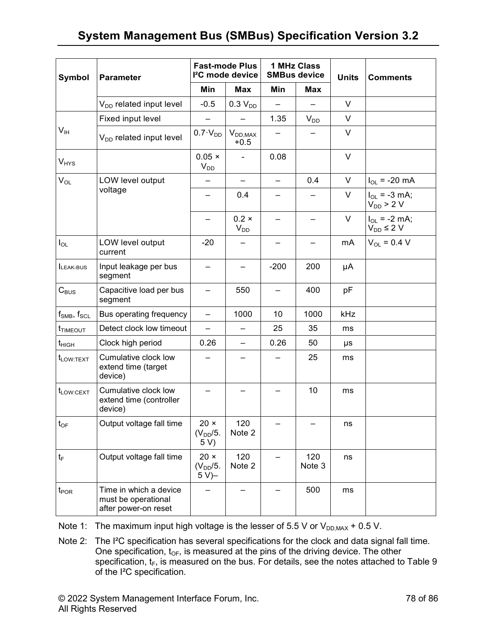| Symbol                 | <b>Parameter</b>                                                      | <b>Fast-mode Plus</b><br>l <sup>2</sup> C mode device      |                          | 1 MHz Class<br><b>SMBus device</b> |               | <b>Units</b> | <b>Comments</b>                        |  |
|------------------------|-----------------------------------------------------------------------|------------------------------------------------------------|--------------------------|------------------------------------|---------------|--------------|----------------------------------------|--|
|                        |                                                                       | Min                                                        | Max                      | Min                                | <b>Max</b>    |              |                                        |  |
|                        | V <sub>DD</sub> related input level                                   | $-0.5$                                                     | $0.3 V_{DD}$             |                                    |               | $\vee$       |                                        |  |
|                        | Fixed input level                                                     |                                                            |                          | 1.35                               | $V_{DD}$      | $\vee$       |                                        |  |
| $V_{IH}$               | V <sub>DD</sub> related input level                                   | $0.7 \cdot V_{DD}$                                         | $V_{DD,MAX}$<br>$+0.5$   |                                    |               | $\vee$       |                                        |  |
| <b>V<sub>HYS</sub></b> |                                                                       | $0.05 \times$<br>$V_{DD}$                                  |                          | 0.08                               |               | $\vee$       |                                        |  |
| $V_{OL}$               | LOW level output                                                      |                                                            | $\overline{\phantom{0}}$ | $\overline{\phantom{0}}$           | 0.4           | V            | $I_{OL}$ = -20 mA                      |  |
|                        | voltage                                                               | -                                                          | 0.4                      |                                    |               | V            | $I_{OL} = -3$ mA;<br>$V_{DD}$ > 2 V    |  |
|                        |                                                                       |                                                            | $0.2 \times$<br>$V_{DD}$ |                                    |               | V            | $I_{OL}$ = -2 mA;<br>$V_{DD} \leq 2 V$ |  |
| $I_{OL}$               | LOW level output<br>current                                           | $-20$                                                      |                          |                                    |               | mA           | $V_{OL} = 0.4 V$                       |  |
| LEAK-BUS               | Input leakage per bus<br>segment                                      |                                                            |                          | $-200$                             | 200           | μA           |                                        |  |
| $C_{\text{BUS}}$       | Capacitive load per bus<br>segment                                    |                                                            | 550                      |                                    | 400           | pF           |                                        |  |
| $f_{SMB}$ , $f_{SCL}$  | Bus operating frequency                                               |                                                            | 1000                     | 10                                 | 1000          | kHz          |                                        |  |
| t <sub>TIMEOUT</sub>   | Detect clock low timeout                                              |                                                            |                          | 25                                 | 35            | ms           |                                        |  |
| $t_{\rm HIGH}$         | Clock high period                                                     | 0.26                                                       | —                        | 0.26                               | 50            | μs           |                                        |  |
| $t_{LOW:TEXT}$         | Cumulative clock low<br>extend time (target<br>device)                |                                                            |                          |                                    | 25            | ms           |                                        |  |
| t <sub>LOW:CEXT</sub>  | Cumulative clock low<br>extend time (controller<br>device)            |                                                            |                          |                                    | 10            | ms           |                                        |  |
| $t_{OF}$               | Output voltage fall time                                              | $20 \times$<br>$(V_{DD}/5.$<br>5 V)                        | 120<br>Note 2            |                                    |               | ns           |                                        |  |
| $t_{\mathsf{F}}$       | Output voltage fall time                                              | $20 \times$<br>120<br>Note 2<br>$(V_{DD}/5)$ .<br>$5 V$ )– |                          |                                    | 120<br>Note 3 | ns           |                                        |  |
| $t_{\mathsf{POR}}$     | Time in which a device<br>must be operational<br>after power-on reset |                                                            |                          | 500                                |               | ms           |                                        |  |

Note 1: The maximum input high voltage is the lesser of 5.5 V or  $V_{DD,MAX}$  + 0.5 V.

Note 2: The I²C specification has several specifications for the clock and data signal fall time. One specification,  $t_{OF}$ , is measured at the pins of the driving device. The other specification,  $t_F$ , is measured on the bus. For details, see the notes attached to Table 9 of the I²C specification.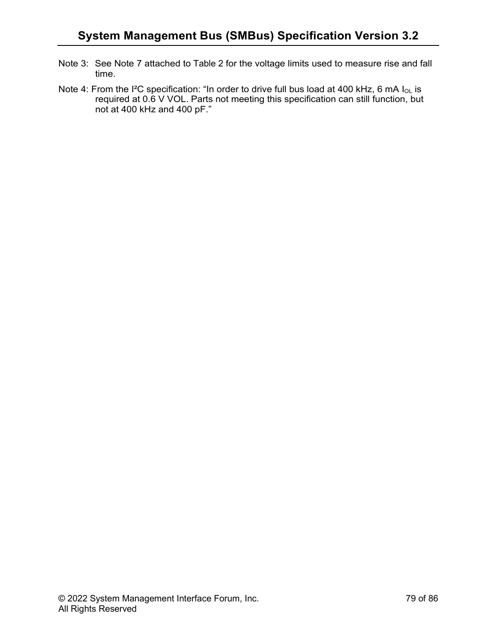- Note 3: See Note 7 attached to Table 2 for the voltage limits used to measure rise and fall time.
- Note 4: From the I<sup>2</sup>C specification: "In order to drive full bus load at 400 kHz, 6 mA I<sub>OL</sub> is required at 0.6 V VOL. Parts not meeting this specification can still function, but not at 400 kHz and 400 pF."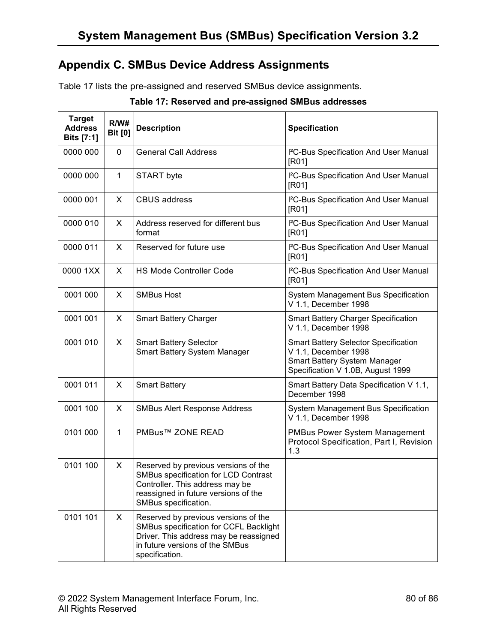# **Appendix C. SMBus Device Address Assignments**

Table 17 lists the pre-assigned and reserved SMBus device assignments.

| <b>Target</b><br><b>Address</b><br>Bits [7:1] | R/W#<br><b>Bit [0]</b> | <b>Description</b>                                                                                                                                                              | <b>Specification</b>                                                                                                                     |
|-----------------------------------------------|------------------------|---------------------------------------------------------------------------------------------------------------------------------------------------------------------------------|------------------------------------------------------------------------------------------------------------------------------------------|
| 0000 000                                      | 0                      | <b>General Call Address</b>                                                                                                                                                     | I <sup>2</sup> C-Bus Specification And User Manual<br>[RO1]                                                                              |
| 0000 000                                      | $\mathbf{1}$           | START byte                                                                                                                                                                      | I <sup>2</sup> C-Bus Specification And User Manual<br>[RO1]                                                                              |
| 0000 001                                      | X                      | <b>CBUS address</b>                                                                                                                                                             | I <sup>2</sup> C-Bus Specification And User Manual<br>[RO1]                                                                              |
| 0000 010                                      | X                      | Address reserved for different bus<br>format                                                                                                                                    | I <sup>2</sup> C-Bus Specification And User Manual<br>[RO1]                                                                              |
| 0000 011                                      | X                      | Reserved for future use                                                                                                                                                         | I <sup>2</sup> C-Bus Specification And User Manual<br>[RO1]                                                                              |
| 0000 1XX                                      | X                      | <b>HS Mode Controller Code</b>                                                                                                                                                  | I <sup>2</sup> C-Bus Specification And User Manual<br>[RO1]                                                                              |
| 0001 000                                      | X                      | <b>SMBus Host</b>                                                                                                                                                               | System Management Bus Specification<br>V 1.1, December 1998                                                                              |
| 0001 001                                      | X                      | <b>Smart Battery Charger</b>                                                                                                                                                    | <b>Smart Battery Charger Specification</b><br>V 1.1, December 1998                                                                       |
| 0001 010                                      | X                      | <b>Smart Battery Selector</b><br>Smart Battery System Manager                                                                                                                   | <b>Smart Battery Selector Specification</b><br>V 1.1, December 1998<br>Smart Battery System Manager<br>Specification V 1.0B, August 1999 |
| 0001 011                                      | X                      | <b>Smart Battery</b>                                                                                                                                                            | Smart Battery Data Specification V 1.1,<br>December 1998                                                                                 |
| 0001 100                                      | X                      | <b>SMBus Alert Response Address</b>                                                                                                                                             | System Management Bus Specification<br>V 1.1, December 1998                                                                              |
| 0101 000                                      | $\mathbf{1}$           | PMBus™ ZONE READ                                                                                                                                                                | <b>PMBus Power System Management</b><br>Protocol Specification, Part I, Revision<br>1.3                                                  |
| 0101 100                                      | X                      | Reserved by previous versions of the<br>SMBus specification for LCD Contrast<br>Controller. This address may be<br>reassigned in future versions of the<br>SMBus specification. |                                                                                                                                          |
| 0101 101                                      | X                      | Reserved by previous versions of the<br>SMBus specification for CCFL Backlight<br>Driver. This address may be reassigned<br>in future versions of the SMBus<br>specification.   |                                                                                                                                          |

| Table 17: Reserved and pre-assigned SMBus addresses |  |  |
|-----------------------------------------------------|--|--|
|-----------------------------------------------------|--|--|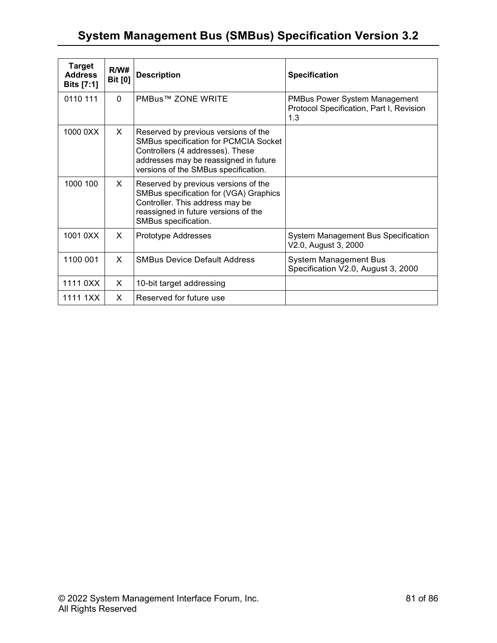| <b>Target</b><br><b>Address</b><br>Bits [7:1] | R/W#<br><b>Bit [0]</b> | <b>Description</b>                                                                                                                                                                                 | <b>Specification</b>                                                                    |
|-----------------------------------------------|------------------------|----------------------------------------------------------------------------------------------------------------------------------------------------------------------------------------------------|-----------------------------------------------------------------------------------------|
| 0110 111                                      | $\Omega$               | PMBus™ ZONE WRITE                                                                                                                                                                                  | <b>PMBus Power System Management</b><br>Protocol Specification, Part I, Revision<br>1.3 |
| 1000 0XX                                      | X.                     | Reserved by previous versions of the<br>SMBus specification for PCMCIA Socket<br>Controllers (4 addresses). These<br>addresses may be reassigned in future<br>versions of the SMBus specification. |                                                                                         |
| 1000 100                                      | X.                     | Reserved by previous versions of the<br>SMBus specification for (VGA) Graphics<br>Controller. This address may be<br>reassigned in future versions of the<br>SMBus specification.                  |                                                                                         |
| 1001 0XX                                      | X                      | <b>Prototype Addresses</b>                                                                                                                                                                         | System Management Bus Specification<br>V2.0, August 3, 2000                             |
| 1100 001                                      | X                      | <b>SMBus Device Default Address</b>                                                                                                                                                                | <b>System Management Bus</b><br>Specification V2.0, August 3, 2000                      |
| 1111 0XX                                      | X                      | 10-bit target addressing                                                                                                                                                                           |                                                                                         |
| 1111 1XX                                      | X                      | Reserved for future use                                                                                                                                                                            |                                                                                         |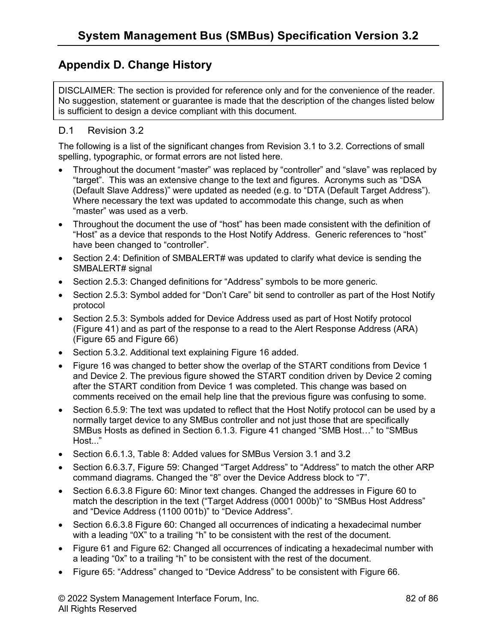# **Appendix D. Change History**

DISCLAIMER: The section is provided for reference only and for the convenience of the reader. No suggestion, statement or guarantee is made that the description of the changes listed below is sufficient to design a device compliant with this document.

### D.1 Revision 3.2

The following is a list of the significant changes from Revision 3.1 to 3.2. Corrections of small spelling, typographic, or format errors are not listed here.

- Throughout the document "master" was replaced by "controller" and "slave" was replaced by "target". This was an extensive change to the text and figures. Acronyms such as "DSA (Default Slave Address)" were updated as needed (e.g. to "DTA (Default Target Address"). Where necessary the text was updated to accommodate this change, such as when "master" was used as a verb.
- Throughout the document the use of "host" has been made consistent with the definition of "Host" as a device that responds to the Host Notify Address. Generic references to "host" have been changed to "controller".
- Section 2.4: Definition of SMBALERT# was updated to clarify what device is sending the SMBALERT# signal
- Section 2.5.3: Changed definitions for "Address" symbols to be more generic.
- Section 2.5.3: Symbol added for "Don't Care" bit send to controller as part of the Host Notify protocol
- Section 2.5.3: Symbols added for Device Address used as part of Host Notify protocol (Figure 41) and as part of the response to a read to the Alert Response Address (ARA) (Figure 65 and Figure 66)
- Section 5.3.2. Additional text explaining Figure 16 added.
- Figure 16 was changed to better show the overlap of the START conditions from Device 1 and Device 2. The previous figure showed the START condition driven by Device 2 coming after the START condition from Device 1 was completed. This change was based on comments received on the email help line that the previous figure was confusing to some.
- Section 6.5.9: The text was updated to reflect that the Host Notify protocol can be used by a normally target device to any SMBus controller and not just those that are specifically SMBus Hosts as defined in Section 6.1.3. Figure 41 changed "SMB Host…" to "SMBus Host..."
- Section 6.6.1.3, Table 8: Added values for SMBus Version 3.1 and 3.2
- Section 6.6.3.7, Figure 59: Changed "Target Address" to "Address" to match the other ARP command diagrams. Changed the "8" over the Device Address block to "7".
- Section 6.6.3.8 Figure 60: Minor text changes. Changed the addresses in Figure 60 to match the description in the text ("Target Address (0001 000b)" to "SMBus Host Address" and "Device Address (1100 001b)" to "Device Address".
- Section 6.6.3.8 Figure 60: Changed all occurrences of indicating a hexadecimal number with a leading "0X" to a trailing "h" to be consistent with the rest of the document.
- Figure 61 and Figure 62: Changed all occurrences of indicating a hexadecimal number with a leading "0x" to a trailing "h" to be consistent with the rest of the document.
- Figure 65: "Address" changed to "Device Address" to be consistent with Figure 66.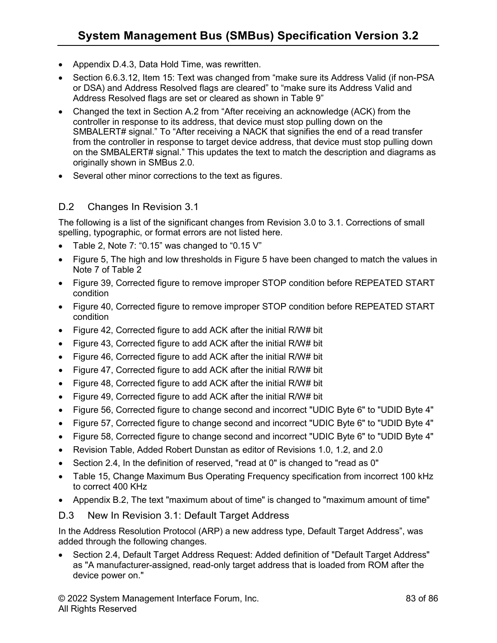- Appendix D.4.3, Data Hold Time, was rewritten.
- Section 6.6.3.12, Item 15: Text was changed from "make sure its Address Valid (if non-PSA or DSA) and Address Resolved flags are cleared" to "make sure its Address Valid and Address Resolved flags are set or cleared as shown in Table 9"
- Changed the text in Section A.2 from "After receiving an acknowledge (ACK) from the controller in response to its address, that device must stop pulling down on the SMBALERT# signal." To "After receiving a NACK that signifies the end of a read transfer from the controller in response to target device address, that device must stop pulling down on the SMBALERT# signal." This updates the text to match the description and diagrams as originally shown in SMBus 2.0.
- Several other minor corrections to the text as figures.

### D.2 Changes In Revision 3.1

The following is a list of the significant changes from Revision 3.0 to 3.1. Corrections of small spelling, typographic, or format errors are not listed here.

- Table 2, Note 7: "0.15" was changed to "0.15 V"
- Figure 5, The high and low thresholds in Figure 5 have been changed to match the values in Note 7 of Table 2
- Figure 39, Corrected figure to remove improper STOP condition before REPEATED START condition
- Figure 40, Corrected figure to remove improper STOP condition before REPEATED START condition
- Figure 42, Corrected figure to add ACK after the initial R/W# bit
- Figure 43, Corrected figure to add ACK after the initial R/W# bit
- Figure 46, Corrected figure to add ACK after the initial R/W# bit
- Figure 47, Corrected figure to add ACK after the initial R/W# bit
- Figure 48, Corrected figure to add ACK after the initial R/W# bit
- Figure 49, Corrected figure to add ACK after the initial R/W# bit
- Figure 56, Corrected figure to change second and incorrect "UDIC Byte 6" to "UDID Byte 4"
- Figure 57, Corrected figure to change second and incorrect "UDIC Byte 6" to "UDID Byte 4"
- Figure 58, Corrected figure to change second and incorrect "UDIC Byte 6" to "UDID Byte 4"
- Revision Table, Added Robert Dunstan as editor of Revisions 1.0, 1.2, and 2.0
- Section 2.4, In the definition of reserved, "read at 0" is changed to "read as 0"
- Table 15, Change Maximum Bus Operating Frequency specification from incorrect 100 kHz to correct 400 KHz
- Appendix B.2, The text "maximum about of time" is changed to "maximum amount of time"

### D.3 New In Revision 3.1: Default Target Address

In the Address Resolution Protocol (ARP) a new address type, Default Target Address", was added through the following changes.

• Section 2.4, Default Target Address Request: Added definition of "Default Target Address" as "A manufacturer-assigned, read-only target address that is loaded from ROM after the device power on."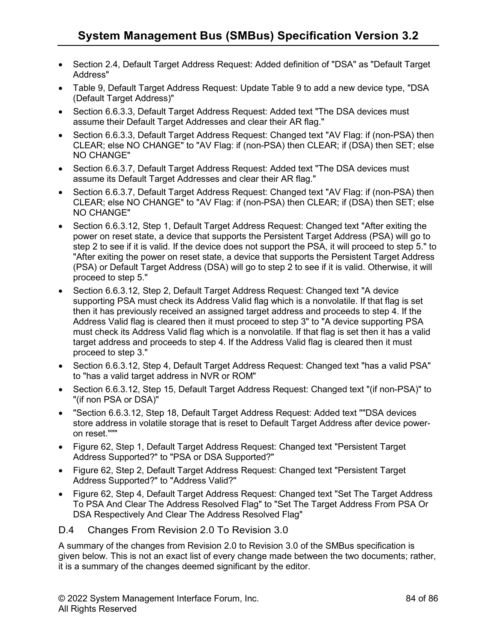- Section 2.4, Default Target Address Request: Added definition of "DSA" as "Default Target Address"
- Table 9, Default Target Address Request: Update Table 9 to add a new device type, "DSA (Default Target Address)"
- Section 6.6.3.3, Default Target Address Request: Added text "The DSA devices must assume their Default Target Addresses and clear their AR flag."
- Section 6.6.3.3, Default Target Address Reguest: Changed text "AV Flag: if (non-PSA) then CLEAR; else NO CHANGE" to "AV Flag: if (non-PSA) then CLEAR; if (DSA) then SET; else NO CHANGE"
- Section 6.6.3.7, Default Target Address Request: Added text "The DSA devices must assume its Default Target Addresses and clear their AR flag."
- Section 6.6.3.7, Default Target Address Request: Changed text "AV Flag: if (non-PSA) then CLEAR; else NO CHANGE" to "AV Flag: if (non-PSA) then CLEAR; if (DSA) then SET; else NO CHANGE"
- Section 6.6.3.12, Step 1, Default Target Address Request: Changed text "After exiting the power on reset state, a device that supports the Persistent Target Address (PSA) will go to step 2 to see if it is valid. If the device does not support the PSA, it will proceed to step 5." to "After exiting the power on reset state, a device that supports the Persistent Target Address (PSA) or Default Target Address (DSA) will go to step 2 to see if it is valid. Otherwise, it will proceed to step 5."
- Section 6.6.3.12, Step 2, Default Target Address Request: Changed text "A device supporting PSA must check its Address Valid flag which is a nonvolatile. If that flag is set then it has previously received an assigned target address and proceeds to step 4. If the Address Valid flag is cleared then it must proceed to step 3" to "A device supporting PSA must check its Address Valid flag which is a nonvolatile. If that flag is set then it has a valid target address and proceeds to step 4. If the Address Valid flag is cleared then it must proceed to step 3."
- Section 6.6.3.12, Step 4, Default Target Address Request: Changed text "has a valid PSA" to "has a valid target address in NVR or ROM"
- Section 6.6.3.12, Step 15, Default Target Address Request: Changed text "(if non-PSA)" to "(if non PSA or DSA)"
- "Section 6.6.3.12, Step 18, Default Target Address Request: Added text ""DSA devices store address in volatile storage that is reset to Default Target Address after device poweron reset."""
- Figure 62, Step 1, Default Target Address Request: Changed text "Persistent Target Address Supported?" to "PSA or DSA Supported?"
- Figure 62, Step 2, Default Target Address Request: Changed text "Persistent Target Address Supported?" to "Address Valid?"
- Figure 62, Step 4, Default Target Address Request: Changed text "Set The Target Address" To PSA And Clear The Address Resolved Flag" to "Set The Target Address From PSA Or DSA Respectively And Clear The Address Resolved Flag"

### D.4 Changes From Revision 2.0 To Revision 3.0

A summary of the changes from Revision 2.0 to Revision 3.0 of the SMBus specification is given below. This is not an exact list of every change made between the two documents; rather, it is a summary of the changes deemed significant by the editor.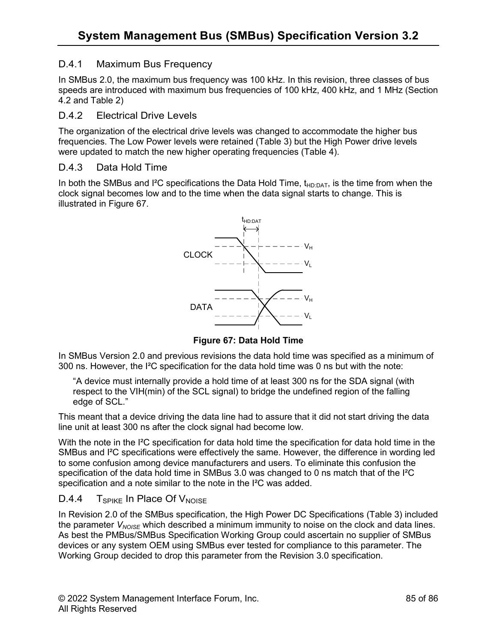## D.4.1 Maximum Bus Frequency

In SMBus 2.0, the maximum bus frequency was 100 kHz. In this revision, three classes of bus speeds are introduced with maximum bus frequencies of 100 kHz, 400 kHz, and 1 MHz (Section 4.2 and Table 2)

### D.4.2 Electrical Drive Levels

The organization of the electrical drive levels was changed to accommodate the higher bus frequencies. The Low Power levels were retained (Table 3) but the High Power drive levels were updated to match the new higher operating frequencies (Table 4).

### D.4.3 Data Hold Time

In both the SMBus and I<sup>2</sup>C specifications the Data Hold Time,  $t_{HD:DAT}$ , is the time from when the clock signal becomes low and to the time when the data signal starts to change. This is illustrated in Figure 67.



**Figure 67: Data Hold Time**

In SMBus Version 2.0 and previous revisions the data hold time was specified as a minimum of 300 ns. However, the I²C specification for the data hold time was 0 ns but with the note:

"A device must internally provide a hold time of at least 300 ns for the SDA signal (with respect to the VIH(min) of the SCL signal) to bridge the undefined region of the falling edge of SCL."

This meant that a device driving the data line had to assure that it did not start driving the data line unit at least 300 ns after the clock signal had become low.

With the note in the I<sup>2</sup>C specification for data hold time the specification for data hold time in the SMBus and I²C specifications were effectively the same. However, the difference in wording led to some confusion among device manufacturers and users. To eliminate this confusion the specification of the data hold time in SMBus 3.0 was changed to 0 ns match that of the I<sup>2</sup>C specification and a note similar to the note in the I²C was added.

# $D.4.4$  T<sub>SPIKE</sub> In Place Of V<sub>NOISE</sub>

In Revision 2.0 of the SMBus specification, the High Power DC Specifications (Table 3) included the parameter  $V_{NOSF}$  which described a minimum immunity to noise on the clock and data lines. As best the PMBus/SMBus Specification Working Group could ascertain no supplier of SMBus devices or any system OEM using SMBus ever tested for compliance to this parameter. The Working Group decided to drop this parameter from the Revision 3.0 specification.